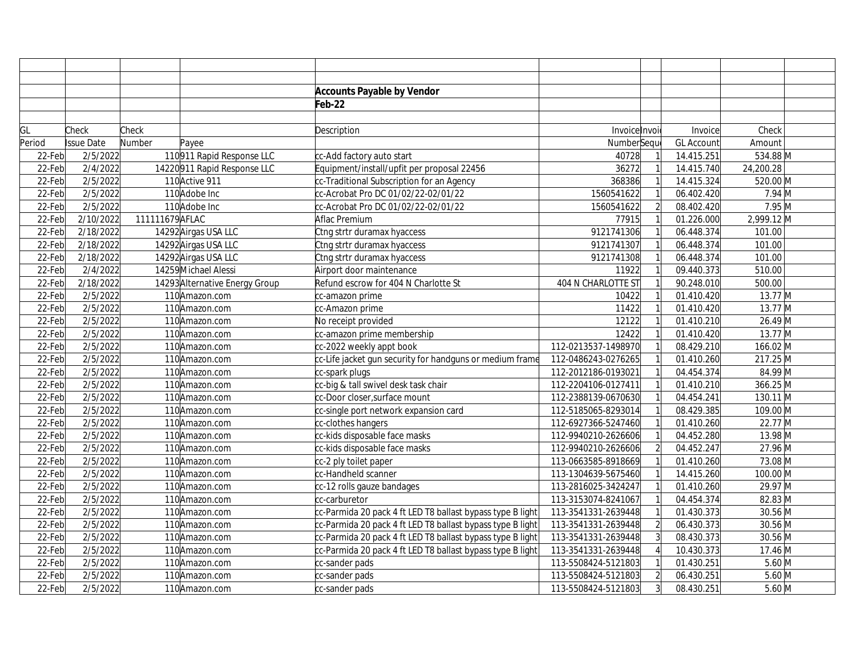|        |            |                 |                                | <b>Accounts Payable by Vendor</b>                          |                     |                |                   |            |  |
|--------|------------|-----------------|--------------------------------|------------------------------------------------------------|---------------------|----------------|-------------------|------------|--|
|        |            |                 |                                | Feb-22                                                     |                     |                |                   |            |  |
|        |            |                 |                                |                                                            |                     |                |                   |            |  |
| GL     | Check      | Check           |                                | Description                                                | Invoice Invoi       |                | Invoice           | Check      |  |
| Period | Issue Date | Number          | Payee                          |                                                            | NumberSequ          |                | <b>GL Account</b> | Amount     |  |
| 22-Feb | 2/5/2022   |                 | 110911 Rapid Response LLC      | cc-Add factory auto start                                  | 40728               |                | 14.415.251        | 534.88 M   |  |
| 22-Feb | 2/4/2022   |                 | 14220911 Rapid Response LLC    | Equipment/install/upfit per proposal 22456                 | 36272               |                | 14.415.740        | 24,200.28  |  |
| 22-Feb | 2/5/2022   |                 | 110 Active 911                 | cc-Traditional Subscription for an Agency                  | 368386              |                | 14.415.324        | 520.00 M   |  |
| 22-Feb | 2/5/2022   |                 | 110 Adobe Inc                  | cc-Acrobat Pro DC 01/02/22-02/01/22                        | 1560541622          |                | 06.402.420        | $7.94$ M   |  |
| 22-Feb | 2/5/2022   |                 | 110 Adobe Inc                  | cc-Acrobat Pro DC 01/02/22-02/01/22                        | 1560541622          | $\overline{2}$ | 08.402.420        | $7.95$ M   |  |
| 22-Feb | 2/10/2022  | 111111679 AFLAC |                                | Aflac Premium                                              | 77915               |                | 01.226.000        | 2,999.12 M |  |
| 22-Feb | 2/18/2022  |                 | 14292 Airgas USA LLC           | Ctng strtr duramax hyaccess                                | 9121741306          |                | 06.448.374        | 101.00     |  |
| 22-Feb | 2/18/2022  |                 | 14292 Airgas USA LLC           | Ctng strtr duramax hyaccess                                | 9121741307          |                | 06.448.374        | 101.00     |  |
| 22-Feb | 2/18/2022  |                 | 14292 Airgas USA LLC           | Ctng strtr duramax hyaccess                                | 9121741308          |                | 06.448.374        | 101.00     |  |
| 22-Feb | 2/4/2022   |                 | 14259 Michael Alessi           | Airport door maintenance                                   | 11922               |                | 09.440.373        | 510.00     |  |
| 22-Feb | 2/18/2022  |                 | 14293 Alternative Energy Group | Refund escrow for 404 N Charlotte St                       | 404 N CHARLOTTE ST  |                | 90.248.010        | 500.00     |  |
| 22-Feb | 2/5/2022   |                 | 110 Amazon.com                 | cc-amazon prime                                            | 10422               |                | 01.410.420        | 13.77 M    |  |
| 22-Feb | 2/5/2022   |                 | 110 Amazon.com                 | cc-Amazon prime                                            | 11422               |                | 01.410.420        | $13.77$ M  |  |
| 22-Feb | 2/5/2022   |                 | 110 Amazon.com                 | No receipt provided                                        | 12122               |                | 01.410.210        | $26.49$ M  |  |
| 22-Feb | 2/5/2022   |                 | 110 Amazon.com                 | cc-amazon prime membership                                 | 12422               |                | 01.410.420        | $13.77$ M  |  |
| 22-Feb | 2/5/2022   |                 | 110 Amazon.com                 | cc-2022 weekly appt book                                   | 112-0213537-1498970 |                | 08.429.210        | 166.02 M   |  |
| 22-Feb | 2/5/2022   |                 | 110 Amazon.com                 | cc-Life jacket gun security for handguns or medium frame   | 112-0486243-0276265 |                | 01.410.260        | 217.25 M   |  |
| 22-Feb | 2/5/2022   |                 | 110 Amazon.com                 | cc-spark plugs                                             | 112-2012186-0193021 |                | 04.454.374        | 84.99 M    |  |
| 22-Feb | 2/5/2022   |                 | 110Amazon.com                  | cc-big & tall swivel desk task chair                       | 112-2204106-0127411 |                | 01.410.210        | 366.25 M   |  |
| 22-Feb | 2/5/2022   |                 | 110 Amazon.com                 | cc-Door closer, surface mount                              | 112-2388139-0670630 |                | 04.454.241        | 130.11 M   |  |
| 22-Feb | 2/5/2022   |                 | 110 Amazon.com                 | cc-single port network expansion card                      | 112-5185065-8293014 |                | 08.429.385        | 109.00 M   |  |
| 22-Feb | 2/5/2022   |                 | 110 Amazon.com                 | cc-clothes hangers                                         | 112-6927366-5247460 |                | 01.410.260        | 22.77 M    |  |
| 22-Feb | 2/5/2022   |                 | 110Amazon.com                  | cc-kids disposable face masks                              | 112-9940210-2626606 |                | 04.452.280        | 13.98 M    |  |
| 22-Feb | 2/5/2022   |                 | 110 Amazon.com                 | cc-kids disposable face masks                              | 112-9940210-2626606 | $\overline{2}$ | 04.452.247        | 27.96 M    |  |
| 22-Feb | 2/5/2022   |                 | 110 Amazon.com                 | cc-2 ply toilet paper                                      | 113-0663585-8918669 |                | 01.410.260        | 73.08 M    |  |
| 22-Feb | 2/5/2022   |                 | 110 Amazon.com                 | cc-Handheld scanner                                        | 113-1304639-5675460 |                | 14.415.260        | 100.00 M   |  |
| 22-Feb | 2/5/2022   |                 | 110 Amazon.com                 | cc-12 rolls gauze bandages                                 | 113-2816025-3424247 |                | 01.410.260        | 29.97 M    |  |
| 22-Feb | 2/5/2022   |                 | 110Amazon.com                  | cc-carburetor                                              | 113-3153074-8241067 |                | 04.454.374        | 82.83 M    |  |
| 22-Feb | 2/5/2022   |                 | 110 Amazon.com                 | cc-Parmida 20 pack 4 ft LED T8 ballast bypass type B light | 113-3541331-2639448 |                | 01.430.373        | 30.56 M    |  |
| 22-Feb | 2/5/2022   |                 | 110 Amazon.com                 | cc-Parmida 20 pack 4 ft LED T8 ballast bypass type B light | 113-3541331-2639448 | $\overline{2}$ | 06.430.373        | 30.56 M    |  |
| 22-Feb | 2/5/2022   |                 | 110 Amazon.com                 | cc-Parmida 20 pack 4 ft LED T8 ballast bypass type B light | 113-3541331-2639448 | 3              | 08.430.373        | 30.56 M    |  |
| 22-Feb | 2/5/2022   |                 | 110 Amazon.com                 | cc-Parmida 20 pack 4 ft LED T8 ballast bypass type B light | 113-3541331-2639448 |                | 10.430.373        | 17.46 M    |  |
| 22-Feb | 2/5/2022   |                 | 110 Amazon.com                 | cc-sander pads                                             | 113-5508424-5121803 |                | 01.430.251        | $5.60$ M   |  |
| 22-Feb | 2/5/2022   |                 | 110 Amazon.com                 | cc-sander pads                                             | 113-5508424-5121803 | $\overline{2}$ | 06.430.251        | $5.60$ M   |  |
| 22-Feb | 2/5/2022   |                 | 110 Amazon.com                 | cc-sander pads                                             | 113-5508424-5121803 | $\overline{3}$ | 08.430.251        | $5.60$ M   |  |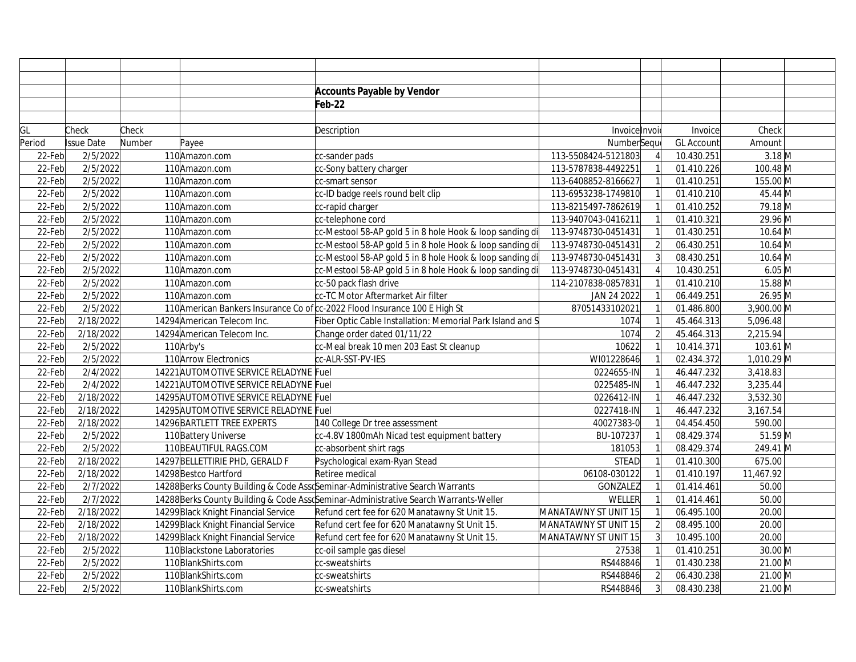|        |                       |        |                                        | <b>Accounts Payable by Vendor</b>                                                      |                      |                |                   |            |  |
|--------|-----------------------|--------|----------------------------------------|----------------------------------------------------------------------------------------|----------------------|----------------|-------------------|------------|--|
|        |                       |        |                                        | Feb-22                                                                                 |                      |                |                   |            |  |
|        |                       |        |                                        |                                                                                        |                      |                |                   |            |  |
| GL     | Check                 | Check  |                                        | Description                                                                            | Invoice Invoi        |                | Invoice           | Check      |  |
| Period | <b>Issue Date</b>     | Number | Payee                                  |                                                                                        | NumberSeque          |                | <b>GL Account</b> | Amount     |  |
| 22-Feb | 2/5/2022              |        | 110 Amazon.com                         | cc-sander pads                                                                         | 113-5508424-5121803  |                | 10.430.251        | $3.18$ M   |  |
| 22-Feb | 2/5/2022              |        | 110Amazon.com                          | cc-Sony battery charger                                                                | 113-5787838-4492251  |                | 01.410.226        | 100.48 M   |  |
| 22-Feb | 2/5/2022              |        | 110 Amazon.com                         | cc-smart sensor                                                                        | 113-6408852-8166627  |                | 01.410.251        | 155.00 M   |  |
| 22-Feb | 2/5/2022              |        | 110 Amazon.com                         | cc-ID badge reels round belt clip                                                      | 113-6953238-1749810  |                | 01.410.210        | 45.44 M    |  |
| 22-Feb | 2/5/2022              |        | 110Amazon.com                          | cc-rapid charger                                                                       | 113-8215497-7862619  |                | 01.410.252        | 79.18 M    |  |
| 22-Feb | 2/5/2022              |        | 110 Amazon.com                         | cc-telephone cord                                                                      | 113-9407043-0416211  |                | 01.410.321        | 29.96 M    |  |
| 22-Feb | 2/5/2022              |        | 110 Amazon.com                         | cc-Mestool 58-AP gold 5 in 8 hole Hook & loop sanding di                               | 113-9748730-0451431  |                | 01.430.251        | $10.64$ M  |  |
| 22-Feb | 2/5/2022              |        | 110 Amazon.com                         | cc-Mestool 58-AP gold 5 in 8 hole Hook & loop sanding di                               | 113-9748730-0451431  | $\overline{2}$ | 06.430.251        | $10.64$ M  |  |
| 22-Feb | 2/5/2022              |        | 110 Amazon.com                         | cc-Mestool 58-AP gold 5 in 8 hole Hook & loop sanding di                               | 113-9748730-0451431  | $\overline{3}$ | 08.430.251        | $10.64$ M  |  |
| 22-Feb | 2/5/2022              |        | 110 Amazon.com                         | cc-Mestool 58-AP gold 5 in 8 hole Hook & loop sanding di                               | 113-9748730-0451431  |                | 10.430.251        | $6.05$ M   |  |
| 22-Feb | 2/5/2022              |        | 110 Amazon.com                         | cc-50 pack flash drive                                                                 | 114-2107838-0857831  |                | 01.410.210        | 15.88 M    |  |
| 22-Feb | 2/5/2022              |        | 110 Amazon.com                         | cc-TC Motor Aftermarket Air filter                                                     | JAN 24 2022          |                | 06.449.251        | 26.95 M    |  |
| 22-Feb | 2/5/2022              |        |                                        | 110 American Bankers Insurance Co of cc-2022 Flood Insurance 100 E High St             | 87051433102021       |                | 01.486.800        | 3,900.00 M |  |
| 22-Feb | 2/18/2022             |        | 14294 American Telecom Inc.            | Fiber Optic Cable Installation: Memorial Park Island and S                             | 1074                 |                | 45.464.313        | 5,096.48   |  |
| 22-Feb | 2/18/2022             |        | 14294 American Telecom Inc.            | Change order dated 01/11/22                                                            | 1074                 | $\overline{2}$ | 45.464.313        | 2,215.94   |  |
| 22-Feb | 2/5/2022              |        | 110 Arby's                             | cc-Meal break 10 men 203 East St cleanup                                               | 10622                |                | 10.414.371        | 103.61 M   |  |
| 22-Feb | 2/5/2022              |        | 110 Arrow Electronics                  | cc-ALR-SST-PV-IES                                                                      | WI01228646           |                | 02.434.372        | 1,010.29 M |  |
| 22-Feb | 2/4/2022              |        | 14221 AUTOMOTIVE SERVICE RELADYNE Fuel |                                                                                        | 0224655-IN           |                | 46.447.232        | 3,418.83   |  |
| 22-Feb | 2/4/2022              |        | 14221 AUTOMOTIVE SERVICE RELADYNE Fuel |                                                                                        | 0225485-IN           |                | 46.447.232        | 3,235.44   |  |
| 22-Feb | 2/18/2022             |        | 14295 AUTOMOTIVE SERVICE RELADYNE Fuel |                                                                                        | 0226412-IN           |                | 46.447.232        | 3,532.30   |  |
| 22-Feb | 2/18/2022             |        | 14295 AUTOMOTIVE SERVICE RELADYNE Fuel |                                                                                        | 0227418-IN           |                | 46.447.232        | 3,167.54   |  |
| 22-Feb | 2/18/2022             |        | 14296 BARTLETT TREE EXPERTS            | 140 College Dr tree assessment                                                         | 40027383-0           |                | 04.454.450        | 590.00     |  |
| 22-Feb | 2/5/2022              |        | 110 Battery Universe                   | cc-4.8V 1800mAh Nicad test equipment battery                                           | BU-107237            |                | 08.429.374        | 51.59 M    |  |
| 22-Feb | 2/5/2022              |        | 110 BEAUTIFUL RAGS.COM                 | cc-absorbent shirt rags                                                                | 181053               |                | 08.429.374        | 249.41 M   |  |
| 22-Feb | 2/18/2022             |        | 14297 BELLETTIRIE PHD, GERALD F        | Psychological exam-Ryan Stead                                                          | <b>STEAD</b>         |                | 01.410.300        | 675.00     |  |
| 22-Feb | 2/18/2022             |        | 14298 Bestco Hartford                  | Retiree medical                                                                        | 06108-030122         |                | 01.410.197        | 11,467.92  |  |
| 22-Feb | 2/7/2022              |        |                                        | 14288 Berks County Building & Code AssoSeminar-Administrative Search Warrants          | <b>GONZALEZ</b>      |                | 01.414.461        | 50.00      |  |
| 22-Feb | $\frac{1}{2}$ /7/2022 |        |                                        | 14288 Berks County Building & Code Ass & Seminar-Administrative Search Warrants-Weller | <b>WELLER</b>        |                | 01.414.461        | 50.00      |  |
| 22-Feb | 2/18/2022             |        | 14299 Black Knight Financial Service   | Refund cert fee for 620 Manatawny St Unit 15.                                          | MANATAWNY ST UNIT 15 |                | 06.495.100        | 20.00      |  |
| 22-Feb | 2/18/2022             |        | 14299 Black Knight Financial Service   | Refund cert fee for 620 Manatawny St Unit 15.                                          | MANATAWNY ST UNIT 15 | $\overline{2}$ | 08.495.100        | 20.00      |  |
| 22-Feb | 2/18/2022             |        | 14299 Black Knight Financial Service   | Refund cert fee for 620 Manatawny St Unit 15.                                          | MANATAWNY ST UNIT 15 |                | 10.495.100        | 20.00      |  |
| 22-Feb | 2/5/2022              |        | 110 Blackstone Laboratories            | cc-oil sample gas diesel                                                               | 27538                |                | 01.410.251        | 30.00 M    |  |
| 22-Feb | 2/5/2022              |        | 110BlankShirts.com                     | cc-sweatshirts                                                                         | RS448846             |                | 01.430.238        | 21.00 M    |  |
| 22-Feb | 2/5/2022              |        | 110BlankShirts.com                     | cc-sweatshirts                                                                         | RS448846             |                | 06.430.238        | 21.00 M    |  |
| 22-Feb | 2/5/2022              |        | 110BlankShirts.com                     | cc-sweatshirts                                                                         | RS448846             | $\overline{3}$ | 08.430.238        | 21.00 M    |  |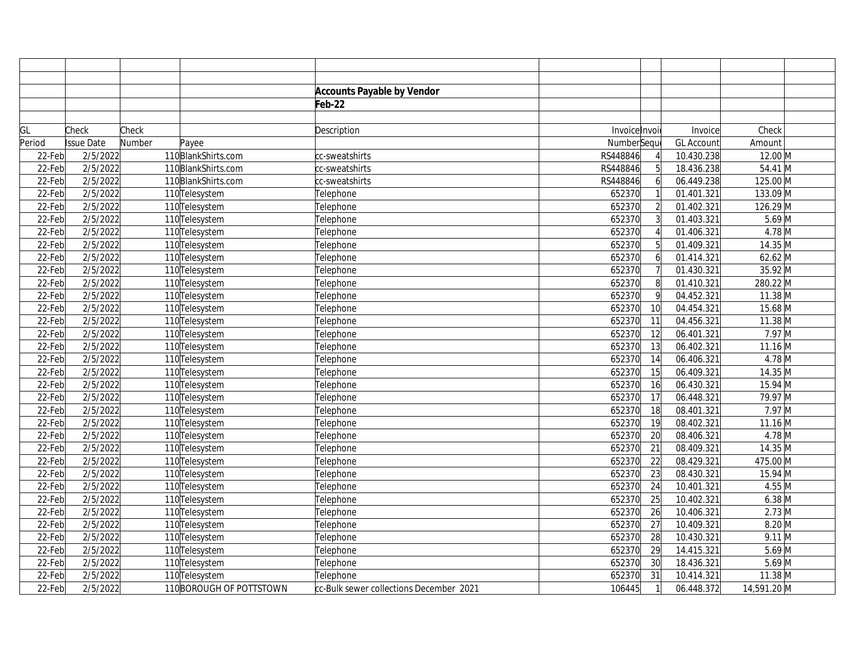|        |            |        |                           | <b>Accounts Payable by Vendor</b>       |               |                 |                   |              |
|--------|------------|--------|---------------------------|-----------------------------------------|---------------|-----------------|-------------------|--------------|
|        |            |        |                           | Feb-22                                  |               |                 |                   |              |
|        |            |        |                           |                                         |               |                 |                   |              |
| GL     | Check      | Check  |                           | Description                             | Invoice Invoi |                 | Invoice           | Check        |
| Period | Issue Date | Number | Payee                     |                                         | NumberSeque   |                 | <b>GL Account</b> | Amount       |
| 22-Feb | 2/5/2022   |        | 110BlankShirts.com        | cc-sweatshirts                          | RS448846      |                 | 10.430.238        | 12.00 M      |
| 22-Feb | 2/5/2022   |        | 110BlankShirts.com        | cc-sweatshirts                          | RS448846      | 5               | 18.436.238        | 54.41 M      |
| 22-Feb | 2/5/2022   |        | 110BlankShirts.com        | cc-sweatshirts                          | RS448846      | $6 \mid$        | 06.449.238        | 125.00 M     |
| 22-Feb | 2/5/2022   |        | 110 Telesystem            | Telephone                               | 652370        |                 | 01.401.321        | 133.09 M     |
| 22-Feb | 2/5/2022   |        | 110 Telesystem            | Telephone                               | 652370        | $\overline{2}$  | 01.402.321        | 126.29 M     |
| 22-Feb | 2/5/2022   |        | 110 <sub>Telesystem</sub> | Telephone                               | 652370        | $\overline{3}$  | 01.403.321        | $5.69$ M     |
| 22-Feb | 2/5/2022   |        | 110 Telesystem            | Telephone                               | 652370        |                 | 01.406.321        | $4.78$ M     |
| 22-Feb | 2/5/2022   |        | 110 Telesystem            | Telephone                               | 652370        | 5               | 01.409.321        | 14.35 M      |
| 22-Feb | 2/5/2022   |        | 110 Telesystem            | Telephone                               | 652370        | 6               | 01.414.321        | $62.62$ M    |
| 22-Feb | 2/5/2022   |        | 110 Telesystem            | Telephone                               | 652370        |                 | 01.430.321        | 35.92 M      |
| 22-Feb | 2/5/2022   |        | 110 Telesystem            | Telephone                               | 652370        | 8               | 01.410.321        | 280.22 M     |
| 22-Feb | 2/5/2022   |        | 110 Telesystem            | Telephone                               | 652370        | 9               | 04.452.321        | $11.38 \, M$ |
| 22-Feb | 2/5/2022   |        | 110 Telesystem            | Telephone                               | 652370        | 10              | 04.454.321        | 15.68 M      |
| 22-Feb | 2/5/2022   |        | 110 Telesystem            | Telephone                               | 652370        | 11              | 04.456.321        | $11.38$ M    |
| 22-Feb | 2/5/2022   |        | 110 Telesystem            | Telephone                               | 652370        | 12              | 06.401.321        | $7.97$ M     |
| 22-Feb | 2/5/2022   |        | 110 Telesystem            | Telephone                               | 652370        | 13              | 06.402.321        | $11.16 \, M$ |
| 22-Feb | 2/5/2022   |        | 110 Telesystem            | Telephone                               | 652370        | 14              | 06.406.321        | $4.78$ M     |
| 22-Feb | 2/5/2022   |        | 110 Telesystem            | Telephone                               | 652370        | $\overline{15}$ | 06.409.321        | $14.35 \, M$ |
| 22-Feb | 2/5/2022   |        | 110 Telesystem            | Telephone                               | 652370        | 16              | 06.430.321        | 15.94 M      |
| 22-Feb | 2/5/2022   |        | 110 Telesystem            | Telephone                               | 652370        | 17              | 06.448.321        | 79.97 M      |
| 22-Feb | 2/5/2022   |        | 110 Telesystem            | Telephone                               | 652370        | 18              | 08.401.321        | $7.97$ M     |
| 22-Feb | 2/5/2022   |        | 110 Telesystem            | Telephone                               | 652370        | 19              | 08.402.321        | $11.16$ M    |
| 22-Feb | 2/5/2022   |        | 110 Telesystem            | Telephone                               | 652370        | 20              | 08.406.321        | $4.78$ M     |
| 22-Feb | 2/5/2022   |        | 110 <sub>Telesystem</sub> | Telephone                               | 652370        | 21              | 08.409.321        | 14.35 M      |
| 22-Feb | 2/5/2022   |        | 110 Telesystem            | Telephone                               | 652370        | 22              | 08.429.321        | 475.00 M     |
| 22-Feb | 2/5/2022   |        | 110 Telesystem            | Telephone                               | 652370        | 23              | 08.430.321        | 15.94 M      |
| 22-Feb | 2/5/2022   |        | 110 Telesystem            | Telephone                               | 652370        | 24              | 10.401.321        | $4.55$ M     |
| 22-Feb | 2/5/2022   |        | 110 Telesystem            | Telephone                               | 652370        | 25              | 10.402.321        | $6.38$ M     |
| 22-Feb | 2/5/2022   |        | 110 Telesystem            | Telephone                               | 652370        | 26              | 10.406.321        | $2.73$ M     |
| 22-Feb | 2/5/2022   |        | 110 Telesystem            | Telephone                               | 652370        | 27              | 10.409.321        | $8.20$ M     |
| 22-Feb | 2/5/2022   |        | 110 <sub>Telesystem</sub> | Telephone                               | 652370        | 28              | 10.430.321        | $9.11$ M     |
| 22-Feb | 2/5/2022   |        | 110 <sub>Telesystem</sub> | Telephone                               | 652370        | 29              | 14.415.321        | $5.69$ M     |
| 22-Feb | 2/5/2022   |        | 110 <sub>Telesystem</sub> | Telephone                               | 652370        | 30              | 18.436.321        | $5.69$ M     |
| 22-Feb | 2/5/2022   |        | 110 Telesystem            | Telephone                               | 652370        | 31              | 10.414.321        | $11.38 \, M$ |
| 22-Feb | 2/5/2022   |        | 110 BOROUGH OF POTTSTOWN  | cc-Bulk sewer collections December 2021 | 106445        | $\mathbf{1}$    | 06.448.372        | 14,591.20 M  |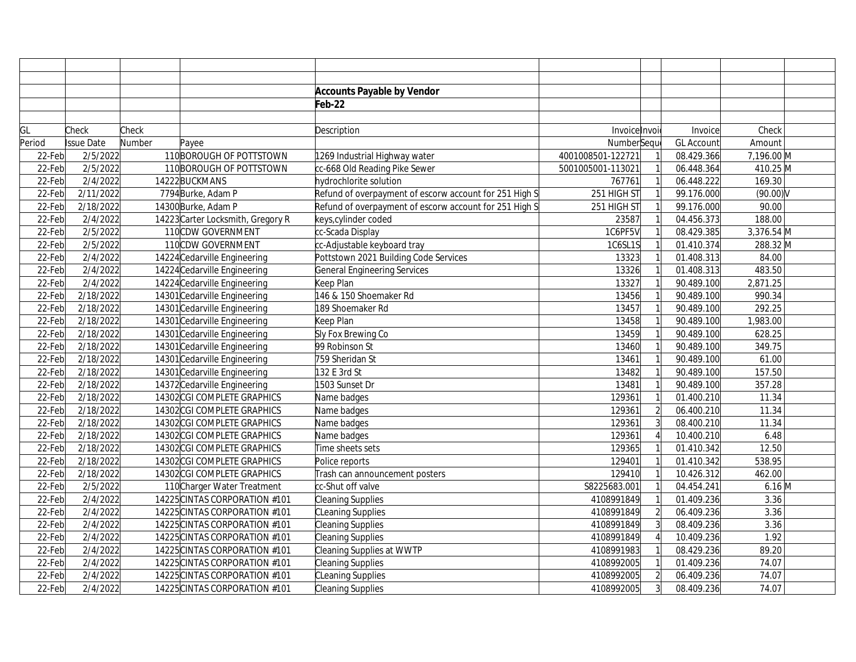|        |                   |        |                                   | <b>Accounts Payable by Vendor</b>                      |                   |                |                   |             |  |
|--------|-------------------|--------|-----------------------------------|--------------------------------------------------------|-------------------|----------------|-------------------|-------------|--|
|        |                   |        |                                   | Feb-22                                                 |                   |                |                   |             |  |
|        |                   |        |                                   |                                                        |                   |                |                   |             |  |
| GL     | Check             | Check  |                                   | Description                                            | Invoice Invoi     |                | Invoice           | Check       |  |
| Period | <b>Issue Date</b> | Number | Payee                             |                                                        | NumberSeque       |                | <b>GL Account</b> | Amount      |  |
| 22-Feb | 2/5/2022          |        | 110 BOROUGH OF POTTSTOWN          | 1269 Industrial Highway water                          | 4001008501-122721 |                | 08.429.366        | 7,196.00 M  |  |
| 22-Feb | 2/5/2022          |        | 110BOROUGH OF POTTSTOWN           | cc-668 Old Reading Pike Sewer                          | 5001005001-113021 |                | 06.448.364        | 410.25 M    |  |
| 22-Feb | 2/4/2022          |        | 14222BUCKMANS                     | hydrochlorite solution                                 | 767761            |                | 06.448.222        | 169.30      |  |
| 22-Feb | 2/11/2022         |        | 7794 Burke, Adam P                | Refund of overpayment of escorw account for 251 High S | 251 HIGH ST       |                | 99.176.000        | $(90.00)$ V |  |
| 22-Feb | 2/18/2022         |        | 14300 Burke, Adam P               | Refund of overpayment of escorw account for 251 High S | 251 HIGH ST       |                | 99.176.000        | 90.00       |  |
| 22-Feb | 2/4/2022          |        | 14223 Carter Locksmith, Gregory R | keys,cylinder coded                                    | 23587             |                | 04.456.373        | 188.00      |  |
| 22-Feb | 2/5/2022          |        | 110CDW GOVERNMENT                 | cc-Scada Display                                       | 1C6PF5V           |                | 08.429.385        | 3,376.54 M  |  |
| 22-Feb | 2/5/2022          |        | 110CDW GOVERNMENT                 | cc-Adjustable keyboard tray                            | 1C6SL1S           |                | 01.410.374        | 288.32 M    |  |
| 22-Feb | 2/4/2022          |        | 14224 Cedarville Engineering      | Pottstown 2021 Building Code Services                  | 13323             |                | 01.408.313        | 84.00       |  |
| 22-Feb | 2/4/2022          |        | 14224 Cedarville Engineering      | General Engineering Services                           | 13326             |                | 01.408.313        | 483.50      |  |
| 22-Feb | 2/4/2022          |        | 14224 Cedarville Engineering      | Keep Plan                                              | 13327             |                | 90.489.100        | 2,871.25    |  |
| 22-Feb | 2/18/2022         |        | 14301 Cedarville Engineering      | 146 & 150 Shoemaker Rd                                 | 13456             |                | 90.489.100        | 990.34      |  |
| 22-Feb | 2/18/2022         |        | 14301 Cedarville Engineering      | 189 Shoemaker Rd                                       | 13457             |                | 90.489.100        | 292.25      |  |
| 22-Feb | 2/18/2022         |        | 14301 Cedarville Engineering      | Keep Plan                                              | 13458             |                | 90.489.100        | 1,983.00    |  |
| 22-Feb | 2/18/2022         |        | 14301 Cedarville Engineering      | Sly Fox Brewing Co                                     | 13459             |                | 90.489.100        | 628.25      |  |
| 22-Feb | 2/18/2022         |        | 14301 Cedarville Engineering      | 99 Robinson St                                         | 13460             |                | 90.489.100        | 349.75      |  |
| 22-Feb | 2/18/2022         |        | 14301 Cedarville Engineering      | 759 Sheridan St                                        | 13461             |                | 90.489.100        | 61.00       |  |
| 22-Feb | 2/18/2022         |        | 14301 Cedarville Engineering      | 132 E 3rd St                                           | 13482             |                | 90.489.100        | 157.50      |  |
| 22-Feb | 2/18/2022         |        | 14372 Cedarville Engineering      | 1503 Sunset Dr                                         | 13481             |                | 90.489.100        | 357.28      |  |
| 22-Feb | 2/18/2022         |        | 14302 CGI COMPLETE GRAPHICS       | Name badges                                            | 129361            |                | 01.400.210        | 11.34       |  |
| 22-Feb | 2/18/2022         |        | 14302 CGI COMPLETE GRAPHICS       | Name badges                                            | 129361            | $\overline{2}$ | 06.400.210        | 11.34       |  |
| 22-Feb | 2/18/2022         |        | 14302 CGI COMPLETE GRAPHICS       | Name badges                                            | 129361            |                | 08.400.210        | 11.34       |  |
| 22-Feb | 2/18/2022         |        | 14302 CGI COMPLETE GRAPHICS       | Name badges                                            | 129361            |                | 10.400.210        | 6.48        |  |
| 22-Feb | 2/18/2022         |        | 14302 CGI COMPLETE GRAPHICS       | Time sheets sets                                       | 129365            |                | 01.410.342        | 12.50       |  |
| 22-Feb | 2/18/2022         |        | 14302 CGI COMPLETE GRAPHICS       | Police reports                                         | 129401            |                | 01.410.342        | 538.95      |  |
| 22-Feb | 2/18/2022         |        | 14302 CGI COMPLETE GRAPHICS       | Trash can announcement posters                         | 129410            |                | 10.426.312        | 462.00      |  |
| 22-Feb | 2/5/2022          |        | 110Charger Water Treatment        | cc-Shut off valve                                      | S8225683.001      |                | 04.454.241        | $6.16$ M    |  |
| 22-Feb | 2/4/2022          |        | 14225 CINTAS CORPORATION #101     | <b>Cleaning Supplies</b>                               | 4108991849        |                | 01.409.236        | 3.36        |  |
| 22-Feb | 2/4/2022          |        | 14225 CINTAS CORPORATION #101     | CLeaning Supplies                                      | 4108991849        |                | 06.409.236        | 3.36        |  |
| 22-Feb | 2/4/2022          |        | 14225 CINTAS CORPORATION #101     | <b>Cleaning Supplies</b>                               | 4108991849        |                | 08.409.236        | 3.36        |  |
| 22-Feb | 2/4/2022          |        | 14225 CINTAS CORPORATION #101     | <b>Cleaning Supplies</b>                               | 4108991849        |                | 10.409.236        | 1.92        |  |
| 22-Feb | 2/4/2022          |        | 14225 CINTAS CORPORATION #101     | Cleaning Supplies at WWTP                              | 4108991983        |                | 08.429.236        | 89.20       |  |
| 22-Feb | 2/4/2022          |        | 14225 CINTAS CORPORATION #101     | <b>Cleaning Supplies</b>                               | 4108992005        |                | 01.409.236        | 74.07       |  |
| 22-Feb | 2/4/2022          |        | 14225 CINTAS CORPORATION #101     | CLeaning Supplies                                      | 4108992005        | $\overline{2}$ | 06.409.236        | 74.07       |  |
| 22-Feb | 2/4/2022          |        | 14225 CINTAS CORPORATION #101     | <b>Cleaning Supplies</b>                               | 4108992005        | $\overline{3}$ | 08.409.236        | 74.07       |  |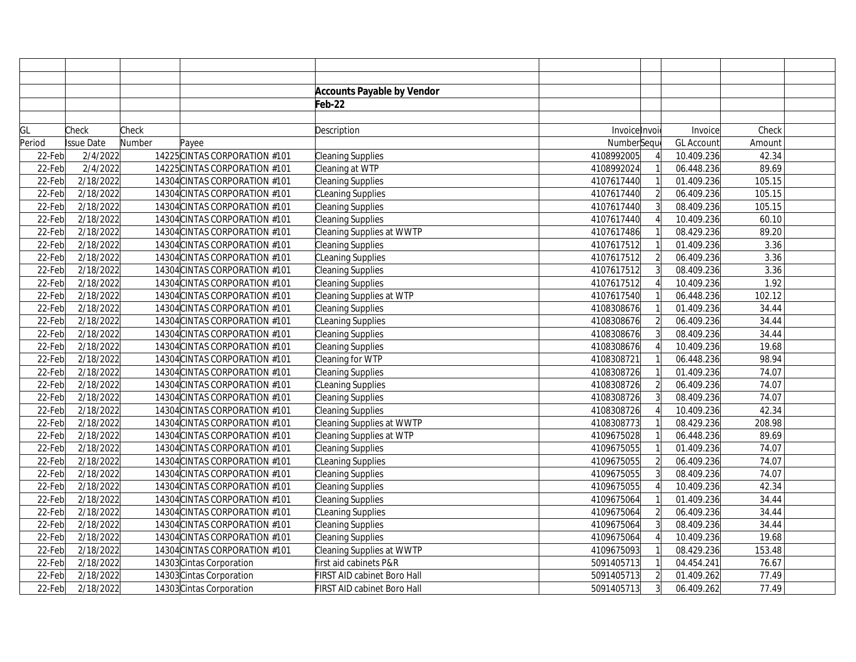|        |            |        |                               | <b>Accounts Payable by Vendor</b> |               |                |                   |        |  |
|--------|------------|--------|-------------------------------|-----------------------------------|---------------|----------------|-------------------|--------|--|
|        |            |        |                               | Feb-22                            |               |                |                   |        |  |
|        |            |        |                               |                                   |               |                |                   |        |  |
| GL     | Check      | Check  |                               | Description                       | Invoice Invoi |                | Invoice           | Check  |  |
| Period | Issue Date | Number | Payee                         |                                   | NumberSeque   |                | <b>GL Account</b> | Amount |  |
| 22-Feb | 2/4/2022   |        | 14225 CINTAS CORPORATION #101 | Cleaning Supplies                 | 4108992005    |                | 10.409.236        | 42.34  |  |
| 22-Feb | 2/4/2022   |        | 14225 CINTAS CORPORATION #101 | Cleaning at WTP                   | 4108992024    |                | 06.448.236        | 89.69  |  |
| 22-Feb | 2/18/2022  |        | 14304 CINTAS CORPORATION #101 | Cleaning Supplies                 | 4107617440    |                | 01.409.236        | 105.15 |  |
| 22-Feb | 2/18/2022  |        | 14304 CINTAS CORPORATION #101 | CLeaning Supplies                 | 4107617440    | $\overline{2}$ | 06.409.236        | 105.15 |  |
| 22-Feb | 2/18/2022  |        | 14304 CINTAS CORPORATION #101 | Cleaning Supplies                 | 4107617440    |                | 08.409.236        | 105.15 |  |
| 22-Feb | 2/18/2022  |        | 14304 CINTAS CORPORATION #101 | Cleaning Supplies                 | 4107617440    |                | 10.409.236        | 60.10  |  |
| 22-Feb | 2/18/2022  |        | 14304 CINTAS CORPORATION #101 | <b>Cleaning Supplies at WWTP</b>  | 4107617486    |                | 08.429.236        | 89.20  |  |
| 22-Feb | 2/18/2022  |        | 14304 CINTAS CORPORATION #101 | Cleaning Supplies                 | 4107617512    |                | 01.409.236        | 3.36   |  |
| 22-Feb | 2/18/2022  |        | 14304 CINTAS CORPORATION #101 | CLeaning Supplies                 | 4107617512    | $\overline{2}$ | 06.409.236        | 3.36   |  |
| 22-Feb | 2/18/2022  |        | 14304 CINTAS CORPORATION #101 | Cleaning Supplies                 | 4107617512    |                | 08.409.236        | 3.36   |  |
| 22-Feb | 2/18/2022  |        | 14304 CINTAS CORPORATION #101 | Cleaning Supplies                 | 4107617512    |                | 10.409.236        | 1.92   |  |
| 22-Feb | 2/18/2022  |        | 14304 CINTAS CORPORATION #101 | Cleaning Supplies at WTP          | 4107617540    |                | 06.448.236        | 102.12 |  |
| 22-Feb | 2/18/2022  |        | 14304 CINTAS CORPORATION #101 | Cleaning Supplies                 | 4108308676    |                | 01.409.236        | 34.44  |  |
| 22-Feb | 2/18/2022  |        | 14304 CINTAS CORPORATION #101 | CLeaning Supplies                 | 4108308676    | $\overline{2}$ | 06.409.236        | 34.44  |  |
| 22-Feb | 2/18/2022  |        | 14304 CINTAS CORPORATION #101 | Cleaning Supplies                 | 4108308676    |                | 08.409.236        | 34.44  |  |
| 22-Feb | 2/18/2022  |        | 14304 CINTAS CORPORATION #101 | Cleaning Supplies                 | 4108308676    |                | 10.409.236        | 19.68  |  |
| 22-Feb | 2/18/2022  |        | 14304 CINTAS CORPORATION #101 | Cleaning for WTP                  | 4108308721    |                | 06.448.236        | 98.94  |  |
| 22-Feb | 2/18/2022  |        | 14304 CINTAS CORPORATION #101 | Cleaning Supplies                 | 4108308726    |                | 01.409.236        | 74.07  |  |
| 22-Feb | 2/18/2022  |        | 14304 CINTAS CORPORATION #101 | CLeaning Supplies                 | 4108308726    |                | 06.409.236        | 74.07  |  |
| 22-Feb | 2/18/2022  |        | 14304 CINTAS CORPORATION #101 | Cleaning Supplies                 | 4108308726    |                | 08.409.236        | 74.07  |  |
| 22-Feb | 2/18/2022  |        | 14304 CINTAS CORPORATION #101 | Cleaning Supplies                 | 4108308726    |                | 10.409.236        | 42.34  |  |
| 22-Feb | 2/18/2022  |        | 14304 CINTAS CORPORATION #101 | Cleaning Supplies at WWTP         | 4108308773    |                | 08.429.236        | 208.98 |  |
| 22-Feb | 2/18/2022  |        | 14304 CINTAS CORPORATION #101 | Cleaning Supplies at WTP          | 4109675028    |                | 06.448.236        | 89.69  |  |
| 22-Feb | 2/18/2022  |        | 14304 CINTAS CORPORATION #101 | Cleaning Supplies                 | 4109675055    |                | 01.409.236        | 74.07  |  |
| 22-Feb | 2/18/2022  |        | 14304 CINTAS CORPORATION #101 | CLeaning Supplies                 | 4109675055    | $\overline{2}$ | 06.409.236        | 74.07  |  |
| 22-Feb | 2/18/2022  |        | 14304 CINTAS CORPORATION #101 | Cleaning Supplies                 | 4109675055    | 3              | 08.409.236        | 74.07  |  |
| 22-Feb | 2/18/2022  |        | 14304 CINTAS CORPORATION #101 | Cleaning Supplies                 | 4109675055    |                | 10.409.236        | 42.34  |  |
| 22-Feb | 2/18/2022  |        | 14304 CINTAS CORPORATION #101 | Cleaning Supplies                 | 4109675064    |                | 01.409.236        | 34.44  |  |
| 22-Feb | 2/18/2022  |        | 14304 CINTAS CORPORATION #101 | CLeaning Supplies                 | 4109675064    | $\overline{2}$ | 06.409.236        | 34.44  |  |
| 22-Feb | 2/18/2022  |        | 14304 CINTAS CORPORATION #101 | Cleaning Supplies                 | 4109675064    |                | 08.409.236        | 34.44  |  |
| 22-Feb | 2/18/2022  |        | 14304 CINTAS CORPORATION #101 | Cleaning Supplies                 | 4109675064    |                | 10.409.236        | 19.68  |  |
| 22-Feb | 2/18/2022  |        | 14304 CINTAS CORPORATION #101 | Cleaning Supplies at WWTP         | 4109675093    |                | 08.429.236        | 153.48 |  |
| 22-Feb | 2/18/2022  |        | 14303 Cintas Corporation      | first aid cabinets P&R            | 5091405713    |                | 04.454.241        | 76.67  |  |
| 22-Feb | 2/18/2022  |        | 14303 Cintas Corporation      | FIRST AID cabinet Boro Hall       | 5091405713    | $\overline{2}$ | 01.409.262        | 77.49  |  |
| 22-Feb | 2/18/2022  |        | 14303 Cintas Corporation      | FIRST AID cabinet Boro Hall       | 5091405713    | 3              | 06.409.262        | 77.49  |  |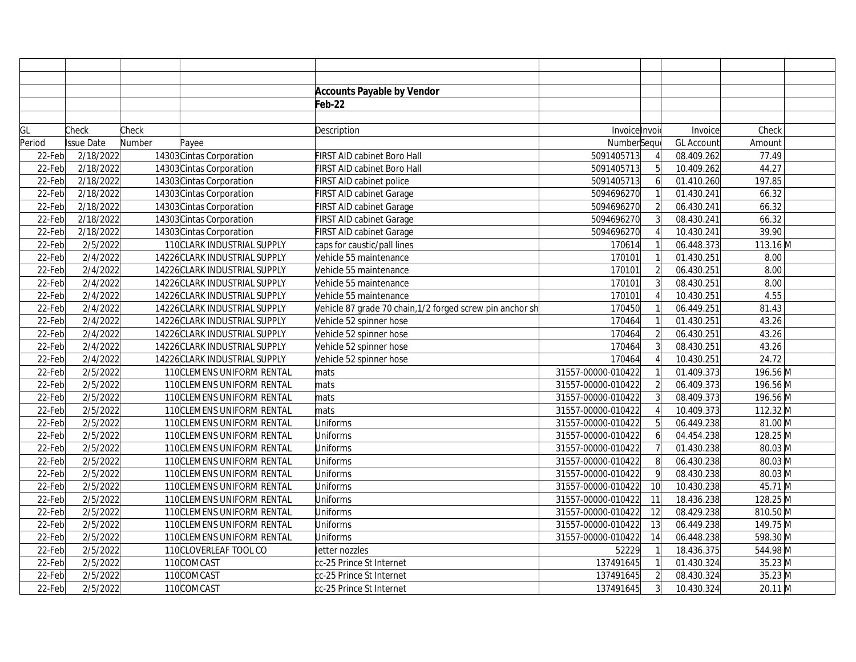|        |                   |        |                               | <b>Accounts Payable by Vendor</b>                         |                    |                |                   |            |
|--------|-------------------|--------|-------------------------------|-----------------------------------------------------------|--------------------|----------------|-------------------|------------|
|        |                   |        |                               | Feb-22                                                    |                    |                |                   |            |
|        |                   |        |                               |                                                           |                    |                |                   |            |
| GL     | Check             | Check  |                               | Description                                               | Invoice Invoi      |                | Invoice           | Check      |
| Period | <b>Issue Date</b> | Number | Payee                         |                                                           | NumberSequ         |                | <b>GL Account</b> | Amount     |
| 22-Feb | 2/18/2022         |        | 14303 Cintas Corporation      | FIRST AID cabinet Boro Hall                               | 5091405713         |                | 08.409.262        | 77.49      |
| 22-Feb | 2/18/2022         |        | 14303 Cintas Corporation      | FIRST AID cabinet Boro Hall                               | 5091405713         | 5              | 10.409.262        | 44.27      |
| 22-Feb | 2/18/2022         |        | 14303 Cintas Corporation      | FIRST AID cabinet police                                  | 5091405713         | $\overline{6}$ | 01.410.260        | 197.85     |
| 22-Feb | 2/18/2022         |        | 14303 Cintas Corporation      | FIRST AID cabinet Garage                                  | 5094696270         |                | 01.430.241        | 66.32      |
| 22-Feb | 2/18/2022         |        | 14303 Cintas Corporation      | FIRST AID cabinet Garage                                  | 5094696270         | $\overline{2}$ | 06.430.241        | 66.32      |
| 22-Feb | 2/18/2022         |        | 14303 Cintas Corporation      | FIRST AID cabinet Garage                                  | 5094696270         |                | 08.430.241        | 66.32      |
| 22-Feb | 2/18/2022         |        | 14303 Cintas Corporation      | FIRST AID cabinet Garage                                  | 5094696270         |                | 10.430.241        | 39.90      |
| 22-Feb | 2/5/2022          |        | 110 CLARK INDUSTRIAL SUPPLY   | caps for caustic/pall lines                               | 170614             |                | 06.448.373        | $113.16$ M |
| 22-Feb | 2/4/2022          |        | 14226 CLARK INDUSTRIAL SUPPLY | Vehicle 55 maintenance                                    | 170101             |                | 01.430.251        | 8.00       |
| 22-Feb | 2/4/2022          |        | 14226 CLARK INDUSTRIAL SUPPLY | Vehicle 55 maintenance                                    | 170101             | $\overline{2}$ | 06.430.251        | 8.00       |
| 22-Feb | 2/4/2022          |        | 14226 CLARK INDUSTRIAL SUPPLY | Vehicle 55 maintenance                                    | 170101             | $\overline{3}$ | 08.430.251        | 8.00       |
| 22-Feb | 2/4/2022          |        | 14226 CLARK INDUSTRIAL SUPPLY | Vehicle 55 maintenance                                    | 170101             |                | 10.430.251        | 4.55       |
| 22-Feb | 2/4/2022          |        | 14226 CLARK INDUSTRIAL SUPPLY | Vehicle 87 grade 70 chain, 1/2 forged screw pin anchor sh | 170450             |                | 06.449.251        | 81.43      |
| 22-Feb | 2/4/2022          |        | 14226 CLARK INDUSTRIAL SUPPLY | Vehicle 52 spinner hose                                   | 170464             |                | 01.430.251        | 43.26      |
| 22-Feb | 2/4/2022          |        | 14226 CLARK INDUSTRIAL SUPPLY | Vehicle 52 spinner hose                                   | 170464             | $\overline{2}$ | 06.430.251        | 43.26      |
| 22-Feb | 2/4/2022          |        | 14226 CLARK INDUSTRIAL SUPPLY | Vehicle 52 spinner hose                                   | 170464             | $\overline{3}$ | 08.430.251        | 43.26      |
| 22-Feb | 2/4/2022          |        | 14226 CLARK INDUSTRIAL SUPPLY | Vehicle 52 spinner hose                                   | 170464             |                | 10.430.251        | 24.72      |
| 22-Feb | 2/5/2022          |        | 110 CLEMENS UNIFORM RENTAL    | mats                                                      | 31557-00000-010422 |                | 01.409.373        | 196.56 M   |
| 22-Feb | 2/5/2022          |        | 110 CLEMENS UNIFORM RENTAL    | mats                                                      | 31557-00000-010422 | $\overline{2}$ | 06.409.373        | 196.56 M   |
| 22-Feb | 2/5/2022          |        | 110 CLEMENS UNIFORM RENTAL    | mats                                                      | 31557-00000-010422 | $\overline{3}$ | 08.409.373        | 196.56 M   |
| 22-Feb | 2/5/2022          |        | 110 CLEMENS UNIFORM RENTAL    | mats                                                      | 31557-00000-010422 |                | 10.409.373        | 112.32 M   |
| 22-Feb | 2/5/2022          |        | 110 CLEMENS UNIFORM RENTAL    | Uniforms                                                  | 31557-00000-010422 | 5 <sup>1</sup> | 06.449.238        | 81.00 M    |
| 22-Feb | 2/5/2022          |        | 110 CLEMENS UNIFORM RENTAL    | Uniforms                                                  | 31557-00000-010422 | $6 \mid$       | 04.454.238        | 128.25 M   |
| 22-Feb | 2/5/2022          |        | 110 CLEMENS UNIFORM RENTAL    | Uniforms                                                  | 31557-00000-010422 |                | 01.430.238        | 80.03 M    |
| 22-Feb | 2/5/2022          |        | 110CLEMENS UNIFORM RENTAL     | Uniforms                                                  | 31557-00000-010422 | 8              | 06.430.238        | 80.03 M    |
| 22-Feb | 2/5/2022          |        | 110 CLEMENS UNIFORM RENTAL    | Uniforms                                                  | 31557-00000-010422 | $\overline{9}$ | 08.430.238        | 80.03 M    |
| 22-Feb | 2/5/2022          |        | 110 CLEMENS UNIFORM RENTAL    | Uniforms                                                  | 31557-00000-010422 | 10             | 10.430.238        | 45.71 M    |
| 22-Feb | 2/5/2022          |        | 110 CLEMENS UNIFORM RENTAL    | Uniforms                                                  | 31557-00000-010422 | 11             | 18.436.238        | 128.25 M   |
| 22-Feb | 2/5/2022          |        | 110 CLEMENS UNIFORM RENTAL    | Uniforms                                                  | 31557-00000-010422 | 12             | 08.429.238        | 810.50 M   |
| 22-Feb | 2/5/2022          |        | 110 CLEMENS UNIFORM RENTAL    | Uniforms                                                  | 31557-00000-010422 | 13             | 06.449.238        | 149.75 M   |
| 22-Feb | 2/5/2022          |        | 110 CLEMENS UNIFORM RENTAL    | Uniforms                                                  | 31557-00000-010422 | 14             | 06.448.238        | 598.30 M   |
| 22-Feb | 2/5/2022          |        | 110CLOVERLEAF TOOL CO         | Jetter nozzles                                            | 52229              |                | 18.436.375        | 544.98 M   |
| 22-Feb | 2/5/2022          |        | 110COMCAST                    | cc-25 Prince St Internet                                  | 137491645          |                | 01.430.324        | 35.23 M    |
| 22-Feb | 2/5/2022          |        | 110COMCAST                    | cc-25 Prince St Internet                                  | 137491645          | $\overline{2}$ | 08.430.324        | 35.23 M    |
| 22-Feb | 2/5/2022          |        | 110COMCAST                    | cc-25 Prince St Internet                                  | 137491645          | $\overline{3}$ | 10.430.324        | 20.11 M    |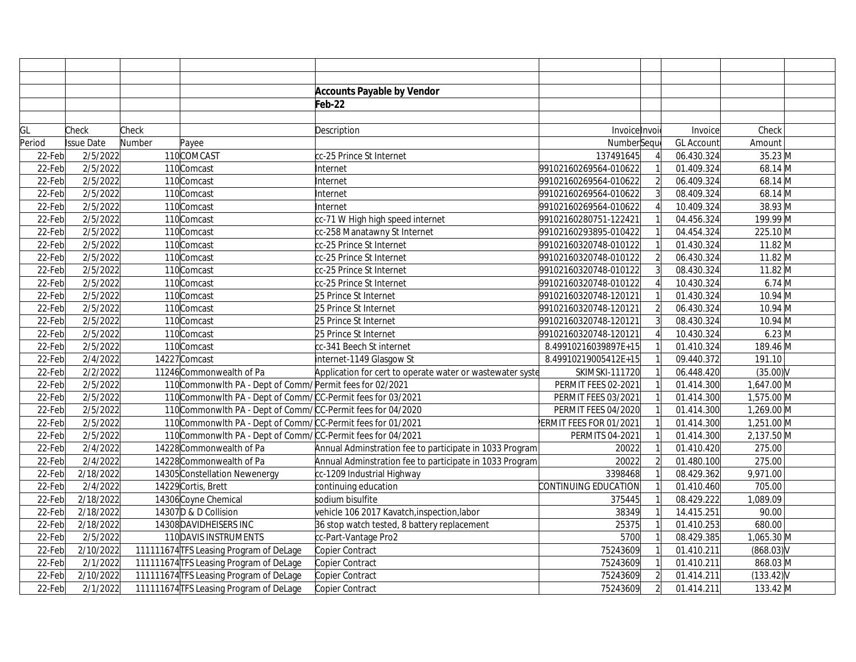|        |                   |        |                                                             | <b>Accounts Payable by Vendor</b>                         |                        |                |                   |              |  |
|--------|-------------------|--------|-------------------------------------------------------------|-----------------------------------------------------------|------------------------|----------------|-------------------|--------------|--|
|        |                   |        |                                                             | Feb-22                                                    |                        |                |                   |              |  |
|        |                   |        |                                                             |                                                           |                        |                |                   |              |  |
| GL     | Check             | Check  |                                                             | Description                                               | Invoice Invoi          |                | Invoice           | Check        |  |
| Period | <b>Issue Date</b> | Number | Payee                                                       |                                                           | NumberSeque            |                | <b>GL Account</b> | Amount       |  |
| 22-Feb | 2/5/2022          |        | 110COMCAST                                                  | cc-25 Prince St Internet                                  | 137491645              |                | 06.430.324        | 35.23 M      |  |
| 22-Feb | 2/5/2022          |        | 110Comcast                                                  | Internet                                                  | 99102160269564-010622  |                | 01.409.324        | 68.14 M      |  |
| 22-Feb | 2/5/2022          |        | 110Comcast                                                  | Internet                                                  | 99102160269564-010622  | $\overline{2}$ | 06.409.324        | 68.14 M      |  |
| 22-Feb | 2/5/2022          |        | 110Comcast                                                  | Internet                                                  | 99102160269564-010622  |                | 08.409.324        | 68.14 M      |  |
| 22-Feb | 2/5/2022          |        | 110Comcast                                                  | Internet                                                  | 99102160269564-010622  |                | 10.409.324        | 38.93 M      |  |
| 22-Feb | 2/5/2022          |        | 110Comcast                                                  | cc-71 W High high speed internet                          | 99102160280751-122421  |                | 04.456.324        | 199.99 M     |  |
| 22-Feb | 2/5/2022          |        | 110Comcast                                                  | cc-258 Manatawny St Internet                              | 99102160293895-010422  |                | 04.454.324        | 225.10 M     |  |
| 22-Feb | 2/5/2022          |        | 110Comcast                                                  | cc-25 Prince St Internet                                  | 99102160320748-010122  |                | 01.430.324        | $11.82 \, M$ |  |
| 22-Feb | 2/5/2022          |        | 110Comcast                                                  | cc-25 Prince St Internet                                  | 99102160320748-010122  | $\overline{2}$ | 06.430.324        | $11.82$ M    |  |
| 22-Feb | 2/5/2022          |        | 110Comcast                                                  | cc-25 Prince St Internet                                  | 99102160320748-010122  |                | 08.430.324        | $11.82 \, M$ |  |
| 22-Feb | 2/5/2022          |        | 110Comcast                                                  | cc-25 Prince St Internet                                  | 99102160320748-010122  |                | 10.430.324        | $6.74$ M     |  |
| 22-Feb | 2/5/2022          |        | 110Comcast                                                  | 25 Prince St Internet                                     | 99102160320748-120121  |                | 01.430.324        | $10.94$ M    |  |
| 22-Feb | 2/5/2022          |        | 110 Comcast                                                 | 25 Prince St Internet                                     | 99102160320748-120121  | $\overline{2}$ | 06.430.324        | $10.94 \, M$ |  |
| 22-Feb | 2/5/2022          |        | 110Comcast                                                  | 25 Prince St Internet                                     | 99102160320748-120121  |                | 08.430.324        | 10.94 M      |  |
| 22-Feb | 2/5/2022          |        | 110Comcast                                                  | 25 Prince St Internet                                     | 99102160320748-120121  |                | 10.430.324        | $6.23$ M     |  |
| 22-Feb | 2/5/2022          |        | 110Comcast                                                  | cc-341 Beech St internet                                  | 8.49910216039897E+15   |                | 01.410.324        | 189.46 M     |  |
| 22-Feb | 2/4/2022          |        | 14227 Comcast                                               | internet-1149 Glasgow St                                  | 8.49910219005412E+15   |                | 09.440.372        | 191.10       |  |
| 22-Feb | 2/2/2022          |        | 11246 Commonwealth of Pa                                    | Application for cert to operate water or wastewater syste | <b>SKIMSKI-111720</b>  |                | 06.448.420        | $(35.00)$ V  |  |
| 22-Feb | 2/5/2022          |        | 110 CommonwIth PA - Dept of Comm/ Permit fees for 02/2021   |                                                           | PERMIT FEES 02-2021    |                | 01.414.300        | 1,647.00 M   |  |
| 22-Feb | 2/5/2022          |        | 110 CommonwIth PA - Dept of Comm/CC-Permit fees for 03/2021 |                                                           | PERMIT FEES 03/2021    |                | 01.414.300        | 1,575.00 M   |  |
| 22-Feb | 2/5/2022          |        | 110 Commonwlth PA - Dept of Comm/CC-Permit fees for 04/2020 |                                                           | PERMIT FEES 04/2020    |                | 01.414.300        | 1,269.00 M   |  |
| 22-Feb | 2/5/2022          |        | 110 CommonwIth PA - Dept of Comm/CC-Permit fees for 01/2021 |                                                           | ERMIT FEES FOR 01/2021 |                | 01.414.300        | 1,251.00 M   |  |
| 22-Feb | 2/5/2022          |        | 110 CommonwIth PA - Dept of Comm/CC-Permit fees for 04/2021 |                                                           | PERMITS 04-2021        |                | 01.414.300        | 2,137.50 M   |  |
| 22-Feb | 2/4/2022          |        | 14228 Commonwealth of Pa                                    | Annual Adminstration fee to participate in 1033 Program   | 20022                  |                | 01.410.420        | 275.00       |  |
| 22-Feb | 2/4/2022          |        | 14228 Commonwealth of Pa                                    | Annual Adminstration fee to participate in 1033 Program   | 20022                  | $\overline{2}$ | 01.480.100        | 275.00       |  |
| 22-Feb | 2/18/2022         |        | 14305 Constellation Newenergy                               | cc-1209 Industrial Highway                                | 3398468                |                | 08.429.362        | 9,971.00     |  |
| 22-Feb | 2/4/2022          |        | 14229 Cortis, Brett                                         | continuing education                                      | CONTINUING EDUCATION   |                | 01.410.460        | 705.00       |  |
| 22-Feb | 2/18/2022         |        | 14306 Coyne Chemical                                        | sodium bisulfite                                          | 375445                 |                | 08.429.222        | 1,089.09     |  |
| 22-Feb | 2/18/2022         |        | 14307D & D Collision                                        | vehicle 106 2017 Kavatch, inspection, labor               | 38349                  |                | 14.415.251        | 90.00        |  |
| 22-Feb | 2/18/2022         |        | 14308 DAVIDHEISERS INC                                      | 36 stop watch tested, 8 battery replacement               | 25375                  |                | 01.410.253        | 680.00       |  |
| 22-Feb | 2/5/2022          |        | 110 DAVIS INSTRUMENTS                                       | cc-Part-Vantage Pro2                                      | 5700                   |                | 08.429.385        | 1,065.30 M   |  |
| 22-Feb | 2/10/2022         |        | 111111674 TFS Leasing Program of DeLage                     | Copier Contract                                           | 75243609               |                | 01.410.211        | $(868.03)$ V |  |
| 22-Feb | 2/1/2022          |        | 111111674 TFS Leasing Program of DeLage                     | Copier Contract                                           | 75243609               |                | 01.410.211        | 868.03 M     |  |
| 22-Feb | 2/10/2022         |        | 111111674 TFS Leasing Program of DeLage                     | Copier Contract                                           | 75243609               | $\overline{2}$ | 01.414.211        | $(133.42)$ V |  |
| 22-Feb | 2/1/2022          |        | 111111674 TFS Leasing Program of DeLage                     | Copier Contract                                           | 75243609               |                | 01.414.211        | 133.42 M     |  |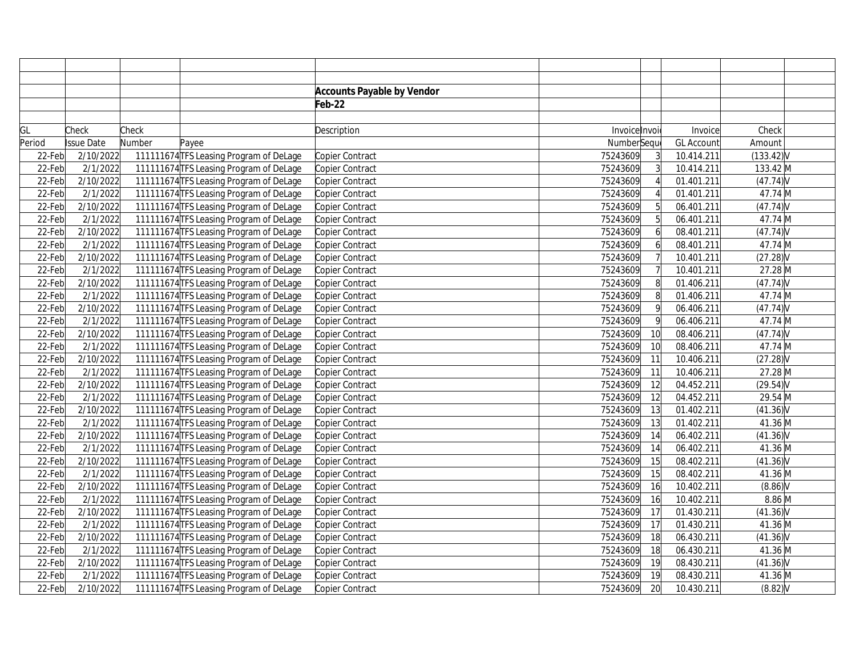|        |                   |        |                                         | <b>Accounts Payable by Vendor</b> |               |                  |                   |             |  |
|--------|-------------------|--------|-----------------------------------------|-----------------------------------|---------------|------------------|-------------------|-------------|--|
|        |                   |        |                                         | Feb-22                            |               |                  |                   |             |  |
|        |                   |        |                                         |                                   |               |                  |                   |             |  |
| GL     | Check             | Check  |                                         | Description                       | Invoice Invoi |                  | Invoice           | Check       |  |
| Period | <b>Issue Date</b> | Number | Payee                                   |                                   | NumberSequ    |                  | <b>GL Account</b> | Amount      |  |
| 22-Feb | 2/10/2022         |        | 111111674 TFS Leasing Program of DeLage | Copier Contract                   | 75243609      | $\overline{3}$   | 10.414.211        | (133.42)    |  |
| 22-Feb | 2/1/2022          |        | 111111674 TFS Leasing Program of DeLage | Copier Contract                   | 75243609      | $\overline{3}$   | 10.414.211        | 133.42 M    |  |
| 22-Feb | 2/10/2022         |        | 111111674 TFS Leasing Program of DeLage | Copier Contract                   | 75243609      |                  | 01.401.211        | (47.74)     |  |
| 22-Feb | 2/1/2022          |        | 111111674 TFS Leasing Program of DeLage | Copier Contract                   | 75243609      |                  | 01.401.211        | 47.74 M     |  |
| 22-Feb | 2/10/2022         |        | 111111674 TFS Leasing Program of DeLage | Copier Contract                   | 75243609      | 5 <sup>1</sup>   | 06.401.211        | $(47.74)$ V |  |
| 22-Feb | 2/1/2022          |        | 111111674 TFS Leasing Program of DeLage | Copier Contract                   | 75243609      | 5 <sup>1</sup>   | 06.401.211        | 47.74 M     |  |
| 22-Feb | 2/10/2022         |        | 111111674 TFS Leasing Program of DeLage | Copier Contract                   | 75243609      | $6 \overline{6}$ | 08.401.211        | (47.74)     |  |
| 22-Feb | 2/1/2022          |        | 111111674 TFS Leasing Program of DeLage | Copier Contract                   | 75243609      |                  | 08.401.211        | 47.74 M     |  |
| 22-Feb | 2/10/2022         |        | 111111674 TFS Leasing Program of DeLage | Copier Contract                   | 75243609      |                  | 10.401.211        | $(27.28)$ V |  |
| 22-Feb | 2/1/2022          |        | 111111674 TFS Leasing Program of DeLage | Copier Contract                   | 75243609      |                  | 10.401.211        | 27.28 M     |  |
| 22-Feb | 2/10/2022         |        | 111111674 TFS Leasing Program of DeLage | Copier Contract                   | 75243609      | 8                | 01.406.211        | (47.74)     |  |
| 22-Feb | 2/1/2022          |        | 111111674 TFS Leasing Program of DeLage | Copier Contract                   | 75243609      | 8                | 01.406.211        | 47.74 M     |  |
| 22-Feb | 2/10/2022         |        | 111111674 TFS Leasing Program of DeLage | Copier Contract                   | 75243609      | <sub>9</sub>     | 06.406.211        | $(47.74)$ V |  |
| 22-Feb | 2/1/2022          |        | 111111674 TFS Leasing Program of DeLage | Copier Contract                   | 75243609      | $\mathsf{q}$     | 06.406.211        | 47.74 M     |  |
| 22-Feb | 2/10/2022         |        | 111111674 TFS Leasing Program of DeLage | Copier Contract                   | 75243609      | 10               | 08.406.211        | $(47.74)$ V |  |
| 22-Feb | 2/1/2022          |        | 111111674 TFS Leasing Program of DeLage | Copier Contract                   | 75243609      | 10               | 08.406.211        | 47.74 M     |  |
| 22-Feb | 2/10/2022         |        | 111111674 TFS Leasing Program of DeLage | Copier Contract                   | 75243609      | 11               | 10.406.211        | $(27.28)$ V |  |
| 22-Feb | 2/1/2022          |        | 111111674 TFS Leasing Program of DeLage | Copier Contract                   | 75243609      | 11               | 10.406.211        | 27.28 M     |  |
| 22-Feb | 2/10/2022         |        | 111111674 TFS Leasing Program of DeLage | Copier Contract                   | 75243609      | 12               | 04.452.211        | $(29.54)$ V |  |
| 22-Feb | 2/1/2022          |        | 111111674 TFS Leasing Program of DeLage | Copier Contract                   | 75243609      | 12               | 04.452.211        | 29.54 M     |  |
| 22-Feb | 2/10/2022         |        | 111111674 TFS Leasing Program of DeLage | Copier Contract                   | 75243609      | 13               | 01.402.211        | $(41.36)$ V |  |
| 22-Feb | 2/1/2022          |        | 111111674 TFS Leasing Program of DeLage | Copier Contract                   | 75243609      | 13               | 01.402.211        | 41.36 M     |  |
| 22-Feb | 2/10/2022         |        | 111111674 TFS Leasing Program of DeLage | Copier Contract                   | 75243609      | 14               | 06.402.211        | $(41.36)$ V |  |
| 22-Feb | 2/1/2022          |        | 111111674 TFS Leasing Program of DeLage | Copier Contract                   | 75243609      | 14               | 06.402.211        | 41.36 M     |  |
| 22-Feb | 2/10/2022         |        | 111111674 TFS Leasing Program of DeLage | Copier Contract                   | 75243609      | 15               | 08.402.211        | $(41.36)$ V |  |
| 22-Feb | 2/1/2022          |        | 111111674 TFS Leasing Program of DeLage | Copier Contract                   | 75243609      | 15               | 08.402.211        | 41.36 M     |  |
| 22-Feb | 2/10/2022         |        | 111111674 TFS Leasing Program of DeLage | Copier Contract                   | 75243609      | 16               | 10.402.211        | (8.86)      |  |
| 22-Feb | 2/1/2022          |        | 111111674 TFS Leasing Program of DeLage | Copier Contract                   | 75243609      | 16               | 10.402.211        | $8.86$ M    |  |
| 22-Feb | 2/10/2022         |        | 111111674 TFS Leasing Program of DeLage | Copier Contract                   | 75243609      | 17               | 01.430.211        | $(41.36)$ V |  |
| 22-Feb | 2/1/2022          |        | 111111674 TFS Leasing Program of DeLage | Copier Contract                   | 75243609      | 17               | 01.430.211        | 41.36 M     |  |
| 22-Feb | 2/10/2022         |        | 111111674 TFS Leasing Program of DeLage | Copier Contract                   | 75243609      | 18               | 06.430.211        | $(41.36)$ V |  |
| 22-Feb | 2/1/2022          |        | 111111674 TFS Leasing Program of DeLage | Copier Contract                   | 75243609      | 18               | 06.430.211        | 41.36 M     |  |
| 22-Feb | 2/10/2022         |        | 111111674 TFS Leasing Program of DeLage | Copier Contract                   | 75243609      | 19               | 08.430.211        | $(41.36)$ V |  |
| 22-Feb | 2/1/2022          |        | 111111674 TFS Leasing Program of DeLage | Copier Contract                   | 75243609      | 19               | 08.430.211        | 41.36 M     |  |
| 22-Feb | 2/10/2022         |        | 111111674 TFS Leasing Program of DeLage | Copier Contract                   | 75243609      | 20               | 10.430.211        | $(8.82)$ V  |  |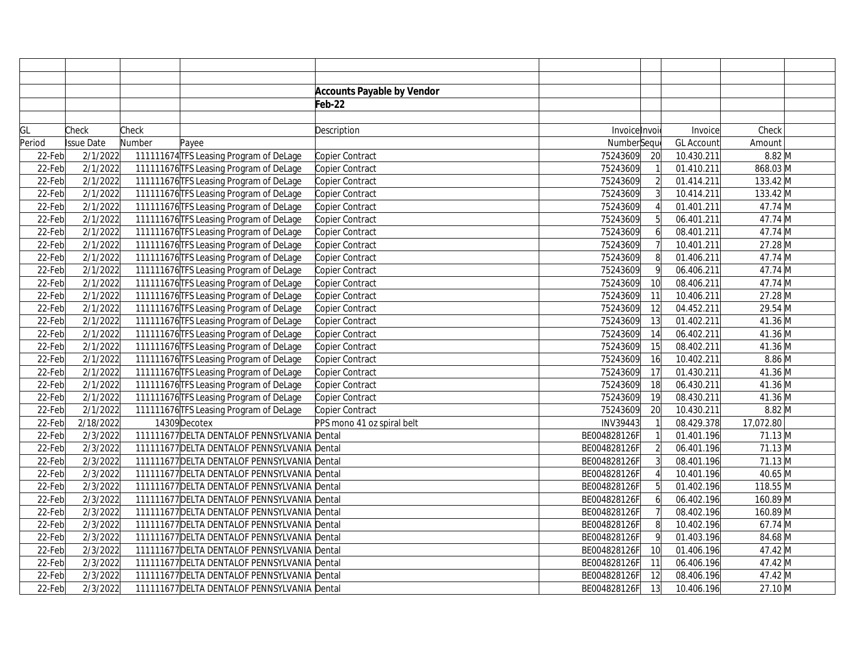|        |            |        |                                              | <b>Accounts Payable by Vendor</b> |               |                |                   |           |  |
|--------|------------|--------|----------------------------------------------|-----------------------------------|---------------|----------------|-------------------|-----------|--|
|        |            |        |                                              | Feb-22                            |               |                |                   |           |  |
|        |            |        |                                              |                                   |               |                |                   |           |  |
| GL     | Check      | Check  |                                              | Description                       | Invoice Invoi |                | Invoice           | Check     |  |
| Period | Issue Date | Number | Payee                                        |                                   | NumberSeque   |                | <b>GL Account</b> | Amount    |  |
| 22-Feb | 2/1/2022   |        | 111111674 TFS Leasing Program of DeLage      | Copier Contract                   | 75243609      | 20             | 10.430.211        | $8.82$ M  |  |
| 22-Feb | 2/1/2022   |        | 111111676 TFS Leasing Program of DeLage      | Copier Contract                   | 75243609      |                | 01.410.211        | 868.03 M  |  |
| 22-Feb | 2/1/2022   |        | 111111676 TFS Leasing Program of DeLage      | Copier Contract                   | 75243609      |                | 01.414.211        | 133.42 M  |  |
| 22-Feb | 2/1/2022   |        | 111111676 TFS Leasing Program of DeLage      | Copier Contract                   | 75243609      |                | 10.414.211        | 133.42 M  |  |
| 22-Feb | 2/1/2022   |        | 111111676 TFS Leasing Program of DeLage      | Copier Contract                   | 75243609      |                | 01.401.211        | 47.74 M   |  |
| 22-Feb | 2/1/2022   |        | 111111676 TFS Leasing Program of DeLage      | Copier Contract                   | 75243609      |                | 06.401.211        | 47.74 M   |  |
| 22-Feb | 2/1/2022   |        | 111111676 TFS Leasing Program of DeLage      | Copier Contract                   | 75243609      |                | 08.401.211        | 47.74 M   |  |
| 22-Feb | 2/1/2022   |        | 111111676 TFS Leasing Program of DeLage      | Copier Contract                   | 75243609      |                | 10.401.211        | 27.28 M   |  |
| 22-Feb | 2/1/2022   |        | 111111676 TFS Leasing Program of DeLage      | Copier Contract                   | 75243609      | 8              | 01.406.211        | 47.74 M   |  |
| 22-Feb | 2/1/2022   |        | 111111676 TFS Leasing Program of DeLage      | Copier Contract                   | 75243609      | 9              | 06.406.211        | 47.74 M   |  |
| 22-Feb | 2/1/2022   |        | 111111676 TFS Leasing Program of DeLage      | Copier Contract                   | 75243609      | 10             | 08.406.211        | 47.74 M   |  |
| 22-Feb | 2/1/2022   |        | 111111676 TFS Leasing Program of DeLage      | Copier Contract                   | 75243609      | 11             | 10.406.211        | 27.28 M   |  |
| 22-Feb | 2/1/2022   |        | 111111676 TFS Leasing Program of DeLage      | Copier Contract                   | 75243609      | 12             | 04.452.211        | 29.54 M   |  |
| 22-Feb | 2/1/2022   |        | 111111676 TFS Leasing Program of DeLage      | Copier Contract                   | 75243609      | 13             | 01.402.211        | 41.36 M   |  |
| 22-Feb | 2/1/2022   |        | 111111676 TFS Leasing Program of DeLage      | Copier Contract                   | 75243609      | 14             | 06.402.211        | 41.36 M   |  |
| 22-Feb | 2/1/2022   |        | 111111676 TFS Leasing Program of DeLage      | Copier Contract                   | 75243609      | 15             | 08.402.211        | 41.36 M   |  |
| 22-Feb | 2/1/2022   |        | 111111676 TFS Leasing Program of DeLage      | Copier Contract                   | 75243609      | 16             | 10.402.211        | $8.86$ M  |  |
| 22-Feb | 2/1/2022   |        | 111111676 TFS Leasing Program of DeLage      | Copier Contract                   | 75243609      | 17             | 01.430.211        | 41.36 M   |  |
| 22-Feb | 2/1/2022   |        | 111111676 TFS Leasing Program of DeLage      | Copier Contract                   | 75243609      | 18             | 06.430.211        | 41.36 M   |  |
| 22-Feb | 2/1/2022   |        | 111111676 TFS Leasing Program of DeLage      | Copier Contract                   | 75243609      | 19             | 08.430.211        | 41.36 M   |  |
| 22-Feb | 2/1/2022   |        | 111111676 TFS Leasing Program of DeLage      | Copier Contract                   | 75243609      | 20             | 10.430.211        | $8.82$ M  |  |
| 22-Feb | 2/18/2022  |        | 14309 Decotex                                | PPS mono 41 oz spiral belt        | INV39443      |                | 08.429.378        | 17,072.80 |  |
| 22-Feb | 2/3/2022   |        | 111111677 DELTA DENTALOF PENNSYLVANIA Dental |                                   | BE004828126F  |                | 01.401.196        | 71.13 M   |  |
| 22-Feb | 2/3/2022   |        | 111111677 DELTA DENTALOF PENNSYLVANIA Dental |                                   | BE004828126F  |                | 06.401.196        | 71.13 M   |  |
| 22-Feb | 2/3/2022   |        | 111111677 DELTA DENTALOF PENNSYLVANIA Dental |                                   | BE004828126F  |                | 08.401.196        | 71.13 M   |  |
| 22-Feb | 2/3/2022   |        | 111111677 DELTA DENTALOF PENNSYLVANIA Dental |                                   | BE004828126F  |                | 10.401.196        | 40.65 M   |  |
| 22-Feb | 2/3/2022   |        | 111111677 DELTA DENTALOF PENNSYLVANIA Dental |                                   | BE004828126F  | 5 <sup>1</sup> | 01.402.196        | 118.55 M  |  |
| 22-Feb | 2/3/2022   |        | 111111677 DELTA DENTALOF PENNSYLVANIA Dental |                                   | BE004828126F  | 6              | 06.402.196        | 160.89 M  |  |
| 22-Feb | 2/3/2022   |        | 111111677 DELTA DENTALOF PENNSYLVANIA Dental |                                   | BE004828126F  |                | 08.402.196        | 160.89 M  |  |
| 22-Feb | 2/3/2022   |        | 111111677 DELTA DENTALOF PENNSYLVANIA Dental |                                   | BE004828126F  | 8              | 10.402.196        | 67.74 M   |  |
| 22-Feb | 2/3/2022   |        | 111111677 DELTA DENTALOF PENNSYLVANIA Dental |                                   | BE004828126F  | 9              | 01.403.196        | 84.68 M   |  |
| 22-Feb | 2/3/2022   |        | 111111677 DELTA DENTALOF PENNSYLVANIA Dental |                                   | BE004828126F  | 10             | 01.406.196        | 47.42 M   |  |
| 22-Feb | 2/3/2022   |        | 111111677 DELTA DENTALOF PENNSYLVANIA Dental |                                   | BE004828126F  | 11             | 06.406.196        | 47.42 M   |  |
| 22-Feb | 2/3/2022   |        | 111111677 DELTA DENTALOF PENNSYLVANIA Dental |                                   | BE004828126F  | 12             | 08.406.196        | 47.42 M   |  |
| 22-Feb | 2/3/2022   |        | 111111677 DELTA DENTALOF PENNSYLVANIA Dental |                                   | BE004828126F  | 13             | 10.406.196        | 27.10 M   |  |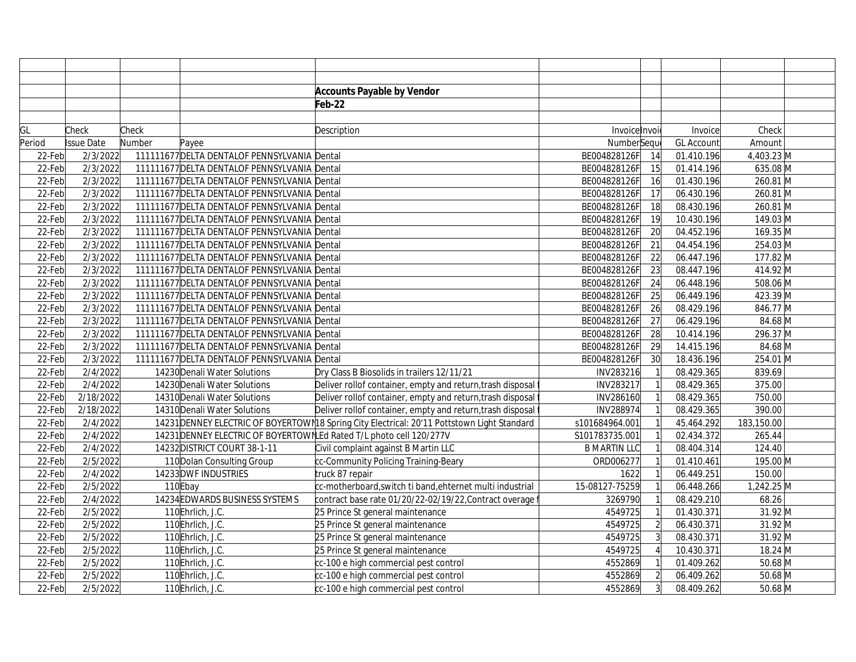|        |                   |        |                                              | <b>Accounts Payable by Vendor</b>                                                            |                     |                |                   |            |
|--------|-------------------|--------|----------------------------------------------|----------------------------------------------------------------------------------------------|---------------------|----------------|-------------------|------------|
|        |                   |        |                                              | Feb-22                                                                                       |                     |                |                   |            |
|        |                   |        |                                              |                                                                                              |                     |                |                   |            |
| GL     | Check             | Check  |                                              | Description                                                                                  | Invoice Invoi       |                | Invoice           | Check      |
| Period | <b>Issue Date</b> | Number | Payee                                        |                                                                                              | NumberSeque         |                | <b>GL Account</b> | Amount     |
| 22-Feb | 2/3/2022          |        | 111111677 DELTA DENTALOF PENNSYLVANIA Dental |                                                                                              | BE004828126F        | 14             | 01.410.196        | 4,403.23 M |
| 22-Feb | 2/3/2022          |        | 111111677 DELTA DENTALOF PENNSYLVANIA Dental |                                                                                              | BE004828126F        | 15             | 01.414.196        | 635.08 M   |
| 22-Feb | 2/3/2022          |        | 111111677 DELTA DENTALOF PENNSYLVANIA Dental |                                                                                              | BE004828126F        | 16             | 01.430.196        | 260.81 M   |
| 22-Feb | 2/3/2022          |        | 111111677 DELTA DENTALOF PENNSYLVANIA Dental |                                                                                              | BE004828126F        | 17             | 06.430.196        | 260.81 M   |
| 22-Feb | 2/3/2022          |        | 111111677 DELTA DENTALOF PENNSYLVANIA Dental |                                                                                              | BE004828126F        | 18             | 08.430.196        | 260.81 M   |
| 22-Feb | 2/3/2022          |        | 111111677 DELTA DENTALOF PENNSYLVANIA Dental |                                                                                              | BE004828126F        | 19             | 10.430.196        | 149.03 M   |
| 22-Feb | 2/3/2022          |        | 111111677 DELTA DENTALOF PENNSYLVANIA Dental |                                                                                              | BE004828126F        | 20             | 04.452.196        | 169.35 M   |
| 22-Feb | 2/3/2022          |        | 111111677 DELTA DENTALOF PENNSYLVANIA Dental |                                                                                              | BE004828126F        | 21             | 04.454.196        | 254.03 M   |
| 22-Feb | 2/3/2022          |        | 111111677 DELTA DENTALOF PENNSYLVANIA Dental |                                                                                              | BE004828126F        | 22             | 06.447.196        | 177.82 M   |
| 22-Feb | 2/3/2022          |        | 111111677 DELTA DENTALOF PENNSYLVANIA Dental |                                                                                              | BE004828126F        | 23             | 08.447.196        | 414.92 M   |
| 22-Feb | 2/3/2022          |        | 111111677 DELTA DENTALOF PENNSYLVANIA Dental |                                                                                              | BE004828126F        | 24             | 06.448.196        | 508.06 M   |
| 22-Feb | 2/3/2022          |        | 111111677 DELTA DENTALOF PENNSYLVANIA Dental |                                                                                              | BE004828126F        | 25             | 06.449.196        | 423.39 M   |
| 22-Feb | 2/3/2022          |        | 111111677 DELTA DENTALOF PENNSYLVANIA Dental |                                                                                              | BE004828126F        | 26             | 08.429.196        | 846.77 M   |
| 22-Feb | 2/3/2022          |        | 111111677 DELTA DENTALOF PENNSYLVANIA Dental |                                                                                              | BE004828126F        | 27             | 06.429.196        | 84.68 M    |
| 22-Feb | 2/3/2022          |        | 111111677 DELTA DENTALOF PENNSYLVANIA Dental |                                                                                              | BE004828126F        | 28             | 10.414.196        | 296.37 M   |
| 22-Feb | 2/3/2022          |        | 111111677 DELTA DENTALOF PENNSYLVANIA Dental |                                                                                              | BE004828126F        | 29             | 14.415.196        | 84.68 M    |
| 22-Feb | 2/3/2022          |        | 111111677 DELTA DENTALOF PENNSYLVANIA Dental |                                                                                              | BE004828126F        | 30             | 18.436.196        | 254.01 M   |
| 22-Feb | 2/4/2022          |        | 14230 Denali Water Solutions                 | Dry Class B Biosolids in trailers 12/11/21                                                   | INV283216           |                | 08.429.365        | 839.69     |
| 22-Feb | 2/4/2022          |        | 14230 Denali Water Solutions                 | Deliver rollof container, empty and return, trash disposal                                   | INV283217           |                | 08.429.365        | 375.00     |
| 22-Feb | 2/18/2022         |        | 14310 Denali Water Solutions                 | Deliver rollof container, empty and return, trash disposal                                   | INV286160           |                | 08.429.365        | 750.00     |
| 22-Feb | 2/18/2022         |        | 14310 Denali Water Solutions                 | Deliver rollof container, empty and return, trash disposal                                   | INV288974           |                | 08.429.365        | 390.00     |
| 22-Feb | 2/4/2022          |        |                                              | 14231 DENNEY ELECTRIC OF BOYERTOWN 18 Spring City Electrical: 20'11 Pottstown Light Standard | s101684964.001      |                | 45.464.292        | 183,150.00 |
| 22-Feb | 2/4/2022          |        |                                              | 14231 DENNEY ELECTRIC OF BOYERTOWN LEd Rated T/L photo cell 120/277V                         | S101783735.001      |                | 02.434.372        | 265.44     |
| 22-Feb | 2/4/2022          |        | 14232 DISTRICT COURT 38-1-11                 | Civil complaint against B Martin LLC                                                         | <b>B MARTIN LLC</b> |                | 08.404.314        | 124.40     |
| 22-Feb | 2/5/2022          |        | 110 Dolan Consulting Group                   | cc-Community Policing Training-Beary                                                         | ORD006277           |                | 01.410.461        | 195.00 M   |
| 22-Feb | 2/4/2022          |        | 14233 DWF INDUSTRIES                         | truck 87 repair                                                                              | 1622                |                | 06.449.251        | 150.00     |
| 22-Feb | 2/5/2022          |        | 110Ebay                                      | cc-motherboard, switch ti band, ehternet multi industrial                                    | 15-08127-75259      |                | 06.448.266        | 1,242.25 M |
| 22-Feb | 2/4/2022          |        | 14234 EDWARDS BUSINESS SYSTEMS               | contract base rate 01/20/22-02/19/22, Contract overage                                       | 3269790             |                | 08.429.210        | 68.26      |
| 22-Feb | 2/5/2022          |        | 110Ehrlich, J.C.                             | 25 Prince St general maintenance                                                             | 4549725             |                | 01.430.371        | 31.92 M    |
| 22-Feb | 2/5/2022          |        | 110Ehrlich, J.C.                             | 25 Prince St general maintenance                                                             | 4549725             | $\overline{2}$ | 06.430.371        | 31.92 M    |
| 22-Feb | 2/5/2022          |        | 110Ehrlich, J.C.                             | 25 Prince St general maintenance                                                             | 4549725             | $\overline{3}$ | 08.430.371        | 31.92 M    |
| 22-Feb | 2/5/2022          |        | 110Ehrlich, J.C.                             | 25 Prince St general maintenance                                                             | 4549725             |                | 10.430.371        | 18.24 M    |
| 22-Feb | 2/5/2022          |        | 110Ehrlich, J.C.                             | cc-100 e high commercial pest control                                                        | 4552869             |                | 01.409.262        | $50.68$ M  |
| 22-Feb | 2/5/2022          |        | 110Ehrlich, J.C.                             | cc-100 e high commercial pest control                                                        | 4552869             | $\overline{2}$ | 06.409.262        | $50.68$ M  |
| 22-Feb | 2/5/2022          |        | 110Ehrlich, J.C.                             | cc-100 e high commercial pest control                                                        | 4552869             | $\overline{3}$ | 08.409.262        | $50.68$ M  |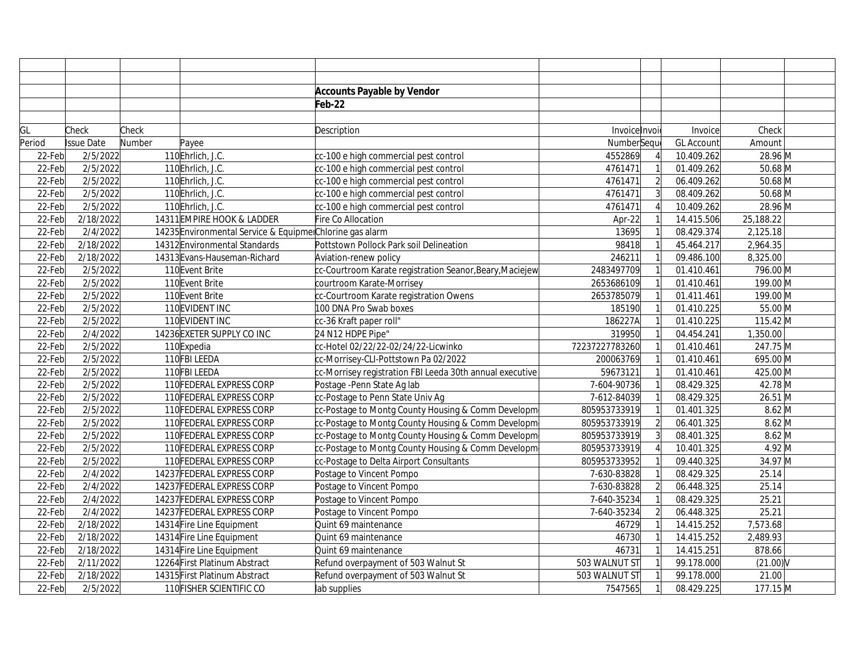|        |                      |        |                                                           | <b>Accounts Payable by Vendor</b>                        |                |                |                   |             |  |
|--------|----------------------|--------|-----------------------------------------------------------|----------------------------------------------------------|----------------|----------------|-------------------|-------------|--|
|        |                      |        |                                                           | Feb-22                                                   |                |                |                   |             |  |
|        |                      |        |                                                           |                                                          |                |                |                   |             |  |
| GL     | Check                | Check  |                                                           | Description                                              | Invoice Invoi  |                | Invoice           | Check       |  |
| Period | Issue Date           | Number | Payee                                                     |                                                          | NumberSequ     |                | <b>GL Account</b> | Amount      |  |
| 22-Feb | 2/5/2022             |        | 110Ehrlich, J.C.                                          | cc-100 e high commercial pest control                    | 4552869        |                | 10.409.262        | 28.96 M     |  |
| 22-Feb | 2/5/2022             |        | 110Ehrlich, J.C.                                          | cc-100 e high commercial pest control                    | 4761471        |                | 01.409.262        | $50.68$ M   |  |
| 22-Feb | 2/5/2022             |        | 110Ehrlich, J.C.                                          | cc-100 e high commercial pest control                    | 4761471        | $\mathfrak{D}$ | 06.409.262        | $50.68$ M   |  |
| 22-Feb | 2/5/2022             |        | 110Ehrlich, J.C.                                          | cc-100 e high commercial pest control                    | 4761471        |                | 08.409.262        | $50.68$ M   |  |
| 22-Feb | 2/5/2022             |        | 110Ehrlich, J.C.                                          | cc-100 e high commercial pest control                    | 4761471        |                | 10.409.262        | 28.96 M     |  |
| 22-Feb | 2/18/2022            |        | 14311 EMPIRE HOOK & LADDER                                | Fire Co Allocation                                       | Apr-22         |                | 14.415.506        | 25,188.22   |  |
| 22-Feb | 2/4/2022             |        | 14235 Environmental Service & Equipmer Chlorine gas alarm |                                                          | 13695          |                | 08.429.374        | 2,125.18    |  |
| 22-Feb | 2/18/2022            |        | 14312 Environmental Standards                             | Pottstown Pollock Park soil Delineation                  | 98418          |                | 45.464.217        | 2,964.35    |  |
| 22-Feb | 2/18/2022            |        | 14313 Evans-Hauseman-Richard                              | Aviation-renew policy                                    | 246211         |                | 09.486.100        | 8,325.00    |  |
| 22-Feb | 2/5/2022             |        | 110Event Brite                                            | cc-Courtroom Karate registration Seanor, Beary, Maciejew | 2483497709     |                | 01.410.461        | 796.00 M    |  |
| 22-Feb | 2/5/2022             |        | 110Event Brite                                            | courtroom Karate-Morrisey                                | 2653686109     |                | 01.410.461        | 199.00 M    |  |
| 22-Feb | 2/5/2022             |        | 110Event Brite                                            | cc-Courtroom Karate registration Owens                   | 2653785079     |                | 01.411.461        | 199.00 M    |  |
| 22-Feb | 2/5/2022             |        | 110EVIDENT INC                                            | 100 DNA Pro Swab boxes                                   | 185190         |                | 01.410.225        | 55.00 M     |  |
| 22-Feb | 2/5/2022             |        | 110EVIDENT INC                                            | cc-36 Kraft paper roll"                                  | 186227A        |                | 01.410.225        | 115.42 M    |  |
| 22-Feb | $\frac{1}{2}/4/2022$ |        | 14236 EXETER SUPPLY CO INC                                | 24 N12 HDPE Pipe"                                        | 319950         |                | 04.454.241        | 1,350.00    |  |
| 22-Feb | 2/5/2022             |        | 110Expedia                                                | cc-Hotel 02/22/22-02/24/22-Licwinko                      | 72237227783260 |                | 01.410.461        | 247.75 M    |  |
| 22-Feb | 2/5/2022             |        | 110FBI LEEDA                                              | cc-Morrisey-CLI-Pottstown Pa 02/2022                     | 200063769      |                | 01.410.461        | 695.00 M    |  |
| 22-Feb | 2/5/2022             |        | 110FBI LEEDA                                              | cc-Morrisey registration FBI Leeda 30th annual executive | 59673121       |                | 01.410.461        | 425.00 M    |  |
| 22-Feb | 2/5/2022             |        | 110 FEDERAL EXPRESS CORP                                  | Postage - Penn State Ag lab                              | 7-604-90736    |                | 08.429.325        | 42.78 M     |  |
| 22-Feb | 2/5/2022             |        | 110 FEDERAL EXPRESS CORP                                  | cc-Postage to Penn State Univ Ag                         | 7-612-84039    |                | 08.429.325        | 26.51 M     |  |
| 22-Feb | 2/5/2022             |        | 110 FEDERAL EXPRESS CORP                                  | cc-Postage to Montg County Housing & Comm Developm       | 805953733919   |                | 01.401.325        | $8.62$ M    |  |
| 22-Feb | 2/5/2022             |        | 110 FEDERAL EXPRESS CORP                                  | cc-Postage to Montg County Housing & Comm Developm       | 805953733919   | $\overline{2}$ | 06.401.325        | $8.62$ M    |  |
| 22-Feb | 2/5/2022             |        | 110 FEDERAL EXPRESS CORP                                  | cc-Postage to Montg County Housing & Comm Developm       | 805953733919   |                | 08.401.325        | $8.62$ M    |  |
| 22-Feb | 2/5/2022             |        | 110 FEDERAL EXPRESS CORP                                  | cc-Postage to Montg County Housing & Comm Developm       | 805953733919   |                | 10.401.325        | $4.92$ M    |  |
| 22-Feb | 2/5/2022             |        | 110 FEDERAL EXPRESS CORP                                  | cc-Postage to Delta Airport Consultants                  | 805953733952   |                | 09.440.325        | 34.97 M     |  |
| 22-Feb | 2/4/2022             |        | 14237 FEDERAL EXPRESS CORP                                | Postage to Vincent Pompo                                 | 7-630-83828    |                | 08.429.325        | 25.14       |  |
| 22-Feb | 2/4/2022             |        | 14237 FEDERAL EXPRESS CORP                                | Postage to Vincent Pompo                                 | 7-630-83828    | $\overline{2}$ | 06.448.325        | 25.14       |  |
| 22-Feb | 2/4/2022             |        | 14237 FEDERAL EXPRESS CORP                                | Postage to Vincent Pompo                                 | 7-640-35234    |                | 08.429.325        | 25.21       |  |
| 22-Feb | 2/4/2022             |        | 14237 FEDERAL EXPRESS CORP                                | Postage to Vincent Pompo                                 | 7-640-35234    | $\overline{2}$ | 06.448.325        | 25.21       |  |
| 22-Feb | 2/18/2022            |        | 14314 Fire Line Equipment                                 | Quint 69 maintenance                                     | 46729          |                | 14.415.252        | 7,573.68    |  |
| 22-Feb | 2/18/2022            |        | 14314 Fire Line Equipment                                 | Quint 69 maintenance                                     | 46730          |                | 14.415.252        | 2,489.93    |  |
| 22-Feb | 2/18/2022            |        | 14314 Fire Line Equipment                                 | Quint 69 maintenance                                     | 46731          |                | 14.415.251        | 878.66      |  |
| 22-Feb | 2/11/2022            |        | 12264 First Platinum Abstract                             | Refund overpayment of 503 Walnut St                      | 503 WALNUT ST  |                | 99.178.000        | $(21.00)$ V |  |
| 22-Feb | 2/18/2022            |        | 14315 First Platinum Abstract                             | Refund overpayment of 503 Walnut St                      | 503 WALNUT ST  |                | 99.178.000        | 21.00       |  |
| 22-Feb | 2/5/2022             |        | 110 FISHER SCIENTIFIC CO                                  | lab supplies                                             | 7547565        |                | 08.429.225        | 177.15 M    |  |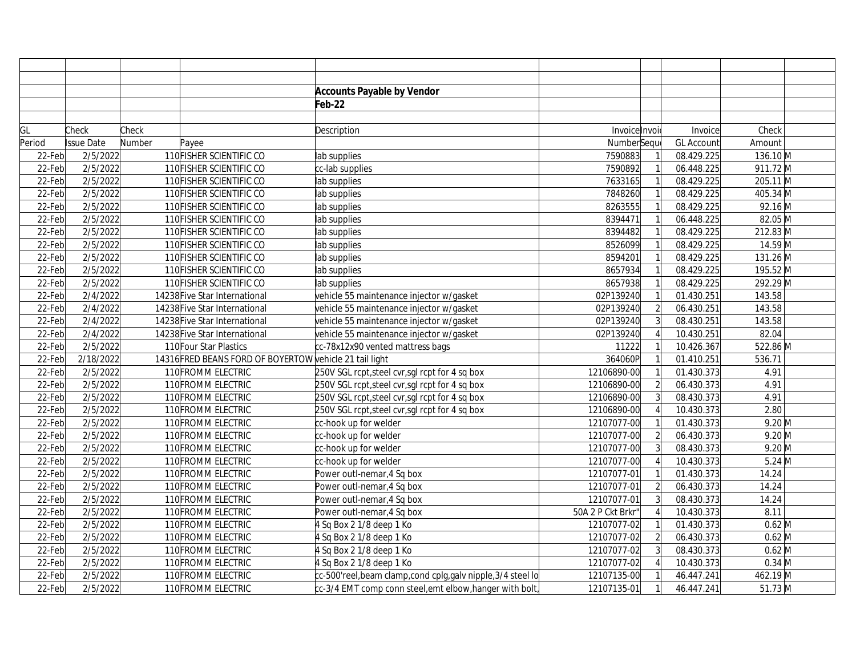|        |                   |        |                                                         | <b>Accounts Payable by Vendor</b>                         |                   |                |                   |                    |
|--------|-------------------|--------|---------------------------------------------------------|-----------------------------------------------------------|-------------------|----------------|-------------------|--------------------|
|        |                   |        |                                                         | Feb-22                                                    |                   |                |                   |                    |
|        |                   |        |                                                         |                                                           |                   |                |                   |                    |
| GL     | Check             | Check  |                                                         | Description                                               | Invoice Invoi     |                | Invoice           | Check              |
| Period | <b>Issue Date</b> | Number | Payee                                                   |                                                           | NumberSeque       |                | <b>GL Account</b> | Amount             |
| 22-Feb | 2/5/2022          |        | 110 FISHER SCIENTIFIC CO                                | lab supplies                                              | 7590883           |                | 08.429.225        | 136.10 M           |
| 22-Feb | 2/5/2022          |        | 110 FISHER SCIENTIFIC CO                                | cc-lab supplies                                           | 7590892           |                | 06.448.225        | 911.72 M           |
| 22-Feb | 2/5/2022          |        | 110 FISHER SCIENTIFIC CO                                | lab supplies                                              | 7633165           |                | 08.429.225        | 205.11 M           |
| 22-Feb | 2/5/2022          |        | 110 FISHER SCIENTIFIC CO                                | lab supplies                                              | 7848260           |                | 08.429.225        | 405.34 M           |
| 22-Feb | 2/5/2022          |        | 110 FISHER SCIENTIFIC CO                                | lab supplies                                              | 8263555           |                | 08.429.225        | $92.16$ M          |
| 22-Feb | 2/5/2022          |        | 110 FISHER SCIENTIFIC CO                                | lab supplies                                              | 8394471           |                | 06.448.225        | 82.05 M            |
| 22-Feb | 2/5/2022          |        | 110 FISHER SCIENTIFIC CO                                | lab supplies                                              | 8394482           |                | 08.429.225        | 212.83 M           |
| 22-Feb | 2/5/2022          |        | 110 FISHER SCIENTIFIC CO                                | lab supplies                                              | 8526099           |                | 08.429.225        | 14.59 M            |
| 22-Feb | 2/5/2022          |        | 110 FISHER SCIENTIFIC CO                                | lab supplies                                              | 8594201           |                | 08.429.225        | 131.26 M           |
| 22-Feb | 2/5/2022          |        | 110 FISHER SCIENTIFIC CO                                | lab supplies                                              | 8657934           |                | 08.429.225        | 195.52 M           |
| 22-Feb | 2/5/2022          |        | 110 FISHER SCIENTIFIC CO                                | lab supplies                                              | 8657938           |                | 08.429.225        | 292.29 M           |
| 22-Feb | 2/4/2022          |        | 14238 Five Star International                           | vehicle 55 maintenance injector w/gasket                  | 02P139240         |                | 01.430.251        | 143.58             |
| 22-Feb | 2/4/2022          |        | 14238 Five Star International                           | vehicle 55 maintenance injector w/gasket                  | 02P139240         |                | 06.430.251        | 143.58             |
| 22-Feb | 2/4/2022          |        | 14238 Five Star International                           | vehicle 55 maintenance injector w/gasket                  | 02P139240         |                | 08.430.251        | 143.58             |
| 22-Feb | 2/4/2022          |        | 14238 Five Star International                           | vehicle 55 maintenance injector w/gasket                  | 02P139240         |                | 10.430.251        | 82.04              |
| 22-Feb | 2/5/2022          |        | 110 Four Star Plastics                                  | cc-78x12x90 vented mattress bags                          | 11222             |                | 10.426.367        | 522.86 M           |
| 22-Feb | 2/18/2022         |        | 14316 FRED BEANS FORD OF BOYERTOW vehicle 21 tail light |                                                           | 364060P           |                | 01.410.251        | 536.71             |
| 22-Feb | 2/5/2022          |        | 110 FROMM ELECTRIC                                      | 250V SGL rcpt, steel cvr, sgl rcpt for 4 sq box           | 12106890-00       |                | 01.430.373        | 4.91               |
| 22-Feb | 2/5/2022          |        | 110 FROMM ELECTRIC                                      | 250V SGL rcpt, steel cvr, sgl rcpt for 4 sq box           | 12106890-00       |                | 06.430.373        | 4.91               |
| 22-Feb | 2/5/2022          |        | 110 FROMM ELECTRIC                                      | 250V SGL rcpt, steel cvr, sgl rcpt for 4 sq box           | 12106890-00       |                | 08.430.373        | 4.91               |
| 22-Feb | 2/5/2022          |        | 110 FROMM ELECTRIC                                      | 250V SGL rcpt, steel cvr, sgl rcpt for 4 sq box           | 12106890-00       |                | 10.430.373        | 2.80               |
| 22-Feb | 2/5/2022          |        | 110 FROMM ELECTRIC                                      | cc-hook up for welder                                     | 12107077-00       |                | 01.430.373        | $9.20$ M           |
| 22-Feb | 2/5/2022          |        | 110 FROMM ELECTRIC                                      | cc-hook up for welder                                     | 12107077-00       | $\overline{2}$ | 06.430.373        | $9.20$ M           |
| 22-Feb | 2/5/2022          |        | 110 FROMM ELECTRIC                                      | cc-hook up for welder                                     | 12107077-00       |                | 08.430.373        | $9.20$ M           |
| 22-Feb | 2/5/2022          |        | 110 FROMM ELECTRIC                                      | cc-hook up for welder                                     | 12107077-00       |                | 10.430.373        | $5.24 \, \text{M}$ |
| 22-Feb | 2/5/2022          |        | 110 FROMM ELECTRIC                                      | Power outl-nemar, 4 Sq box                                | 12107077-01       |                | 01.430.373        | 14.24              |
| 22-Feb | 2/5/2022          |        | 110 FROMM ELECTRIC                                      | Power outl-nemar, 4 Sq box                                | 12107077-01       | $\overline{2}$ | 06.430.373        | 14.24              |
| 22-Feb | 2/5/2022          |        | 110 FROMM ELECTRIC                                      | Power outl-nemar, 4 Sq box                                | 12107077-01       |                | 08.430.373        | 14.24              |
| 22-Feb | 2/5/2022          |        | 110 FROMM ELECTRIC                                      | Power outl-nemar, 4 Sq box                                | 50A 2 P Ckt Brkr" |                | 10.430.373        | 8.11               |
| 22-Feb | 2/5/2022          |        | 110 FROMM ELECTRIC                                      | 4 Sq Box 2 1/8 deep 1 Ko                                  | 12107077-02       |                | 01.430.373        | $0.62$ M           |
| 22-Feb | 2/5/2022          |        | 110 FROMM ELECTRIC                                      | 4 Sq Box 2 1/8 deep 1 Ko                                  | 12107077-02       | $\overline{2}$ | 06.430.373        | $0.62$ M           |
| 22-Feb | 2/5/2022          |        | 110 FROMM ELECTRIC                                      | 4 Sq Box 2 1/8 deep 1 Ko                                  | 12107077-02       |                | 08.430.373        | $0.62$ M           |
| 22-Feb | 2/5/2022          |        | 110 FROMM ELECTRIC                                      | 4 Sq Box 2 1/8 deep 1 Ko                                  | 12107077-02       |                | 10.430.373        | $0.34$ M           |
| 22-Feb | 2/5/2022          |        | 110 FROMM ELECTRIC                                      | cc-500'reel,beam clamp,cond cplg,galv nipple,3/4 steel lo | 12107135-00       |                | 46.447.241        | 462.19 M           |
| 22-Feb | 2/5/2022          |        | 110 FROMM ELECTRIC                                      | cc-3/4 EMT comp conn steel,emt elbow,hanger with bolt,    | 12107135-01       |                | 46.447.241        | $51.73 \, M$       |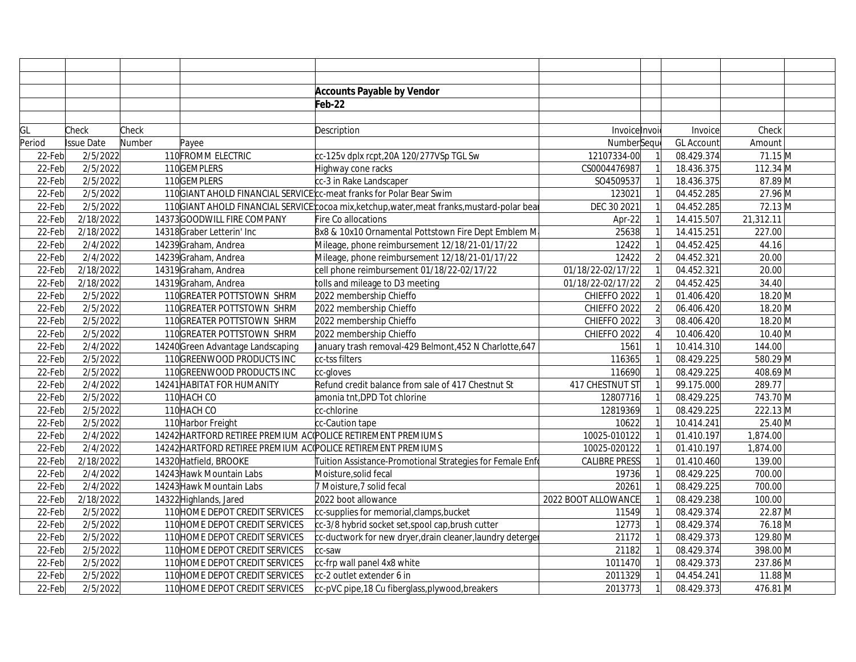|        |                   |        |                                                              | <b>Accounts Payable by Vendor</b>                                                          |                      |                |                   |              |  |
|--------|-------------------|--------|--------------------------------------------------------------|--------------------------------------------------------------------------------------------|----------------------|----------------|-------------------|--------------|--|
|        |                   |        |                                                              | Feb-22                                                                                     |                      |                |                   |              |  |
|        |                   |        |                                                              |                                                                                            |                      |                |                   |              |  |
| GL     | Check             | Check  |                                                              | Description                                                                                | Invoice Invoi        |                | Invoice           | Check        |  |
| Period | <b>Issue Date</b> | Number | Payee                                                        |                                                                                            | NumberSeque          |                | <b>GL Account</b> | Amount       |  |
| 22-Feb | 2/5/2022          |        | 110 FROMM ELECTRIC                                           | cc-125v dplx rcpt,20A 120/277VSp TGL Sw                                                    | 12107334-00          |                | 08.429.374        | 71.15 M      |  |
| 22-Feb | 2/5/2022          |        | 110GEMPLERS                                                  | Highway cone racks                                                                         | CS0004476987         |                | 18.436.375        | 112.34 M     |  |
| 22-Feb | 2/5/2022          |        | 110GEMPLERS                                                  | cc-3 in Rake Landscaper                                                                    | SO4509537            |                | 18.436.375        | 87.89 M      |  |
| 22-Feb | 2/5/2022          |        |                                                              | 110 GIANT AHOLD FINANCIAL SERVICE c-meat franks for Polar Bear Swim                        | 123021               |                | 04.452.285        | 27.96 M      |  |
| 22-Feb | 2/5/2022          |        |                                                              | 110GIANT AHOLD FINANCIAL SERVICE cocoa mix, ketchup, water, meat franks, mustard-polar bea | DEC 30 2021          |                | 04.452.285        | 72.13 M      |  |
| 22-Feb | 2/18/2022         |        | 14373 GOODWILL FIRE COMPANY                                  | Fire Co allocations                                                                        | Apr-22               |                | 14.415.507        | 21,312.11    |  |
| 22-Feb | 2/18/2022         |        | 14318 Graber Letterin' Inc                                   | 8x8 & 10x10 Ornamental Pottstown Fire Dept Emblem M                                        | 25638                |                | 14.415.251        | 227.00       |  |
| 22-Feb | 2/4/2022          |        | 14239 Graham, Andrea                                         | Mileage, phone reimbursement 12/18/21-01/17/22                                             | 12422                |                | 04.452.425        | 44.16        |  |
| 22-Feb | 2/4/2022          |        | 14239 Graham, Andrea                                         | Mileage, phone reimbursement 12/18/21-01/17/22                                             | 12422                | $\overline{2}$ | 04.452.321        | 20.00        |  |
| 22-Feb | 2/18/2022         |        | 14319 Graham, Andrea                                         | cell phone reimbursement 01/18/22-02/17/22                                                 | 01/18/22-02/17/22    |                | 04.452.321        | 20.00        |  |
| 22-Feb | 2/18/2022         |        | 14319 Graham, Andrea                                         | tolls and mileage to D3 meeting                                                            | 01/18/22-02/17/22    |                | 04.452.425        | 34.40        |  |
| 22-Feb | 2/5/2022          |        | 110 GREATER POTTSTOWN SHRM                                   | 2022 membership Chieffo                                                                    | CHIEFFO 2022         |                | 01.406.420        | 18.20 M      |  |
| 22-Feb | 2/5/2022          |        | 110 GREATER POTTSTOWN SHRM                                   | 2022 membership Chieffo                                                                    | CHIEFFO 2022         | $\overline{2}$ | 06.406.420        | 18.20 M      |  |
| 22-Feb | 2/5/2022          |        | 110 GREATER POTTSTOWN SHRM                                   | 2022 membership Chieffo                                                                    | CHIEFFO 2022         |                | 08.406.420        | 18.20 M      |  |
| 22-Feb | 2/5/2022          |        | 110 GREATER POTTSTOWN SHRM                                   | 2022 membership Chieffo                                                                    | CHIEFFO 2022         |                | 10.406.420        | $10.40$ M    |  |
| 22-Feb | 2/4/2022          |        | 14240 Green Advantage Landscaping                            | January trash removal-429 Belmont, 452 N Charlotte, 647                                    | 1561                 |                | 10.414.310        | 144.00       |  |
| 22-Feb | 2/5/2022          |        | 110 GREENWOOD PRODUCTS INC                                   | cc-tss filters                                                                             | 116365               |                | 08.429.225        | 580.29 M     |  |
| 22-Feb | 2/5/2022          |        | 110GREENWOOD PRODUCTS INC                                    | cc-gloves                                                                                  | 116690               |                | 08.429.225        | 408.69 M     |  |
| 22-Feb | 2/4/2022          |        | 14241 HABITAT FOR HUMANITY                                   | Refund credit balance from sale of 417 Chestnut St                                         | 417 CHESTNUT ST      |                | 99.175.000        | 289.77       |  |
| 22-Feb | 2/5/2022          |        | 110 HACH CO                                                  | amonia tnt, DPD Tot chlorine                                                               | 12807716             |                | 08.429.225        | 743.70 M     |  |
| 22-Feb | 2/5/2022          |        | 110 HACH CO                                                  | cc-chlorine                                                                                | 12819369             |                | 08.429.225        | 222.13 M     |  |
| 22-Feb | 2/5/2022          |        | 110 Harbor Freight                                           | cc-Caution tape                                                                            | 10622                |                | 10.414.241        | 25.40 M      |  |
| 22-Feb | 2/4/2022          |        | 14242 HARTFORD RETIREE PREMIUM AC POLICE RETIREMENT PREMIUMS |                                                                                            | 10025-010122         |                | 01.410.197        | 1,874.00     |  |
| 22-Feb | 2/4/2022          |        | 14242 HARTFORD RETIREE PREMIUM AC POLICE RETIREMENT PREMIUMS |                                                                                            | 10025-020122         |                | 01.410.197        | 1,874.00     |  |
| 22-Feb | 2/18/2022         |        | 14320 Hatfield, BROOKE                                       | Tuition Assistance-Promotional Strategies for Female Enf                                   | <b>CALIBRE PRESS</b> |                | 01.410.460        | 139.00       |  |
| 22-Feb | 2/4/2022          |        | 14243 Hawk Mountain Labs                                     | Moisture, solid fecal                                                                      | 19736                |                | 08.429.225        | 700.00       |  |
| 22-Feb | 2/4/2022          |        | 14243 Hawk Mountain Labs                                     | 7 Moisture, 7 solid fecal                                                                  | 20261                |                | 08.429.225        | 700.00       |  |
| 22-Feb | 2/18/2022         |        | 14322 Highlands, Jared                                       | 2022 boot allowance                                                                        | 2022 BOOT ALLOWANCE  |                | 08.429.238        | 100.00       |  |
| 22-Feb | 2/5/2022          |        | 110 HOME DEPOT CREDIT SERVICES                               | cc-supplies for memorial, clamps, bucket                                                   | 11549                |                | 08.429.374        | 22.87 M      |  |
| 22-Feb | 2/5/2022          |        | 110 HOME DEPOT CREDIT SERVICES                               | cc-3/8 hybrid socket set, spool cap, brush cutter                                          | 12773                |                | 08.429.374        | 76.18 M      |  |
| 22-Feb | 2/5/2022          |        | 110 HOME DEPOT CREDIT SERVICES                               | cc-ductwork for new dryer, drain cleaner, laundry deterge                                  | 21172                |                | 08.429.373        | 129.80 M     |  |
| 22-Feb | 2/5/2022          |        | 110 HOME DEPOT CREDIT SERVICES                               | cc-saw                                                                                     | 21182                |                | 08.429.374        | 398.00 M     |  |
| 22-Feb | 2/5/2022          |        | 110 HOME DEPOT CREDIT SERVICES                               | cc-frp wall panel 4x8 white                                                                | 1011470              |                | 08.429.373        | 237.86 M     |  |
| 22-Feb | 2/5/2022          |        | 110 HOME DEPOT CREDIT SERVICES                               | cc-2 outlet extender 6 in                                                                  | 2011329              |                | 04.454.241        | $11.88 \, M$ |  |
| 22-Feb | 2/5/2022          |        | 110 HOME DEPOT CREDIT SERVICES                               | cc-pVC pipe, 18 Cu fiberglass, plywood, breakers                                           | 2013773              |                | 08.429.373        | 476.81 M     |  |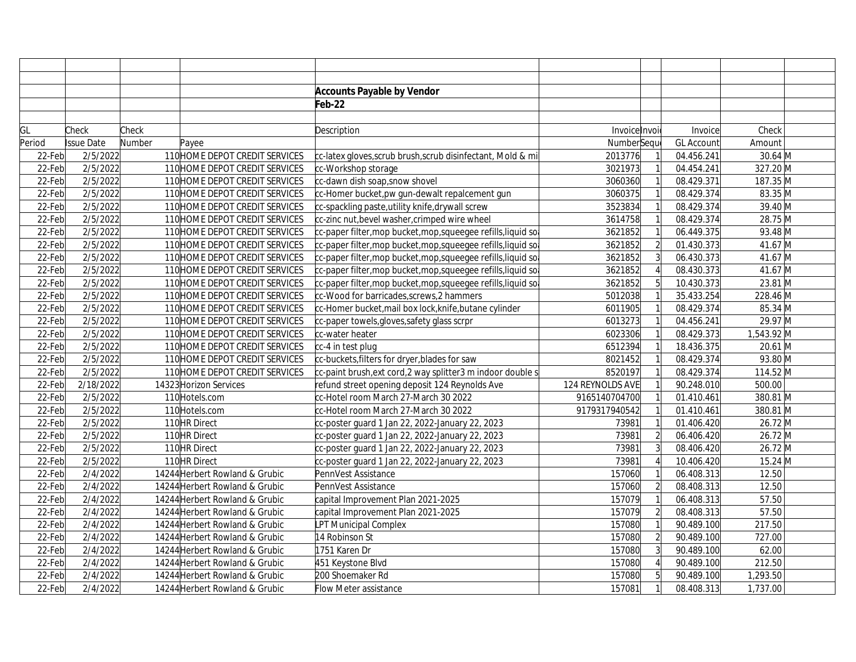|        |                   |        |                                | <b>Accounts Payable by Vendor</b>                             |                  |                |                   |            |  |
|--------|-------------------|--------|--------------------------------|---------------------------------------------------------------|------------------|----------------|-------------------|------------|--|
|        |                   |        |                                | Feb-22                                                        |                  |                |                   |            |  |
|        |                   |        |                                |                                                               |                  |                |                   |            |  |
| GL     | Check             | Check  |                                | Description                                                   | Invoice Invoi    |                | Invoice           | Check      |  |
| Period | <b>Issue Date</b> | Number | Payee                          |                                                               | NumberSeque      |                | <b>GL Account</b> | Amount     |  |
| 22-Feb | 2/5/2022          |        | 110 HOME DEPOT CREDIT SERVICES | cc-latex gloves, scrub brush, scrub disinfectant, Mold & mi   | 2013776          |                | 04.456.241        | $30.64$ M  |  |
| 22-Feb | 2/5/2022          |        | 110 HOME DEPOT CREDIT SERVICES | cc-Workshop storage                                           | 3021973          |                | 04.454.241        | 327.20 M   |  |
| 22-Feb | 2/5/2022          |        | 110 HOME DEPOT CREDIT SERVICES | cc-dawn dish soap, snow shovel                                | 3060360          |                | 08.429.371        | 187.35 M   |  |
| 22-Feb | 2/5/2022          |        | 110 HOME DEPOT CREDIT SERVICES | cc-Homer bucket, pw gun-dewalt repalcement gun                | 3060375          |                | 08.429.374        | 83.35 M    |  |
| 22-Feb | 2/5/2022          |        | 110 HOME DEPOT CREDIT SERVICES | cc-spackling paste, utility knife, drywall screw              | 3523834          |                | 08.429.374        | 39.40 M    |  |
| 22-Feb | 2/5/2022          |        | 110 HOME DEPOT CREDIT SERVICES | cc-zinc nut, bevel washer, crimped wire wheel                 | 3614758          |                | 08.429.374        | 28.75 M    |  |
| 22-Feb | 2/5/2022          |        | 110 HOME DEPOT CREDIT SERVICES | cc-paper filter, mop bucket, mop, squeegee refills, liquid so | 3621852          |                | 06.449.375        | 93.48 M    |  |
| 22-Feb | 2/5/2022          |        | 110 HOME DEPOT CREDIT SERVICES | cc-paper filter, mop bucket, mop, squeegee refills, liquid so | 3621852          | $\overline{2}$ | 01.430.373        | 41.67 $M$  |  |
| 22-Feb | 2/5/2022          |        | 110 HOME DEPOT CREDIT SERVICES | cc-paper filter, mop bucket, mop, squeegee refills, liquid so | 3621852          | $\overline{3}$ | 06.430.373        | 41.67 M    |  |
| 22-Feb | 2/5/2022          |        | 110 HOME DEPOT CREDIT SERVICES | cc-paper filter, mop bucket, mop, squeegee refills, liquid so | 3621852          |                | 08.430.373        | 41.67 M    |  |
| 22-Feb | 2/5/2022          |        | 110 HOME DEPOT CREDIT SERVICES | cc-paper filter, mop bucket, mop, squeegee refills, liquid so | 3621852          |                | 10.430.373        | 23.81 M    |  |
| 22-Feb | 2/5/2022          |        | 110 HOME DEPOT CREDIT SERVICES | cc-Wood for barricades, screws, 2 hammers                     | 5012038          |                | 35.433.254        | 228.46 M   |  |
| 22-Feb | 2/5/2022          |        | 110 HOME DEPOT CREDIT SERVICES | cc-Homer bucket, mail box lock, knife, butane cylinder        | 6011905          |                | 08.429.374        | 85.34 M    |  |
| 22-Feb | 2/5/2022          |        | 110 HOME DEPOT CREDIT SERVICES | cc-paper towels, gloves, safety glass scrpr                   | 6013273          |                | 04.456.241        | 29.97 M    |  |
| 22-Feb | 2/5/2022          |        | 110 HOME DEPOT CREDIT SERVICES | cc-water heater                                               | 6023306          |                | 08.429.373        | 1,543.92 M |  |
| 22-Feb | 2/5/2022          |        | 110 HOME DEPOT CREDIT SERVICES | cc-4 in test plug                                             | 6512394          |                | 18.436.375        | 20.61 M    |  |
| 22-Feb | 2/5/2022          |        | 110 HOME DEPOT CREDIT SERVICES | cc-buckets, filters for dryer, blades for saw                 | 8021452          |                | 08.429.374        | 93.80 M    |  |
| 22-Feb | 2/5/2022          |        | 110 HOME DEPOT CREDIT SERVICES | c-paint brush, ext cord, 2 way splitter 3 m indoor double s   | 8520197          |                | 08.429.374        | 114.52 M   |  |
| 22-Feb | 2/18/2022         |        | 14323 Horizon Services         | refund street opening deposit 124 Reynolds Ave                | 124 REYNOLDS AVE |                | 90.248.010        | 500.00     |  |
| 22-Feb | 2/5/2022          |        | 110 Hotels.com                 | cc-Hotel room March 27-March 30 2022                          | 9165140704700    |                | 01.410.461        | 380.81 M   |  |
| 22-Feb | 2/5/2022          |        | 110 Hotels.com                 | cc-Hotel room March 27-March 30 2022                          | 9179317940542    |                | 01.410.461        | 380.81 M   |  |
| 22-Feb | 2/5/2022          |        | 110 HR Direct                  | cc-poster guard 1 Jan 22, 2022-January 22, 2023               | 73981            |                | 01.406.420        | 26.72 M    |  |
| 22-Feb | 2/5/2022          |        | 110 HR Direct                  | cc-poster guard 1 Jan 22, 2022-January 22, 2023               | 73981            | $\overline{2}$ | 06.406.420        | 26.72 M    |  |
| 22-Feb | 2/5/2022          |        | 110 HR Direct                  | cc-poster guard 1 Jan 22, 2022-January 22, 2023               | 73981            |                | 08.406.420        | 26.72 M    |  |
| 22-Feb | 2/5/2022          |        | 110 HR Direct                  | cc-poster guard 1 Jan 22, 2022-January 22, 2023               | 73981            |                | 10.406.420        | 15.24 M    |  |
| 22-Feb | 2/4/2022          |        | 14244 Herbert Rowland & Grubic | PennVest Assistance                                           | 157060           |                | 06.408.313        | 12.50      |  |
| 22-Feb | 2/4/2022          |        | 14244 Herbert Rowland & Grubic | PennVest Assistance                                           | 157060           | $\overline{2}$ | 08.408.313        | 12.50      |  |
| 22-Feb | 2/4/2022          |        | 14244 Herbert Rowland & Grubic | capital Improvement Plan 2021-2025                            | 157079           |                | 06.408.313        | 57.50      |  |
| 22-Feb | 2/4/2022          |        | 14244 Herbert Rowland & Grubic | capital Improvement Plan 2021-2025                            | 157079           | $\overline{2}$ | 08.408.313        | 57.50      |  |
| 22-Feb | 2/4/2022          |        | 14244 Herbert Rowland & Grubic | LPT Municipal Complex                                         | 157080           |                | 90.489.100        | 217.50     |  |
| 22-Feb | 2/4/2022          |        | 14244 Herbert Rowland & Grubic | 14 Robinson St                                                | 157080           |                | 90.489.100        | 727.00     |  |
| 22-Feb | 2/4/2022          |        | 14244 Herbert Rowland & Grubic | 1751 Karen Dr                                                 | 157080           |                | 90.489.100        | 62.00      |  |
| 22-Feb | 2/4/2022          |        | 14244 Herbert Rowland & Grubic | 451 Keystone Blvd                                             | 157080           |                | 90.489.100        | 212.50     |  |
| 22-Feb | 2/4/2022          |        | 14244 Herbert Rowland & Grubic | 200 Shoemaker Rd                                              | 157080           |                | 90.489.100        | 1,293.50   |  |
| 22-Feb | 2/4/2022          |        | 14244 Herbert Rowland & Grubic | Flow Meter assistance                                         | 157081           |                | 08.408.313        | 1,737.00   |  |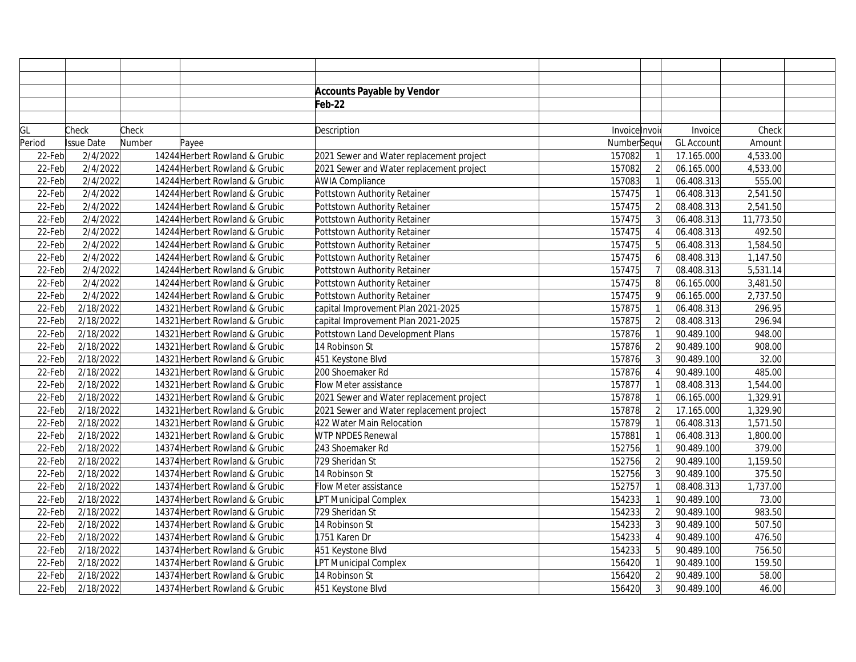|        |                   |        |                                | <b>Accounts Payable by Vendor</b>        |              |                |                   |           |  |
|--------|-------------------|--------|--------------------------------|------------------------------------------|--------------|----------------|-------------------|-----------|--|
|        |                   |        |                                | Feb-22                                   |              |                |                   |           |  |
|        |                   |        |                                |                                          |              |                |                   |           |  |
| GL     | Check             | Check  |                                | Description                              | Invoicelnvoi |                | Invoice           | Check     |  |
| Period | <b>Issue Date</b> | Number | Payee                          |                                          | NumberSequ   |                | <b>GL Account</b> | Amount    |  |
| 22-Feb | 2/4/2022          |        | 14244 Herbert Rowland & Grubic | 2021 Sewer and Water replacement project | 157082       |                | 17.165.000        | 4,533.00  |  |
| 22-Feb | 2/4/2022          |        | 14244 Herbert Rowland & Grubic | 2021 Sewer and Water replacement project | 157082       | $\overline{2}$ | 06.165.000        | 4,533.00  |  |
| 22-Feb | 2/4/2022          |        | 14244 Herbert Rowland & Grubic | <b>AWIA Compliance</b>                   | 157083       |                | 06.408.313        | 555.00    |  |
| 22-Feb | 2/4/2022          |        | 14244 Herbert Rowland & Grubic | Pottstown Authority Retainer             | 157475       |                | 06.408.313        | 2,541.50  |  |
| 22-Feb | 2/4/2022          |        | 14244 Herbert Rowland & Grubic | Pottstown Authority Retainer             | 157475       | $\overline{2}$ | 08.408.313        | 2,541.50  |  |
| 22-Feb | 2/4/2022          |        | 14244 Herbert Rowland & Grubic | Pottstown Authority Retainer             | 157475       |                | 06.408.313        | 11,773.50 |  |
| 22-Feb | 2/4/2022          |        | 14244 Herbert Rowland & Grubic | Pottstown Authority Retainer             | 157475       |                | 06.408.313        | 492.50    |  |
| 22-Feb | 2/4/2022          |        | 14244 Herbert Rowland & Grubic | Pottstown Authority Retainer             | 157475       |                | 06.408.313        | 1,584.50  |  |
| 22-Feb | 2/4/2022          |        | 14244 Herbert Rowland & Grubic | Pottstown Authority Retainer             | 157475       | 6              | 08.408.313        | 1,147.50  |  |
| 22-Feb | 2/4/2022          |        | 14244 Herbert Rowland & Grubic | Pottstown Authority Retainer             | 157475       |                | 08.408.313        | 5,531.14  |  |
| 22-Feb | 2/4/2022          |        | 14244 Herbert Rowland & Grubic | Pottstown Authority Retainer             | 157475       |                | 06.165.000        | 3,481.50  |  |
| 22-Feb | 2/4/2022          |        | 14244 Herbert Rowland & Grubic | Pottstown Authority Retainer             | 157475       |                | 06.165.000        | 2,737.50  |  |
| 22-Feb | 2/18/2022         |        | 14321 Herbert Rowland & Grubic | capital Improvement Plan 2021-2025       | 157875       |                | 06.408.313        | 296.95    |  |
| 22-Feb | 2/18/2022         |        | 14321 Herbert Rowland & Grubic | capital Improvement Plan 2021-2025       | 157875       | $\overline{2}$ | 08.408.313        | 296.94    |  |
| 22-Feb | 2/18/2022         |        | 14321 Herbert Rowland & Grubic | Pottstown Land Development Plans         | 157876       |                | 90.489.100        | 948.00    |  |
| 22-Feb | 2/18/2022         |        | 14321 Herbert Rowland & Grubic | 14 Robinson St                           | 157876       | $\overline{2}$ | 90.489.100        | 908.00    |  |
| 22-Feb | 2/18/2022         |        | 14321 Herbert Rowland & Grubic | 451 Keystone Blvd                        | 157876       | 3              | 90.489.100        | 32.00     |  |
| 22-Feb | 2/18/2022         |        | 14321 Herbert Rowland & Grubic | 200 Shoemaker Rd                         | 157876       |                | 90.489.100        | 485.00    |  |
| 22-Feb | 2/18/2022         |        | 14321 Herbert Rowland & Grubic | Flow Meter assistance                    | 157877       |                | 08.408.313        | 1,544.00  |  |
| 22-Feb | 2/18/2022         |        | 14321 Herbert Rowland & Grubic | 2021 Sewer and Water replacement project | 157878       |                | 06.165.000        | 1,329.91  |  |
| 22-Feb | 2/18/2022         |        | 14321 Herbert Rowland & Grubic | 2021 Sewer and Water replacement project | 157878       | $\overline{2}$ | 17.165.000        | 1,329.90  |  |
| 22-Feb | 2/18/2022         |        | 14321 Herbert Rowland & Grubic | 422 Water Main Relocation                | 157879       |                | 06.408.313        | 1,571.50  |  |
| 22-Feb | 2/18/2022         |        | 14321 Herbert Rowland & Grubic | WTP NPDES Renewal                        | 157881       |                | 06.408.313        | 1,800.00  |  |
| 22-Feb | 2/18/2022         |        | 14374 Herbert Rowland & Grubic | 243 Shoemaker Rd                         | 152756       |                | 90.489.100        | 379.00    |  |
| 22-Feb | 2/18/2022         |        | 14374 Herbert Rowland & Grubic | 729 Sheridan St                          | 152756       | $\overline{2}$ | 90.489.100        | 1,159.50  |  |
| 22-Feb | 2/18/2022         |        | 14374 Herbert Rowland & Grubic | 14 Robinson St                           | 152756       | 3              | 90.489.100        | 375.50    |  |
| 22-Feb | 2/18/2022         |        | 14374 Herbert Rowland & Grubic | Flow Meter assistance                    | 152757       |                | 08.408.313        | 1,737.00  |  |
| 22-Feb | 2/18/2022         |        | 14374 Herbert Rowland & Grubic | PT Municipal Complex                     | 154233       |                | 90.489.100        | 73.00     |  |
| 22-Feb | 2/18/2022         |        | 14374 Herbert Rowland & Grubic | 729 Sheridan St                          | 154233       | $\overline{2}$ | 90.489.100        | 983.50    |  |
| 22-Feb | 2/18/2022         |        | 14374 Herbert Rowland & Grubic | 14 Robinson St                           | 154233       |                | 90.489.100        | 507.50    |  |
| 22-Feb | 2/18/2022         |        | 14374 Herbert Rowland & Grubic | 1751 Karen Dr                            | 154233       |                | 90.489.100        | 476.50    |  |
| 22-Feb | 2/18/2022         |        | 14374 Herbert Rowland & Grubic | 451 Keystone Blvd                        | 154233       |                | 90.489.100        | 756.50    |  |
| 22-Feb | 2/18/2022         |        | 14374 Herbert Rowland & Grubic | PT Municipal Complex                     | 156420       |                | 90.489.100        | 159.50    |  |
| 22-Feb | 2/18/2022         |        | 14374 Herbert Rowland & Grubic | 14 Robinson St                           | 156420       | $\overline{2}$ | 90.489.100        | 58.00     |  |
| 22-Feb | 2/18/2022         |        | 14374 Herbert Rowland & Grubic | 451 Keystone Blvd                        | 156420       | 3              | 90.489.100        | 46.00     |  |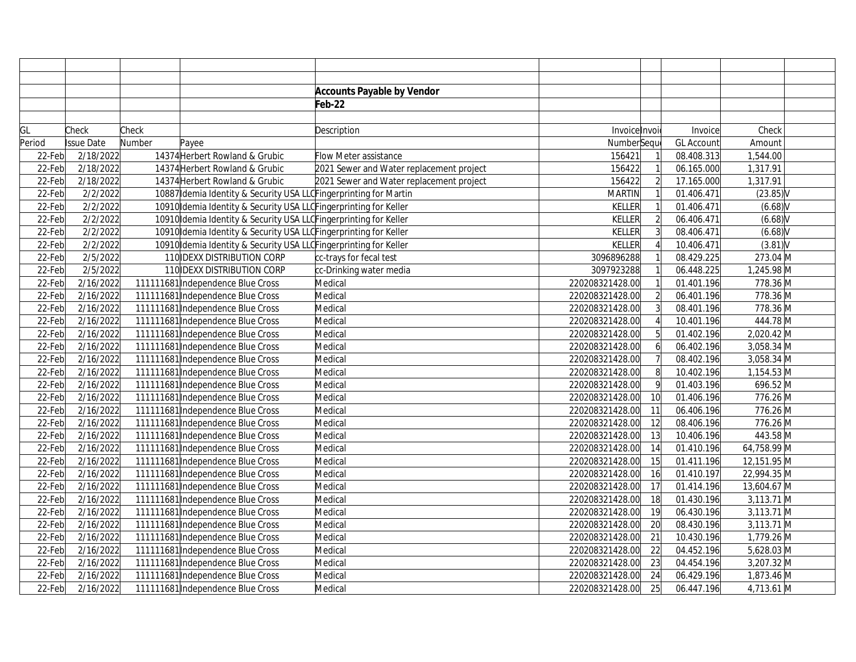|        |            |        |                                                                    | <b>Accounts Payable by Vendor</b>        |                 |                 |                   |             |  |
|--------|------------|--------|--------------------------------------------------------------------|------------------------------------------|-----------------|-----------------|-------------------|-------------|--|
|        |            |        |                                                                    | Feb-22                                   |                 |                 |                   |             |  |
|        |            |        |                                                                    |                                          |                 |                 |                   |             |  |
| GL     | Check      | Check  |                                                                    | Description                              | Invoice Invoi   |                 | Invoice           | Check       |  |
| Period | Issue Date | Number | Payee                                                              |                                          | NumberSeque     |                 | <b>GL Account</b> | Amount      |  |
| 22-Feb | 2/18/2022  |        | 14374 Herbert Rowland & Grubic                                     | <b>Flow Meter assistance</b>             | 156421          |                 | 08.408.313        | 1,544.00    |  |
| 22-Feb | 2/18/2022  |        | 14374 Herbert Rowland & Grubic                                     | 2021 Sewer and Water replacement project | 156422          |                 | 06.165.000        | 1,317.91    |  |
| 22-Feb | 2/18/2022  |        | 14374 Herbert Rowland & Grubic                                     | 2021 Sewer and Water replacement project | 156422          | $\overline{2}$  | 17.165.000        | 1,317.91    |  |
| 22-Feb | 2/2/2022   |        | 10887 Idemia Identity & Security USA LLC Fingerprinting for Martin |                                          | <b>MARTIN</b>   |                 | 01.406.471        | $(23.85)$ V |  |
| 22-Feb | 2/2/2022   |        | 10910 Idemia Identity & Security USA LLO Fingerprinting for Keller |                                          | <b>KELLER</b>   |                 | 01.406.471        | (6.68)      |  |
| 22-Feb | 2/2/2022   |        | 10910 Idemia Identity & Security USA LLOFingerprinting for Keller  |                                          | <b>KELLER</b>   | $\overline{2}$  | 06.406.471        | (6.68)      |  |
| 22-Feb | 2/2/2022   |        | 10910 Idemia Identity & Security USA LLOFingerprinting for Keller  |                                          | <b>KELLER</b>   | $\overline{3}$  | 08.406.471        | (6.68)      |  |
| 22-Feb | 2/2/2022   |        | 10910 Idemia Identity & Security USA LLOFingerprinting for Keller  |                                          | <b>KELLER</b>   |                 | 10.406.471        | $(3.81)$ V  |  |
| 22-Feb | 2/5/2022   |        | 110 IDEXX DISTRIBUTION CORP                                        | cc-trays for fecal test                  | 3096896288      |                 | 08.429.225        | 273.04 M    |  |
| 22-Feb | 2/5/2022   |        | 110 IDEXX DISTRIBUTION CORP                                        | cc-Drinking water media                  | 3097923288      |                 | 06.448.225        | 1,245.98 M  |  |
| 22-Feb | 2/16/2022  |        | 111111681 Independence Blue Cross                                  | Medical                                  | 220208321428.00 |                 | 01.401.196        | 778.36 M    |  |
| 22-Feb | 2/16/2022  |        | 111111681 Independence Blue Cross                                  | Medical                                  | 220208321428.00 | $\overline{2}$  | 06.401.196        | 778.36 M    |  |
| 22-Feb | 2/16/2022  |        | 111111681 Independence Blue Cross                                  | Medical                                  | 220208321428.00 | 3               | 08.401.196        | 778.36 M    |  |
| 22-Feb | 2/16/2022  |        | 111111681 Independence Blue Cross                                  | Medical                                  | 220208321428.00 |                 | 10.401.196        | 444.78 M    |  |
| 22-Feb | 2/16/2022  |        | 111111681 Independence Blue Cross                                  | Medical                                  | 220208321428.00 | 5               | 01.402.196        | 2,020.42 M  |  |
| 22-Feb | 2/16/2022  |        | 111111681 Independence Blue Cross                                  | Medical                                  | 220208321428.00 | 6               | 06.402.196        | 3,058.34 M  |  |
| 22-Feb | 2/16/2022  |        | 111111681 Independence Blue Cross                                  | Medical                                  | 220208321428.00 | $\overline{7}$  | 08.402.196        | 3,058.34 M  |  |
| 22-Feb | 2/16/2022  |        | 111111681 Independence Blue Cross                                  | Medical                                  | 220208321428.00 | $\mathbf{8}$    | 10.402.196        | 1,154.53 M  |  |
| 22-Feb | 2/16/2022  |        | 111111681 Independence Blue Cross                                  | Medical                                  | 220208321428.00 | 9               | 01.403.196        | 696.52 M    |  |
| 22-Feb | 2/16/2022  |        | 111111681 Independence Blue Cross                                  | Medical                                  | 220208321428.00 | 10 <sup>1</sup> | 01.406.196        | 776.26 M    |  |
| 22-Feb | 2/16/2022  |        | 111111681 Independence Blue Cross                                  | Medical                                  | 220208321428.00 | 11              | 06.406.196        | 776.26 M    |  |
| 22-Feb | 2/16/2022  |        | 111111681 Independence Blue Cross                                  | Medical                                  | 220208321428.00 | 12              | 08.406.196        | 776.26 M    |  |
| 22-Feb | 2/16/2022  |        | 111111681 Independence Blue Cross                                  | Medical                                  | 220208321428.00 | 13              | 10.406.196        | 443.58 M    |  |
| 22-Feb | 2/16/2022  |        | 111111681 Independence Blue Cross                                  | Medical                                  | 220208321428.00 | 14              | 01.410.196        | 64,758.99 M |  |
| 22-Feb | 2/16/2022  |        | 111111681 Independence Blue Cross                                  | Medical                                  | 220208321428.00 | 15              | 01.411.196        | 12,151.95 M |  |
| 22-Feb | 2/16/2022  |        | 111111681 Independence Blue Cross                                  | Medical                                  | 220208321428.00 | 16              | 01.410.197        | 22,994.35 M |  |
| 22-Feb | 2/16/2022  |        | 111111681 Independence Blue Cross                                  | Medical                                  | 220208321428.00 | 17              | 01.414.196        | 13,604.67 M |  |
| 22-Feb | 2/16/2022  |        | 111111681 Independence Blue Cross                                  | Medical                                  | 220208321428.00 | 18              | 01.430.196        | 3,113.71 M  |  |
| 22-Feb | 2/16/2022  |        | 111111681 Independence Blue Cross                                  | Medical                                  | 220208321428.00 | 19              | 06.430.196        | 3,113.71 M  |  |
| 22-Feb | 2/16/2022  |        | 111111681 Independence Blue Cross                                  | Medical                                  | 220208321428.00 | 20              | 08.430.196        | 3,113.71 M  |  |
| 22-Feb | 2/16/2022  |        | 111111681 Independence Blue Cross                                  | Medical                                  | 220208321428.00 | 21              | 10.430.196        | 1,779.26 M  |  |
| 22-Feb | 2/16/2022  |        | 111111681 Independence Blue Cross                                  | Medical                                  | 220208321428.00 | 22              | 04.452.196        | 5,628.03 M  |  |
| 22-Feb | 2/16/2022  |        | 111111681 Independence Blue Cross                                  | Medical                                  | 220208321428.00 | 23              | 04.454.196        | 3,207.32 M  |  |
| 22-Feb | 2/16/2022  |        | 111111681 Independence Blue Cross                                  | Medical                                  | 220208321428.00 | 24              | 06.429.196        | 1,873.46 M  |  |
| 22-Feb | 2/16/2022  |        | 111111681 Independence Blue Cross                                  | Medical                                  | 220208321428.00 | 25              | 06.447.196        | 4,713.61 M  |  |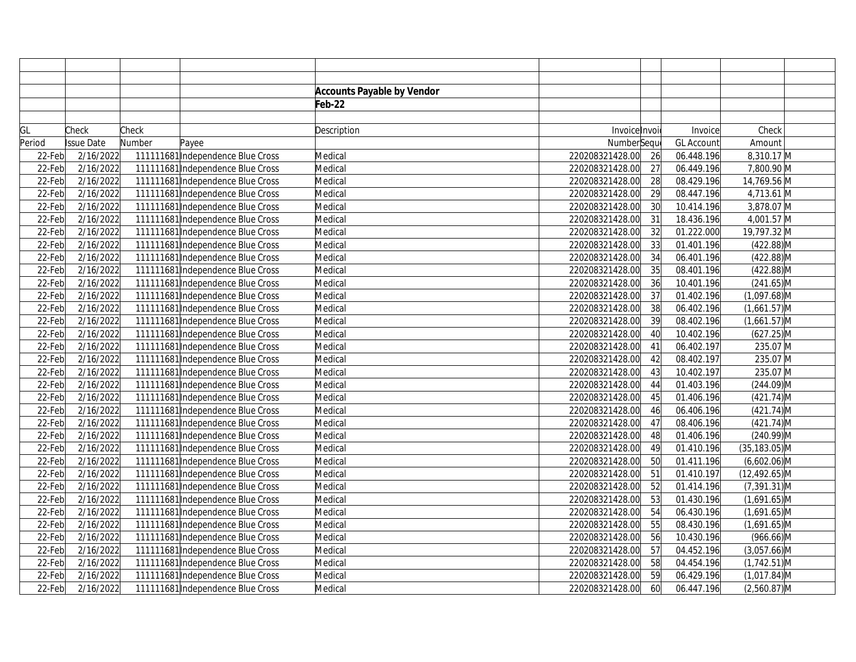|        |            |        |                                   | <b>Accounts Payable by Vendor</b> |                 |    |                   |                  |
|--------|------------|--------|-----------------------------------|-----------------------------------|-----------------|----|-------------------|------------------|
|        |            |        |                                   | Feb-22                            |                 |    |                   |                  |
|        |            |        |                                   |                                   |                 |    |                   |                  |
| GL     | Check      | Check  |                                   | Description                       | Invoice Invoi   |    | Invoice           | Check            |
| Period | Issue Date | Number | Payee                             |                                   | NumberSeque     |    | <b>GL Account</b> | Amount           |
| 22-Feb | 2/16/2022  |        | 111111681 Independence Blue Cross | Medical                           | 220208321428.00 | 26 | 06.448.196        | 8,310.17 M       |
| 22-Feb | 2/16/2022  |        | 111111681 Independence Blue Cross | Medical                           | 220208321428.00 | 27 | 06.449.196        | 7,800.90 M       |
| 22-Feb | 2/16/2022  |        | 111111681 Independence Blue Cross | Medical                           | 220208321428.00 | 28 | 08.429.196        | 14,769.56 M      |
| 22-Feb | 2/16/2022  |        | 111111681 Independence Blue Cross | Medical                           | 220208321428.00 | 29 | 08.447.196        | 4,713.61 M       |
| 22-Feb | 2/16/2022  |        | 111111681 Independence Blue Cross | Medical                           | 220208321428.00 | 30 | 10.414.196        | 3,878.07 M       |
| 22-Feb | 2/16/2022  |        | 111111681 Independence Blue Cross | Medical                           | 220208321428.00 | 31 | 18.436.196        | 4,001.57 M       |
| 22-Feb | 2/16/2022  |        | 111111681 Independence Blue Cross | Medical                           | 220208321428.00 | 32 | 01.222.000        | 19,797.32 M      |
| 22-Feb | 2/16/2022  |        | 111111681 Independence Blue Cross | Medical                           | 220208321428.00 | 33 | 01.401.196        | $(422.88)$ M     |
| 22-Feb | 2/16/2022  |        | 111111681 Independence Blue Cross | Medical                           | 220208321428.00 | 34 | 06.401.196        | $(422.88)$ M     |
| 22-Feb | 2/16/2022  |        | 111111681 Independence Blue Cross | Medical                           | 220208321428.00 | 35 | 08.401.196        | $(422.88)$ M     |
| 22-Feb | 2/16/2022  |        | 111111681 Independence Blue Cross | Medical                           | 220208321428.00 | 36 | 10.401.196        | $(241.65)$ M     |
| 22-Feb | 2/16/2022  |        | 111111681 Independence Blue Cross | Medical                           | 220208321428.00 | 37 | 01.402.196        | $(1,097.68)$ M   |
| 22-Feb | 2/16/2022  |        | 111111681 Independence Blue Cross | Medical                           | 220208321428.00 | 38 | 06.402.196        | $(1,661.57)$ M   |
| 22-Feb | 2/16/2022  |        | 111111681 Independence Blue Cross | Medical                           | 220208321428.00 | 39 | 08.402.196        | $(1,661.57)$ M   |
| 22-Feb | 2/16/2022  |        | 111111681 Independence Blue Cross | Medical                           | 220208321428.00 | 40 | 10.402.196        | $(627.25)$ M     |
| 22-Feb | 2/16/2022  |        | 111111681 Independence Blue Cross | Medical                           | 220208321428.00 | 41 | 06.402.197        | 235.07 M         |
| 22-Feb | 2/16/2022  |        | 111111681 Independence Blue Cross | Medical                           | 220208321428.00 | 42 | 08.402.197        | 235.07 M         |
| 22-Feb | 2/16/2022  |        | 111111681 Independence Blue Cross | Medical                           | 220208321428.00 | 43 | 10.402.197        | 235.07 M         |
| 22-Feb | 2/16/2022  |        | 111111681 Independence Blue Cross | Medical                           | 220208321428.00 | 44 | 01.403.196        | $(244.09)$ M     |
| 22-Feb | 2/16/2022  |        | 111111681 Independence Blue Cross | Medical                           | 220208321428.00 | 45 | 01.406.196        | $(421.74)$ M     |
| 22-Feb | 2/16/2022  |        | 111111681 Independence Blue Cross | Medical                           | 220208321428.00 | 46 | 06.406.196        | $(421.74)$ M     |
| 22-Feb | 2/16/2022  |        | 111111681 Independence Blue Cross | Medical                           | 220208321428.00 | 47 | 08.406.196        | $(421.74)$ M     |
| 22-Feb | 2/16/2022  |        | 111111681 Independence Blue Cross | Medical                           | 220208321428.00 | 48 | 01.406.196        | $(240.99)$ M     |
| 22-Feb | 2/16/2022  |        | 111111681 Independence Blue Cross | Medical                           | 220208321428.00 | 49 | 01.410.196        | $(35, 183.05)$ M |
| 22-Feb | 2/16/2022  |        | 111111681 Independence Blue Cross | Medical                           | 220208321428.00 | 50 | 01.411.196        | $(6,602.06)$ M   |
| 22-Feb | 2/16/2022  |        | 111111681 Independence Blue Cross | Medical                           | 220208321428.00 | 51 | 01.410.197        | $(12, 492.65)$ M |
| 22-Feb | 2/16/2022  |        | 111111681 Independence Blue Cross | Medical                           | 220208321428.00 | 52 | 01.414.196        | $(7,391.31)$ M   |
| 22-Feb | 2/16/2022  |        | 111111681 Independence Blue Cross | Medical                           | 220208321428.00 | 53 | 01.430.196        | $(1,691.65)$ M   |
| 22-Feb | 2/16/2022  |        | 111111681 Independence Blue Cross | Medical                           | 220208321428.00 | 54 | 06.430.196        | $(1,691.65)$ M   |
| 22-Feb | 2/16/2022  |        | 111111681 Independence Blue Cross | Medical                           | 220208321428.00 | 55 | 08.430.196        | $(1,691.65)$ M   |
| 22-Feb | 2/16/2022  |        | 111111681 Independence Blue Cross | Medical                           | 220208321428.00 | 56 | 10.430.196        | $(966.66)$ M     |
| 22-Feb | 2/16/2022  |        | 111111681 Independence Blue Cross | Medical                           | 220208321428.00 | 57 | 04.452.196        | $(3,057.66)$ M   |
| 22-Feb | 2/16/2022  |        | 111111681 Independence Blue Cross | Medical                           | 220208321428.00 | 58 | 04.454.196        | $(1,742.51)$ M   |
| 22-Feb | 2/16/2022  |        | 111111681 Independence Blue Cross | Medical                           | 220208321428.00 | 59 | 06.429.196        | $(1,017.84)$ M   |
| 22-Feb | 2/16/2022  |        | 111111681 Independence Blue Cross | Medical                           | 220208321428.00 | 60 | 06.447.196        | $(2,560.87)$ M   |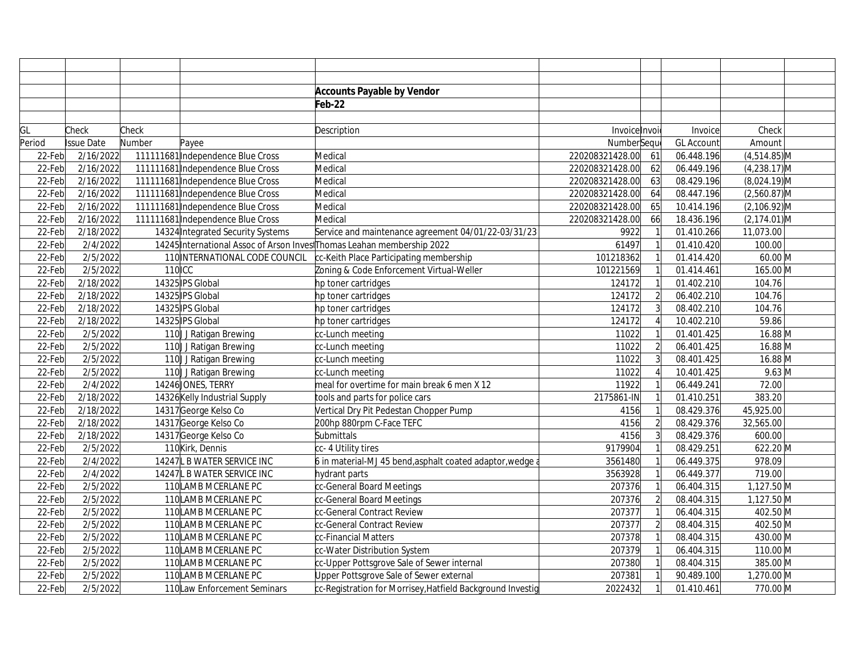|        |                   |        |                                   | <b>Accounts Payable by Vendor</b>                                       |                 |                |                   |                  |  |
|--------|-------------------|--------|-----------------------------------|-------------------------------------------------------------------------|-----------------|----------------|-------------------|------------------|--|
|        |                   |        |                                   | Feb-22                                                                  |                 |                |                   |                  |  |
|        |                   |        |                                   |                                                                         |                 |                |                   |                  |  |
| GL     | Check             | Check  |                                   | Description                                                             | Invoice Invoi   |                | Invoice           | Check            |  |
| Period | <b>Issue Date</b> | Number | Payee                             |                                                                         | NumberSequ      |                | <b>GL Account</b> | Amount           |  |
| 22-Feb | 2/16/2022         |        | 111111681 Independence Blue Cross | Medical                                                                 | 220208321428.00 | 61             | 06.448.196        | $(4,514.85)$ M   |  |
| 22-Feb | 2/16/2022         |        | 111111681 Independence Blue Cross | Medical                                                                 | 220208321428.00 | 62             | 06.449.196        | $(4,238.17)$ M   |  |
| 22-Feb | 2/16/2022         |        | 111111681 Independence Blue Cross | Medical                                                                 | 220208321428.00 | 63             | 08.429.196        | $(8,024.19)$ M   |  |
| 22-Feb | 2/16/2022         |        | 111111681 Independence Blue Cross | Medical                                                                 | 220208321428.00 | 64             | 08.447.196        | $(2,560.87)$ M   |  |
| 22-Feb | 2/16/2022         |        | 111111681 Independence Blue Cross | Medical                                                                 | 220208321428.00 | 65             | 10.414.196        | $(2,106.92)$ M   |  |
| 22-Feb | 2/16/2022         |        | 111111681 Independence Blue Cross | Medical                                                                 | 220208321428.00 | 66             | 18.436.196        | $(2, 174.01)$ M  |  |
| 22-Feb | 2/18/2022         |        | 14324 Integrated Security Systems | Service and maintenance agreement 04/01/22-03/31/23                     | 9922            |                | 01.410.266        | 11,073.00        |  |
| 22-Feb | 2/4/2022          |        |                                   | 14245 International Assoc of Arson Invest Thomas Leahan membership 2022 | 61497           |                | 01.410.420        | 100.00           |  |
| 22-Feb | 2/5/2022          |        | 110 INTERNATIONAL CODE COUNCIL    | cc-Keith Place Participating membership                                 | 101218362       |                | 01.414.420        | $60.00$ M        |  |
| 22-Feb | 2/5/2022          | 110CC  |                                   | Zoning & Code Enforcement Virtual-Weller                                | 101221569       |                | 01.414.461        | 165.00 M         |  |
| 22-Feb | 2/18/2022         |        | 14325 IPS Global                  | hp toner cartridges                                                     | 124172          |                | 01.402.210        | 104.76           |  |
| 22-Feb | 2/18/2022         |        | 14325 IPS Global                  | hp toner cartridges                                                     | 124172          | $\overline{2}$ | 06.402.210        | 104.76           |  |
| 22-Feb | 2/18/2022         |        | 14325 IPS Global                  | hp toner cartridges                                                     | 124172          |                | 08.402.210        | 104.76           |  |
| 22-Feb | 2/18/2022         |        | 14325 IPS Global                  | hp toner cartridges                                                     | 124172          |                | 10.402.210        | 59.86            |  |
| 22-Feb | 2/5/2022          |        | 110 J Ratigan Brewing             | cc-Lunch meeting                                                        | 11022           |                | 01.401.425        | 16.88 M          |  |
| 22-Feb | 2/5/2022          |        | 110 J Ratigan Brewing             | cc-Lunch meeting                                                        | 11022           | $\overline{2}$ | 06.401.425        | 16.88 M          |  |
| 22-Feb | 2/5/2022          |        | 110 J Ratigan Brewing             | cc-Lunch meeting                                                        | 11022           | $\overline{3}$ | 08.401.425        | 16.88 M          |  |
| 22-Feb | 2/5/2022          |        | 110 J Ratigan Brewing             | cc-Lunch meeting                                                        | 11022           |                | 10.401.425        | $9.63 \text{ M}$ |  |
| 22-Feb | 2/4/2022          |        | 14246 JONES, TERRY                | meal for overtime for main break 6 men X 12                             | 11922           |                | 06.449.241        | 72.00            |  |
| 22-Feb | 2/18/2022         |        | 14326 Kelly Industrial Supply     | tools and parts for police cars                                         | 2175861-IN      |                | 01.410.251        | 383.20           |  |
| 22-Feb | 2/18/2022         |        | 14317 George Kelso Co             | Vertical Dry Pit Pedestan Chopper Pump                                  | 4156            |                | 08.429.376        | 45,925.00        |  |
| 22-Feb | 2/18/2022         |        | 14317 George Kelso Co             | 200hp 880rpm C-Face TEFC                                                | 4156            | $\overline{2}$ | 08.429.376        | 32,565.00        |  |
| 22-Feb | 2/18/2022         |        | 14317 George Kelso Co             | Submittals                                                              | 4156            |                | 08.429.376        | 600.00           |  |
| 22-Feb | 2/5/2022          |        | 110 Kirk, Dennis                  | cc- 4 Utility tires                                                     | 9179904         |                | 08.429.251        | 622.20 M         |  |
| 22-Feb | 2/4/2022          |        | 14247 L B WATER SERVICE INC       | 6 in material-MJ 45 bend, asphalt coated adaptor, wedge a               | 3561480         |                | 06.449.375        | 978.09           |  |
| 22-Feb | 2/4/2022          |        | 14247L B WATER SERVICE INC        | hydrant parts                                                           | 3563928         |                | 06.449.377        | 719.00           |  |
| 22-Feb | 2/5/2022          |        | 110 LAMB MCERLANE PC              | cc-General Board Meetings                                               | 207376          |                | 06.404.315        | 1,127.50 M       |  |
| 22-Feb | 2/5/2022          |        | 110 LAMB MCERLANE PC              | cc-General Board Meetings                                               | 207376          |                | 08.404.315        | 1,127.50 M       |  |
| 22-Feb | 2/5/2022          |        | 110 LAMB MCERLANE PC              | cc-General Contract Review                                              | 207377          |                | 06.404.315        | 402.50 M         |  |
| 22-Feb | 2/5/2022          |        | 110 LAMB MCERLANE PC              | cc-General Contract Review                                              | 207377          | $\mathcal{P}$  | 08.404.315        | 402.50 M         |  |
| 22-Feb | 2/5/2022          |        | 110 LAMB MCERLANE PC              | cc-Financial Matters                                                    | 207378          |                | 08.404.315        | 430.00 M         |  |
| 22-Feb | 2/5/2022          |        | 110 LAMB MCERLANE PC              | cc-Water Distribution System                                            | 207379          |                | 06.404.315        | 110.00 M         |  |
| 22-Feb | 2/5/2022          |        | 110 LAMB MCERLANE PC              | cc-Upper Pottsgrove Sale of Sewer internal                              | 207380          |                | 08.404.315        | 385.00 M         |  |
| 22-Feb | 2/5/2022          |        | 110 LAMB MCERLANE PC              | Upper Pottsgrove Sale of Sewer external                                 | 207381          |                | 90.489.100        | 1,270.00 M       |  |
| 22-Feb | 2/5/2022          |        | 110 Law Enforcement Seminars      | cc-Registration for Morrisey, Hatfield Background Investig              | 2022432         |                | 01.410.461        | 770.00 M         |  |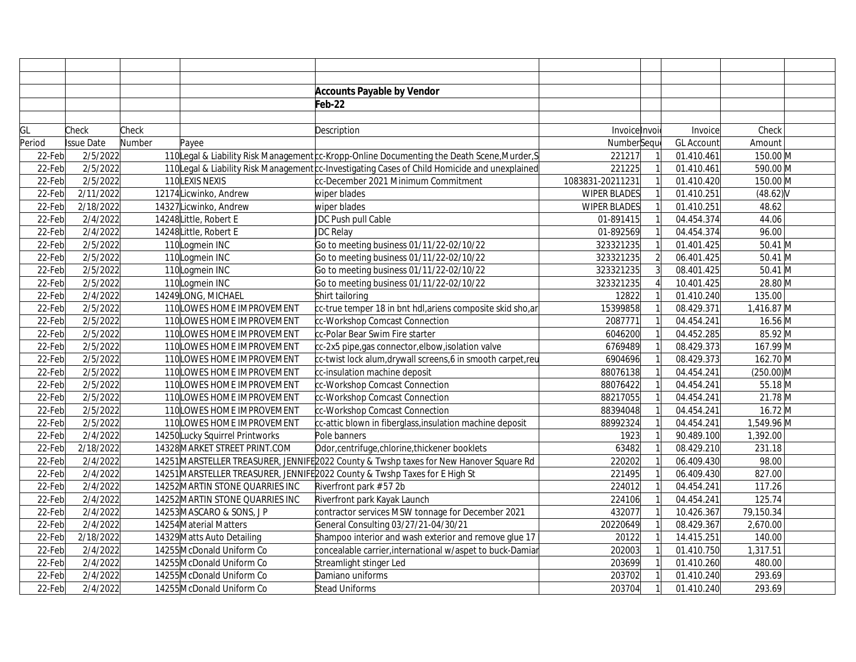|        |            |        |                                 | <b>Accounts Payable by Vendor</b>                                                             |                     |                |            |              |
|--------|------------|--------|---------------------------------|-----------------------------------------------------------------------------------------------|---------------------|----------------|------------|--------------|
|        |            |        |                                 | Feb-22                                                                                        |                     |                |            |              |
|        |            |        |                                 |                                                                                               |                     |                |            |              |
| GL     | Check      | Check  |                                 | Description                                                                                   | Invoice Invoi       |                | Invoice    | Check        |
| Period | Issue Date | Number | Payee                           |                                                                                               | NumberSequ          |                | GL Account | Amount       |
| 22-Feb | 2/5/2022   |        |                                 | 110 Legal & Liability Risk Management c-Kropp-Online Documenting the Death Scene, Murder, S   | 221217              |                | 01.410.461 | 150.00 M     |
| 22-Feb | 2/5/2022   |        |                                 | 110 Legal & Liability Risk Management c-Investigating Cases of Child Homicide and unexplained | 221225              |                | 01.410.461 | 590.00 M     |
| 22-Feb | 2/5/2022   |        | 110LEXIS NEXIS                  | cc-December 2021 Minimum Commitment                                                           | 1083831-20211231    |                | 01.410.420 | 150.00 M     |
| 22-Feb | 2/11/2022  |        | 12174 Licwinko, Andrew          | wiper blades                                                                                  | WIPER BLADES        |                | 01.410.251 | $(48.62)$ V  |
| 22-Feb | 2/18/2022  |        | 14327 Licwinko, Andrew          | wiper blades                                                                                  | <b>WIPER BLADES</b> |                | 01.410.251 | 48.62        |
| 22-Feb | 2/4/2022   |        | 14248 Little, Robert E          | JDC Push pull Cable                                                                           | 01-891415           |                | 04.454.374 | 44.06        |
| 22-Feb | 2/4/2022   |        | 14248 Little, Robert E          | JDC Relay                                                                                     | 01-892569           |                | 04.454.374 | 96.00        |
| 22-Feb | 2/5/2022   |        | 110 Logmein INC                 | Go to meeting business 01/11/22-02/10/22                                                      | 323321235           |                | 01.401.425 | $50.41$ M    |
| 22-Feb | 2/5/2022   |        | 110Logmein INC                  | Go to meeting business 01/11/22-02/10/22                                                      | 323321235           | $\overline{2}$ | 06.401.425 | $50.41$ M    |
| 22-Feb | 2/5/2022   |        | 110Logmein INC                  | Go to meeting business 01/11/22-02/10/22                                                      | 323321235           |                | 08.401.425 | $50.41$ M    |
| 22-Feb | 2/5/2022   |        | 110Logmein INC                  | Go to meeting business 01/11/22-02/10/22                                                      | 323321235           |                | 10.401.425 | 28.80 M      |
| 22-Feb | 2/4/2022   |        | 14249LONG, MICHAEL              | Shirt tailoring                                                                               | 12822               |                | 01.410.240 | 135.00       |
| 22-Feb | 2/5/2022   |        | 110LOWES HOME IMPROVEMENT       | cc-true temper 18 in bnt hdl, ariens composite skid sho, ar                                   | 15399858            |                | 08.429.371 | 1,416.87 M   |
| 22-Feb | 2/5/2022   |        | 110 LOWES HOME IMPROVEMENT      | cc-Workshop Comcast Connection                                                                | 2087771             |                | 04.454.241 | 16.56 M      |
| 22-Feb | 2/5/2022   |        | 110 LOWES HOME IMPROVEMENT      | cc-Polar Bear Swim Fire starter                                                               | 6046200             |                | 04.452.285 | 85.92 M      |
| 22-Feb | 2/5/2022   |        | 110 LOWES HOME IMPROVEMENT      | cc-2x5 pipe, gas connector, elbow, isolation valve                                            | 6769489             |                | 08.429.373 | 167.99 M     |
| 22-Feb | 2/5/2022   |        | 110 LOWES HOME IMPROVEMENT      | cc-twist lock alum,drywall screens,6 in smooth carpet,reu                                     | 6904696             |                | 08.429.373 | 162.70 M     |
| 22-Feb | 2/5/2022   |        | 110 LOWES HOME IMPROVEMENT      | cc-insulation machine deposit                                                                 | 88076138            |                | 04.454.241 | $(250.00)$ M |
| 22-Feb | 2/5/2022   |        | 110 LOWES HOME IMPROVEMENT      | cc-Workshop Comcast Connection                                                                | 88076422            |                | 04.454.241 | 55.18 M      |
| 22-Feb | 2/5/2022   |        | 110 LOWES HOME IMPROVEMENT      | cc-Workshop Comcast Connection                                                                | 88217055            |                | 04.454.241 | 21.78 M      |
| 22-Feb | 2/5/2022   |        | 110 LOWES HOME IMPROVEMENT      | cc-Workshop Comcast Connection                                                                | 88394048            |                | 04.454.241 | 16.72 M      |
| 22-Feb | 2/5/2022   |        | 110 LOWES HOME IMPROVEMENT      | cc-attic blown in fiberglass, insulation machine deposit                                      | 88992324            |                | 04.454.241 | 1,549.96 M   |
| 22-Feb | 2/4/2022   |        | 14250 Lucky Squirrel Printworks | Pole banners                                                                                  | 1923                |                | 90.489.100 | 1,392.00     |
| 22-Feb | 2/18/2022  |        | 14328 MARKET STREET PRINT.COM   | Odor, centrifuge, chlorine, thickener booklets                                                | 63482               |                | 08.429.210 | 231.18       |
| 22-Feb | 2/4/2022   |        |                                 | 14251 MARSTELLER TREASURER, JENNIFE2022 County & Twshp taxes for New Hanover Square Rd        | 220202              |                | 06.409.430 | 98.00        |
| 22-Feb | 2/4/2022   |        |                                 | 14251 MARSTELLER TREASURER, JENNIFE 2022 County & Twshp Taxes for E High St                   | 221495              |                | 06.409.430 | 827.00       |
| 22-Feb | 2/4/2022   |        | 14252 MARTIN STONE QUARRIES INC | Riverfront park #57 2b                                                                        | 224012              |                | 04.454.241 | 117.26       |
| 22-Feb | 2/4/2022   |        | 14252 MARTIN STONE QUARRIES INC | Riverfront park Kayak Launch                                                                  | 224106              |                | 04.454.241 | 125.74       |
| 22-Feb | 2/4/2022   |        | 14253 MASCARO & SONS, J P       | contractor services MSW tonnage for December 2021                                             | 432077              |                | 10.426.367 | 79,150.34    |
| 22-Feb | 2/4/2022   |        | 14254 Material Matters          | General Consulting 03/27/21-04/30/21                                                          | 20220649            |                | 08.429.367 | 2,670.00     |
| 22-Feb | 2/18/2022  |        | 14329 Matts Auto Detailing      | Shampoo interior and wash exterior and remove glue 17                                         | 20122               |                | 14.415.251 | 140.00       |
| 22-Feb | 2/4/2022   |        | 14255 McDonald Uniform Co       | concealable carrier, international w/aspet to buck-Damiar                                     | 202003              |                | 01.410.750 | 1,317.51     |
| 22-Feb | 2/4/2022   |        | 14255 McDonald Uniform Co       | Streamlight stinger Led                                                                       | 203699              |                | 01.410.260 | 480.00       |
| 22-Feb | 2/4/2022   |        | 14255 McDonald Uniform Co       | Damiano uniforms                                                                              | 203702              |                | 01.410.240 | 293.69       |
| 22-Feb | 2/4/2022   |        | 14255 McDonald Uniform Co       | Stead Uniforms                                                                                | 203704              |                | 01.410.240 | 293.69       |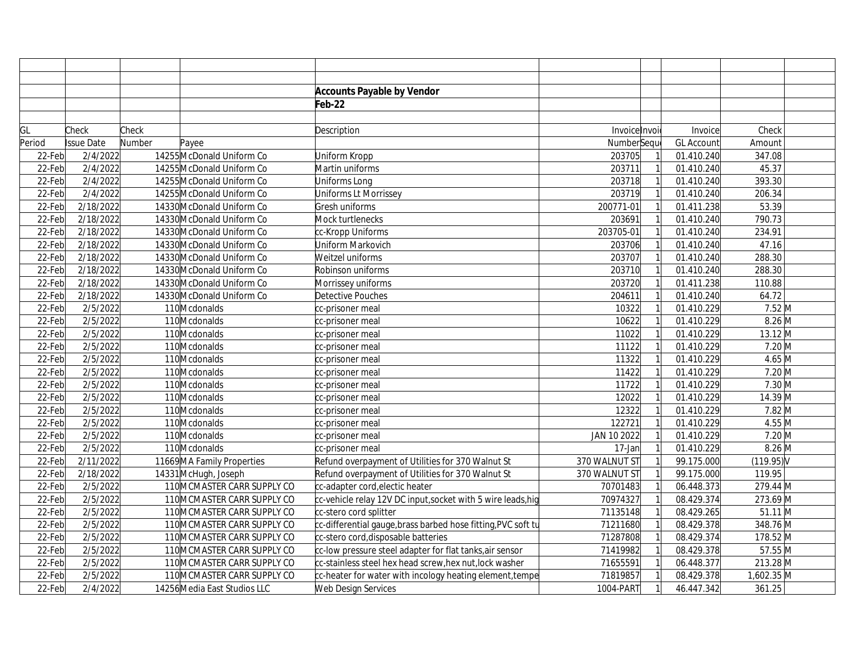|        |                   |        |                              | <b>Accounts Payable by Vendor</b>                            |               |                   |              |  |
|--------|-------------------|--------|------------------------------|--------------------------------------------------------------|---------------|-------------------|--------------|--|
|        |                   |        |                              | Feb-22                                                       |               |                   |              |  |
|        |                   |        |                              |                                                              |               |                   |              |  |
| GL     | Check             | Check  |                              | Description                                                  | Invoicelnvoi  | Invoice           | Check        |  |
| Period | <b>Issue Date</b> | Number | Payee                        |                                                              | NumberSeque   | <b>GL Account</b> | Amount       |  |
| 22-Feb | 2/4/2022          |        | 14255 McDonald Uniform Co    | Uniform Kropp                                                | 203705        | 01.410.240        | 347.08       |  |
| 22-Feb | 2/4/2022          |        | 14255 McDonald Uniform Co    | Martin uniforms                                              | 203711        | 01.410.240        | 45.37        |  |
| 22-Feb | 2/4/2022          |        | 14255 McDonald Uniform Co    | Uniforms Long                                                | 203718        | 01.410.240        | 393.30       |  |
| 22-Feb | 2/4/2022          |        | 14255 McDonald Uniform Co    | Uniforms Lt Morrissey                                        | 203719        | 01.410.240        | 206.34       |  |
| 22-Feb | 2/18/2022         |        | 14330 McDonald Uniform Co    | Gresh uniforms                                               | 200771-01     | 01.411.238        | 53.39        |  |
| 22-Feb | 2/18/2022         |        | 14330 McDonald Uniform Co    | Mock turtlenecks                                             | 203691        | 01.410.240        | 790.73       |  |
| 22-Feb | 2/18/2022         |        | 14330 McDonald Uniform Co    | cc-Kropp Uniforms                                            | 203705-01     | 01.410.240        | 234.91       |  |
| 22-Feb | 2/18/2022         |        | 14330 McDonald Uniform Co    | Uniform Markovich                                            | 203706        | 01.410.240        | 47.16        |  |
| 22-Feb | 2/18/2022         |        | 14330 McDonald Uniform Co    | Weitzel uniforms                                             | 203707        | 01.410.240        | 288.30       |  |
| 22-Feb | 2/18/2022         |        | 14330 McDonald Uniform Co    | Robinson uniforms                                            | 203710        | 01.410.240        | 288.30       |  |
| 22-Feb | 2/18/2022         |        | 14330 McDonald Uniform Co    | Morrissey uniforms                                           | 203720        | 01.411.238        | 110.88       |  |
| 22-Feb | 2/18/2022         |        | 14330 McDonald Uniform Co    | Detective Pouches                                            | 204611        | 01.410.240        | 64.72        |  |
| 22-Feb | 2/5/2022          |        | 110 Mcdonalds                | cc-prisoner meal                                             | 10322         | 01.410.229        | $7.52$ M     |  |
| 22-Feb | 2/5/2022          |        | 110 Mcdonalds                | cc-prisoner meal                                             | 10622         | 01.410.229        | 8.26 M       |  |
| 22-Feb | 2/5/2022          |        | 110 Mcdonalds                | cc-prisoner meal                                             | 11022         | 01.410.229        | $13.12 \, M$ |  |
| 22-Feb | 2/5/2022          |        | 110 Mcdonalds                | cc-prisoner meal                                             | 11122         | 01.410.229        | $7.20$ M     |  |
| 22-Feb | 2/5/2022          |        | 110 Mcdonalds                | cc-prisoner meal                                             | 11322         | 01.410.229        | $4.65$ M     |  |
| 22-Feb | 2/5/2022          |        | 110Mcdonalds                 | cc-prisoner meal                                             | 11422         | 01.410.229        | $7.20$ M     |  |
| 22-Feb | 2/5/2022          |        | 110 Mcdonalds                | cc-prisoner meal                                             | 11722         | 01.410.229        | $7.30$ M     |  |
| 22-Feb | 2/5/2022          |        | 110 Mcdonalds                | cc-prisoner meal                                             | 12022         | 01.410.229        | 14.39 M      |  |
| 22-Feb | 2/5/2022          |        | 110 Mcdonalds                | cc-prisoner meal                                             | 12322         | 01.410.229        | $7.82$ M     |  |
| 22-Feb | 2/5/2022          |        | 110Mcdonalds                 | cc-prisoner meal                                             | 122721        | 01.410.229        | $4.55$ M     |  |
| 22-Feb | 2/5/2022          |        | 110 Mcdonalds                | cc-prisoner meal                                             | JAN 10 2022   | 01.410.229        | $7.20$ M     |  |
| 22-Feb | 2/5/2022          |        | 110 Mcdonalds                | cc-prisoner meal                                             | 17-Jan        | 01.410.229        | $8.26$ M     |  |
| 22-Feb | 2/11/2022         |        | 11669 MA Family Properties   | Refund overpayment of Utilities for 370 Walnut St            | 370 WALNUT ST | 99.175.000        | (119.95)     |  |
| 22-Feb | 2/18/2022         |        | 14331 McHugh, Joseph         | Refund overpayment of Utilities for 370 Walnut St            | 370 WALNUT ST | 99.175.000        | 119.95       |  |
| 22-Feb | 2/5/2022          |        | 110 MCMASTER CARR SUPPLY CO  | cc-adapter cord, electic heater                              | 70701483      | 06.448.373        | 279.44 M     |  |
| 22-Feb | 2/5/2022          |        | 110 MCMASTER CARR SUPPLY CO  | cc-vehicle relay 12V DC input, socket with 5 wire leads, hig | 70974327      | 08.429.374        | 273.69 M     |  |
| 22-Feb | 2/5/2022          |        | 110 MCMASTER CARR SUPPLY CO  | cc-stero cord splitter                                       | 71135148      | 08.429.265        | $51.11$ M    |  |
| 22-Feb | 2/5/2022          |        | 110 MCMASTER CARR SUPPLY CO  | cc-differential gauge,brass barbed hose fitting,PVC soft tu  | 71211680      | 08.429.378        | 348.76 M     |  |
| 22-Feb | 2/5/2022          |        | 110 MCMASTER CARR SUPPLY CO  | cc-stero cord, disposable batteries                          | 71287808      | 08.429.374        | 178.52 M     |  |
| 22-Feb | 2/5/2022          |        | 110 MCMASTER CARR SUPPLY CO  | cc-low pressure steel adapter for flat tanks, air sensor     | 71419982      | 08.429.378        | 57.55 M      |  |
| 22-Feb | 2/5/2022          |        | 110 MCMASTER CARR SUPPLY CO  | cc-stainless steel hex head screw, hex nut, lock washer      | 71655591      | 06.448.377        | 213.28 M     |  |
| 22-Feb | 2/5/2022          |        | 110 MCMASTER CARR SUPPLY CO  | cc-heater for water with incology heating element, tempe     | 71819857      | 08.429.378        | 1,602.35 M   |  |
| 22-Feb | 2/4/2022          |        | 14256 Media East Studios LLC | Web Design Services                                          | 1004-PART     | 46.447.342        | 361.25       |  |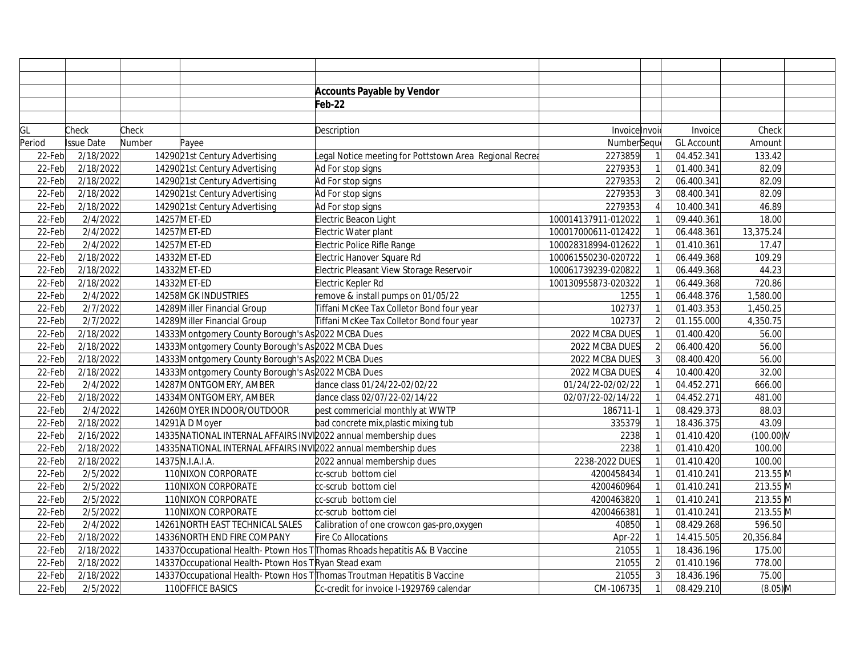|        |                   |        |                                                                 | <b>Accounts Payable by Vendor</b>                                                      |                     |                |                         |              |  |
|--------|-------------------|--------|-----------------------------------------------------------------|----------------------------------------------------------------------------------------|---------------------|----------------|-------------------------|--------------|--|
|        |                   |        |                                                                 | Feb-22                                                                                 |                     |                |                         |              |  |
|        |                   |        |                                                                 |                                                                                        |                     |                |                         |              |  |
| GL     | Check             | Check  |                                                                 | Description                                                                            | Invoice Invoi       |                | Invoice                 | Check        |  |
| Period | <b>Issue Date</b> | Number | Payee                                                           |                                                                                        | NumberSequ          |                | <b>GL Account</b>       | Amount       |  |
| 22-Feb | 2/18/2022         |        | 14290 21st Century Advertising                                  | egal Notice meeting for Pottstown Area Regional Recrea                                 | 2273859             |                | 04.452.341              | 133.42       |  |
| 22-Feb | 2/18/2022         |        | 1429021st Century Advertising                                   | Ad For stop signs                                                                      | 2279353             |                | 01.400.341              | 82.09        |  |
| 22-Feb | 2/18/2022         |        | 14290 21st Century Advertising                                  | Ad For stop signs                                                                      | 2279353             | $\overline{2}$ | 06.400.341              | 82.09        |  |
| 22-Feb | 2/18/2022         |        | 1429021st Century Advertising                                   | Ad For stop signs                                                                      | 2279353             | $\overline{3}$ | 08.400.341              | 82.09        |  |
| 22-Feb | 2/18/2022         |        | 1429021st Century Advertising                                   | Ad For stop signs                                                                      | 2279353             |                | 10.400.341              | 46.89        |  |
| 22-Feb | 2/4/2022          |        | 14257 MET-ED                                                    | Electric Beacon Light                                                                  | 100014137911-012022 |                | 09.440.361              | 18.00        |  |
| 22-Feb | 2/4/2022          |        | 14257 MET-ED                                                    | Electric Water plant                                                                   | 100017000611-012422 |                | 06.448.361              | 13,375.24    |  |
| 22-Feb | 2/4/2022          |        | 14257 MET-ED                                                    | Electric Police Rifle Range                                                            | 100028318994-012622 |                | 01.410.361              | 17.47        |  |
| 22-Feb | 2/18/2022         |        | 14332 MET-ED                                                    | Electric Hanover Square Rd                                                             | 100061550230-020722 |                | 06.449.368              | 109.29       |  |
| 22-Feb | 2/18/2022         |        | 14332 MET-ED                                                    | Electric Pleasant View Storage Reservoir                                               | 100061739239-020822 |                | 06.449.368              | 44.23        |  |
| 22-Feb | 2/18/2022         |        | 14332 MET-ED                                                    | Electric Kepler Rd                                                                     | 100130955873-020322 |                | 06.449.368              | 720.86       |  |
| 22-Feb | 2/4/2022          |        | 14258 MGK INDUSTRIES                                            | remove & install pumps on 01/05/22                                                     | 1255                |                | 06.448.376              | 1,580.00     |  |
| 22-Feb | 2/7/2022          |        | 14289 Miller Financial Group                                    | Tiffani McKee Tax Colletor Bond four year                                              | 102737              |                | 01.403.353              | 1,450.25     |  |
| 22-Feb | 2/7/2022          |        | 14289 Miller Financial Group                                    | Tiffani McKee Tax Colletor Bond four year                                              | 102737              | $\overline{2}$ | 01.155.000              | 4,350.75     |  |
| 22-Feb | 2/18/2022         |        | 14333 Montgomery County Borough's As 2022 MCBA Dues             |                                                                                        | 2022 MCBA DUES      |                | 01.400.420              | 56.00        |  |
| 22-Feb | 2/18/2022         |        | 14333 Montgomery County Borough's As 2022 MCBA Dues             |                                                                                        | 2022 MCBA DUES      | $\overline{2}$ | 06.400.420              | 56.00        |  |
| 22-Feb | 2/18/2022         |        | 14333 Montgomery County Borough's As 2022 MCBA Dues             |                                                                                        | 2022 MCBA DUES      | 3              | 08.400.420              | 56.00        |  |
| 22-Feb | 2/18/2022         |        | 14333 Montgomery County Borough's As 2022 MCBA Dues             |                                                                                        | 2022 MCBA DUES      |                | $\overline{10.400.420}$ | 32.00        |  |
| 22-Feb | 2/4/2022          |        | 14287 MONTGOMERY, AMBER                                         | dance class 01/24/22-02/02/22                                                          | 01/24/22-02/02/22   |                | 04.452.271              | 666.00       |  |
| 22-Feb | 2/18/2022         |        | 14334 MONTGOMERY, AMBER                                         | dance class 02/07/22-02/14/22                                                          | 02/07/22-02/14/22   |                | 04.452.271              | 481.00       |  |
| 22-Feb | 2/4/2022          |        | 14260 MOYER INDOOR/OUTDOOR                                      | pest commericial monthly at WWTP                                                       | 186711-1            |                | 08.429.373              | 88.03        |  |
| 22-Feb | 2/18/2022         |        | 14291 A D Moyer                                                 | bad concrete mix, plastic mixing tub                                                   | 335379              |                | 18.436.375              | 43.09        |  |
| 22-Feb | 2/16/2022         |        | 14335 NATIONAL INTERNAL AFFAIRS INV 2022 annual membership dues |                                                                                        | 2238                |                | 01.410.420              | $(100.00)$ V |  |
| 22-Feb | 2/18/2022         |        | 14335 NATIONAL INTERNAL AFFAIRS INV 2022 annual membership dues |                                                                                        | 2238                |                | 01.410.420              | 100.00       |  |
| 22-Feb | 2/18/2022         |        | 14375N.I.A.I.A.                                                 | 2022 annual membership dues                                                            | 2238-2022 DUES      |                | 01.410.420              | 100.00       |  |
| 22-Feb | 2/5/2022          |        | 110 NIXON CORPORATE                                             | cc-scrub bottom ciel                                                                   | 4200458434          |                | 01.410.241              | 213.55 M     |  |
| 22-Feb | 2/5/2022          |        | 110 NIXON CORPORATE                                             | cc-scrub bottom ciel                                                                   | 4200460964          |                | 01.410.241              | 213.55 M     |  |
| 22-Feb | 2/5/2022          |        | 110 NIXON CORPORATE                                             | cc-scrub bottom ciel                                                                   | 4200463820          |                | 01.410.241              | 213.55 M     |  |
| 22-Feb | 2/5/2022          |        | 110 NIXON CORPORATE                                             | cc-scrub bottom ciel                                                                   | 4200466381          |                | 01.410.241              | 213.55 M     |  |
| 22-Feb | 2/4/2022          |        | 14261 NORTH EAST TECHNICAL SALES                                | Calibration of one crowcon gas-pro, oxygen                                             | 40850               |                | 08.429.268              | 596.50       |  |
| 22-Feb | 2/18/2022         |        | 14336 NORTH END FIRE COMPANY                                    | Fire Co Allocations                                                                    | Apr-22              |                | 14.415.505              | 20,356.84    |  |
| 22-Feb | 2/18/2022         |        |                                                                 | 14337 Occupational Health-Ptown Hos TThomas Rhoads hepatitis A& B Vaccine              | 21055               |                | 18.436.196              | 175.00       |  |
| 22-Feb | 2/18/2022         |        | 14337 Occupational Health-Ptown Hos TRyan Stead exam            |                                                                                        | 21055               | $\overline{2}$ | 01.410.196              | 778.00       |  |
| 22-Feb | 2/18/2022         |        |                                                                 | 14337 Occupational Health-Ptown Hos T <sub>I</sub> Thomas Troutman Hepatitis B Vaccine | 21055               |                | 18.436.196              | 75.00        |  |
| 22-Feb | 2/5/2022          |        | 110 OFFICE BASICS                                               | Cc-credit for invoice I-1929769 calendar                                               | CM-106735           |                | 08.429.210              | $(8.05)$ M   |  |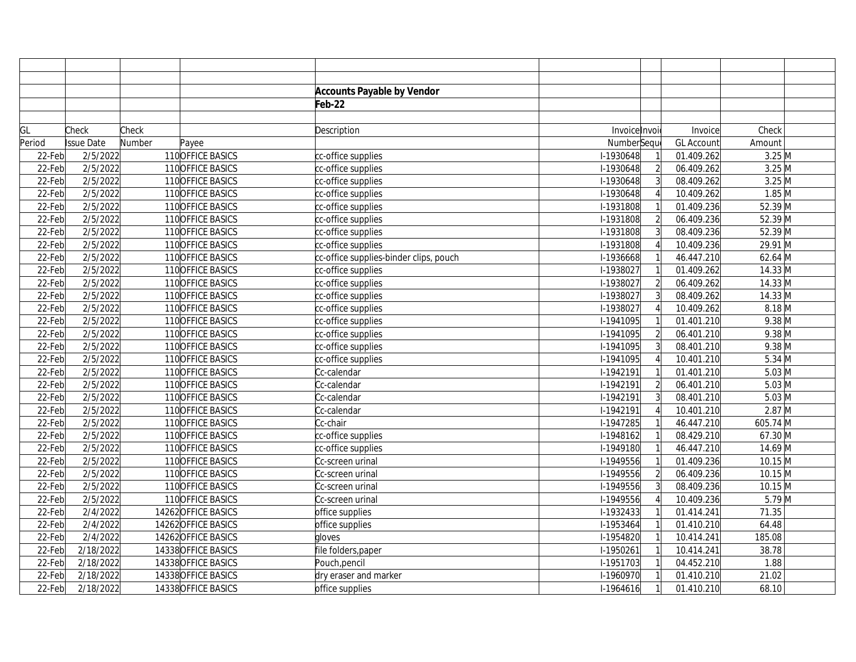|           |            |        |                     | <b>Accounts Payable by Vendor</b>      |               |                |                          |                    |  |
|-----------|------------|--------|---------------------|----------------------------------------|---------------|----------------|--------------------------|--------------------|--|
|           |            |        |                     | Feb-22                                 |               |                |                          |                    |  |
|           |            |        |                     |                                        |               |                |                          |                    |  |
| GL        | Check      | Check  |                     | Description                            | Invoice Invoi |                | Invoice                  | Check              |  |
| Period    | Issue Date | Number | Payee               |                                        | NumberSeque   |                | <b>GL Account</b>        | Amount             |  |
| 22-Feb    | 2/5/2022   |        | 110 OFFICE BASICS   | cc-office supplies                     | I-1930648     |                | 01.409.262               | $3.25$ M           |  |
| 22-Feb    | 2/5/2022   |        | 110 OFFICE BASICS   | cc-office supplies                     | $1-1930648$   | $\overline{2}$ | 06.409.262               | $3.25$ M           |  |
| 22-Feb    | 2/5/2022   |        | 110 OFFICE BASICS   | cc-office supplies                     | I-1930648     | 3              | 08.409.262               | $3.25$ M           |  |
| 22-Feb    | 2/5/2022   |        | 110 OFFICE BASICS   | cc-office supplies                     | $1-1930648$   |                | 10.409.262               | $1.85$ M           |  |
| 22-Feb    | 2/5/2022   |        | 110 OFFICE BASICS   | cc-office supplies                     | I-1931808     |                | 01.409.236               | $52.39$ M          |  |
| 22-Feb    | 2/5/2022   |        | 110 OFFICE BASICS   | cc-office supplies                     | I-1931808     | $\overline{2}$ | 06.409.236               | 52.39 M            |  |
| 22-Feb    | 2/5/2022   |        | 110 OFFICE BASICS   | cc-office supplies                     | I-1931808     | $\overline{3}$ | 08.409.236               | $52.39$ M          |  |
| 22-Feb    | 2/5/2022   |        | 110 OFFICE BASICS   | cc-office supplies                     | I-1931808     |                | 10.409.236               | 29.91 M            |  |
| 22-Feb    | 2/5/2022   |        | 110 OFFICE BASICS   | cc-office supplies-binder clips, pouch | I-1936668     |                | 46.447.210               | $62.64$ M          |  |
| 22-Feb    | 2/5/2022   |        | 110 OFFICE BASICS   | cc-office supplies                     | I-1938027     |                | 01.409.262               | $14.33$ M          |  |
| 22-Feb    | 2/5/2022   |        | 110 OFFICE BASICS   | cc-office supplies                     | I-1938027     | $\overline{2}$ | 06.409.262               | $14.33$ M          |  |
| 22-Feb    | 2/5/2022   |        | 110 OFFICE BASICS   | cc-office supplies                     | I-1938027     |                | 08.409.262               | 14.33 M            |  |
| 22-Feb    | 2/5/2022   |        | 110 OFFICE BASICS   | cc-office supplies                     | I-1938027     |                | 10.409.262               | $8.18$ M           |  |
| 22-Feb    | 2/5/2022   |        | 110 OFFICE BASICS   | cc-office supplies                     | I-1941095     |                | 01.401.210               | $9.38$ M           |  |
| 22-Feb    | 2/5/2022   |        | 110 OFFICE BASICS   | cc-office supplies                     | $1-1941095$   | $\overline{2}$ | 06.401.210               | $9.38$ M           |  |
| 22-Feb    | 2/5/2022   |        | 110 OFFICE BASICS   | cc-office supplies                     | I-1941095     | $\overline{3}$ | 08.401.210               | $9.38$ M           |  |
| 22-Feb    | 2/5/2022   |        | 110 OFFICE BASICS   | cc-office supplies                     | I-1941095     |                | 10.401.210               | $5.34 \, \text{M}$ |  |
| 22-Feb    | 2/5/2022   |        | 110 OFFICE BASICS   | Cc-calendar                            | I-1942191     |                | $\overline{0}$ 1.401.210 | $5.03$ M           |  |
| 22-Feb    | 2/5/2022   |        | 110 OFFICE BASICS   | Cc-calendar                            | I-1942191     | $\overline{2}$ | 06.401.210               | $5.03$ M           |  |
| 22-Feb    | 2/5/2022   |        | 110 OFFICE BASICS   | Cc-calendar                            | I-1942191     | $\overline{3}$ | 08.401.210               | $5.03$ M           |  |
| 22-Feb    | 2/5/2022   |        | 110 OFFICE BASICS   | Cc-calendar                            | I-1942191     |                | 10.401.210               | $2.87$ M           |  |
| 22-Feb    | 2/5/2022   |        | 110 OFFICE BASICS   | Cc-chair                               | I-1947285     |                | 46.447.210               | 605.74 M           |  |
| 22-Feb    | 2/5/2022   |        | 110 OFFICE BASICS   | cc-office supplies                     | I-1948162     |                | 08.429.210               | 67.30 M            |  |
| 22-Feb    | 2/5/2022   |        | 110 OFFICE BASICS   | cc-office supplies                     | I-1949180     |                | 46.447.210               | 14.69 M            |  |
| 22-Feb    | 2/5/2022   |        | 110 OFFICE BASICS   | Cc-screen urinal                       | I-1949556     |                | 01.409.236               | $10.15$ M          |  |
| 22-Feb    | 2/5/2022   |        | 110 OFFICE BASICS   | Cc-screen urinal                       | I-1949556     | $\overline{2}$ | 06.409.236               | $10.15$ M          |  |
| 22-Feb    | 2/5/2022   |        | 110 OFFICE BASICS   | Cc-screen urinal                       | I-1949556     | 3              | 08.409.236               | $10.15$ M          |  |
| 22-Feb    | 2/5/2022   |        | 110 OFFICE BASICS   | Cc-screen urinal                       | I-1949556     |                | 10.409.236               | $5.79$ M           |  |
| 22-Feb    | 2/4/2022   |        | 14262 OFFICE BASICS | office supplies                        | I-1932433     |                | 01.414.241               | 71.35              |  |
| $22$ -Feb | 2/4/2022   |        | 14262 OFFICE BASICS | office supplies                        | I-1953464     |                | 01.410.210               | 64.48              |  |
| 22-Feb    | 2/4/2022   |        | 14262 OFFICE BASICS | gloves                                 | I-1954820     |                | 10.414.241               | 185.08             |  |
| 22-Feb    | 2/18/2022  |        | 14338 OFFICE BASICS | file folders, paper                    | I-1950261     |                | 10.414.241               | 38.78              |  |
| 22-Feb    | 2/18/2022  |        | 14338 OFFICE BASICS | Pouch, pencil                          | I-1951703     |                | 04.452.210               | 1.88               |  |
| 22-Feb    | 2/18/2022  |        | 14338 OFFICE BASICS | dry eraser and marker                  | I-1960970     |                | 01.410.210               | 21.02              |  |
| 22-Feb    | 2/18/2022  |        | 14338 OFFICE BASICS | office supplies                        | $1-1964616$   |                | 01.410.210               | 68.10              |  |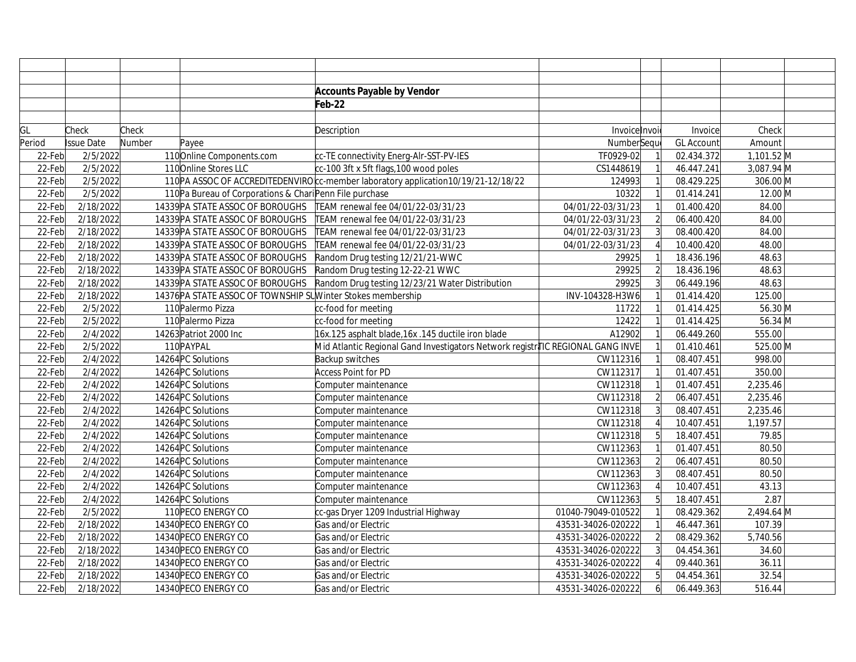|        |                   |        |                                                              | <b>Accounts Payable by Vendor</b>                                                 |                    |                |                   |              |  |
|--------|-------------------|--------|--------------------------------------------------------------|-----------------------------------------------------------------------------------|--------------------|----------------|-------------------|--------------|--|
|        |                   |        |                                                              | Feb-22                                                                            |                    |                |                   |              |  |
|        |                   |        |                                                              |                                                                                   |                    |                |                   |              |  |
| GL     | Check             | Check  |                                                              | Description                                                                       | Invoice Invoi      |                | Invoice           | Check        |  |
| Period | <b>Issue Date</b> | Number | Payee                                                        |                                                                                   | NumberSeque        |                | <b>GL Account</b> | Amount       |  |
| 22-Feb | 2/5/2022          |        | 110 Online Components.com                                    | cc-TE connectivity Energ-Alr-SST-PV-IES                                           | TF0929-02          |                | 02.434.372        | $1,101.52$ M |  |
| 22-Feb | 2/5/2022          |        | 110 Online Stores LLC                                        | cc-100 3ft x 5ft flags, 100 wood poles                                            | CS1448619          |                | 46.447.241        | 3,087.94 M   |  |
| 22-Feb | 2/5/2022          |        |                                                              | 110PA ASSOC OF ACCREDITEDENVIRO c-member laboratory application 10/19/21-12/18/22 | 124993             |                | 08.429.225        | 306.00 M     |  |
| 22-Feb | 2/5/2022          |        | 110Pa Bureau of Corporations & Chari Penn File purchase      |                                                                                   | 10322              |                | 01.414.241        | 12.00 M      |  |
| 22-Feb | 2/18/2022         |        | 14339 PA STATE ASSOC OF BOROUGHS                             | TEAM renewal fee 04/01/22-03/31/23                                                | 04/01/22-03/31/23  |                | 01.400.420        | 84.00        |  |
| 22-Feb | 2/18/2022         |        | 14339 PA STATE ASSOC OF BOROUGHS                             | TEAM renewal fee 04/01/22-03/31/23                                                | 04/01/22-03/31/23  |                | 06.400.420        | 84.00        |  |
| 22-Feb | 2/18/2022         |        | 14339 PA STATE ASSOC OF BOROUGHS                             | TEAM renewal fee 04/01/22-03/31/23                                                | 04/01/22-03/31/23  | 3              | 08.400.420        | 84.00        |  |
| 22-Feb | 2/18/2022         |        | 14339 PA STATE ASSOC OF BOROUGHS                             | TEAM renewal fee 04/01/22-03/31/23                                                | 04/01/22-03/31/23  |                | 10.400.420        | 48.00        |  |
| 22-Feb | 2/18/2022         |        | 14339 PA STATE ASSOC OF BOROUGHS                             | Random Drug testing 12/21/21-WWC                                                  | 29925              |                | 18.436.196        | 48.63        |  |
| 22-Feb | 2/18/2022         |        | 14339 PA STATE ASSOC OF BOROUGHS                             | Random Drug testing 12-22-21 WWC                                                  | 29925              |                | 18.436.196        | 48.63        |  |
| 22-Feb | 2/18/2022         |        | 14339 PA STATE ASSOC OF BOROUGHS                             | Random Drug testing 12/23/21 Water Distribution                                   | 29925              | $\overline{3}$ | 06.449.196        | 48.63        |  |
| 22-Feb | 2/18/2022         |        | 14376 PA STATE ASSOC OF TOWNSHIP SUW inter Stokes membership |                                                                                   | INV-104328-H3W6    |                | 01.414.420        | 125.00       |  |
| 22-Feb | 2/5/2022          |        | 110 Palermo Pizza                                            | cc-food for meeting                                                               | 11722              |                | 01.414.425        | 56.30 M      |  |
| 22-Feb | 2/5/2022          |        | 110 Palermo Pizza                                            | cc-food for meeting                                                               | 12422              |                | 01.414.425        | 56.34 M      |  |
| 22-Feb | 2/4/2022          |        | 14263 Patriot 2000 Inc                                       | 16x.125 asphalt blade, 16x .145 ductile iron blade                                | A12902             |                | 06.449.260        | 555.00       |  |
| 22-Feb | 2/5/2022          |        | 110 PAYPAL                                                   | Mid Atlantic Regional Gand Investigators Network registr∤TIC REGIONAL GANG INVE   |                    |                | 01.410.461        | 525.00 M     |  |
| 22-Feb | 2/4/2022          |        | 14264 PC Solutions                                           | Backup switches                                                                   | CW112316           |                | 08.407.451        | 998.00       |  |
| 22-Feb | 2/4/2022          |        | 14264 PC Solutions                                           | <b>Access Point for PD</b>                                                        | CW112317           |                | 01.407.451        | 350.00       |  |
| 22-Feb | 2/4/2022          |        | 14264 PC Solutions                                           | Computer maintenance                                                              | CW112318           |                | 01.407.451        | 2,235.46     |  |
| 22-Feb | 2/4/2022          |        | 14264 PC Solutions                                           | Computer maintenance                                                              | CW112318           |                | 06.407.451        | 2,235.46     |  |
| 22-Feb | 2/4/2022          |        | 14264 PC Solutions                                           | Computer maintenance                                                              | CW112318           |                | 08.407.451        | 2,235.46     |  |
| 22-Feb | 2/4/2022          |        | 14264 PC Solutions                                           | Computer maintenance                                                              | CW112318           |                | 10.407.451        | 1,197.57     |  |
| 22-Feb | 2/4/2022          |        | 14264 PC Solutions                                           | Computer maintenance                                                              | CW112318           |                | 18.407.451        | 79.85        |  |
| 22-Feb | 2/4/2022          |        | 14264 PC Solutions                                           | Computer maintenance                                                              | CW112363           |                | 01.407.451        | 80.50        |  |
| 22-Feb | 2/4/2022          |        | 14264 PC Solutions                                           | Computer maintenance                                                              | CW112363           | $\overline{2}$ | 06.407.451        | 80.50        |  |
| 22-Feb | 2/4/2022          |        | 14264 PC Solutions                                           | Computer maintenance                                                              | CW112363           | 3              | 08.407.451        | 80.50        |  |
| 22-Feb | 2/4/2022          |        | 14264 PC Solutions                                           | Computer maintenance                                                              | CW112363           |                | 10.407.451        | 43.13        |  |
| 22-Feb | 2/4/2022          |        | 14264 PC Solutions                                           | Computer maintenance                                                              | CW112363           |                | 18.407.451        | 2.87         |  |
| 22-Feb | 2/5/2022          |        | 110 PECO ENERGY CO                                           | cc-gas Dryer 1209 Industrial Highway                                              | 01040-79049-010522 |                | 08.429.362        | 2,494.64 M   |  |
| 22-Feb | 2/18/2022         |        | 14340 PECO ENERGY CO                                         | Gas and/or Electric                                                               | 43531-34026-020222 |                | 46.447.361        | 107.39       |  |
| 22-Feb | 2/18/2022         |        | 14340 PECO ENERGY CO                                         | Gas and/or Electric                                                               | 43531-34026-020222 |                | 08.429.362        | 5,740.56     |  |
| 22-Feb | 2/18/2022         |        | 14340 PECO ENERGY CO                                         | Gas and/or Electric                                                               | 43531-34026-020222 |                | 04.454.361        | 34.60        |  |
| 22-Feb | 2/18/2022         |        | 14340 PECO ENERGY CO                                         | Gas and/or Electric                                                               | 43531-34026-020222 |                | 09.440.361        | 36.11        |  |
| 22-Feb | 2/18/2022         |        | 14340 PECO ENERGY CO                                         | Gas and/or Electric                                                               | 43531-34026-020222 | 5              | 04.454.361        | 32.54        |  |
| 22-Feb | 2/18/2022         |        | 14340 PECO ENERGY CO                                         | Gas and/or Electric                                                               | 43531-34026-020222 | 6              | 06.449.363        | 516.44       |  |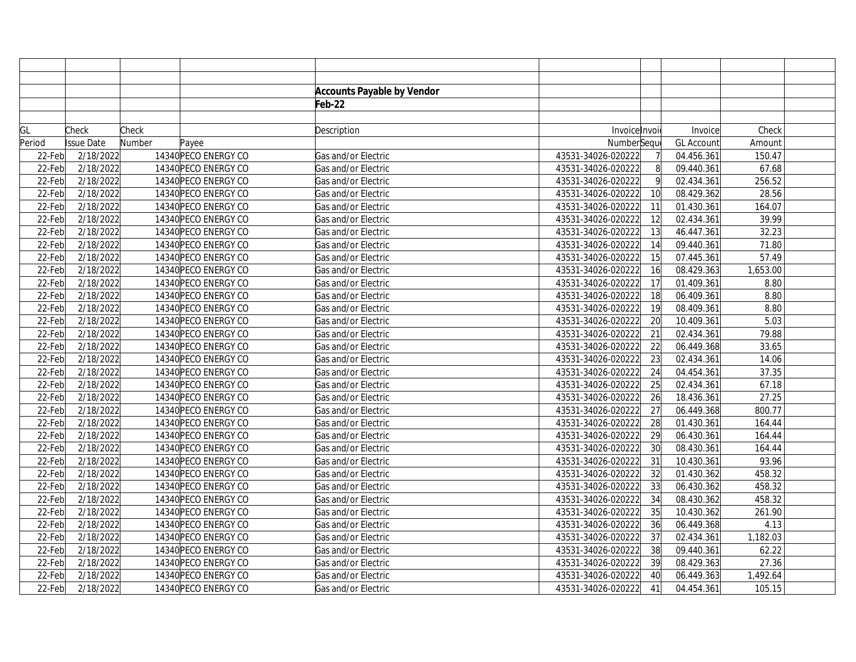|        |                   |        |                      | <b>Accounts Payable by Vendor</b> |                    |              |                   |          |  |
|--------|-------------------|--------|----------------------|-----------------------------------|--------------------|--------------|-------------------|----------|--|
|        |                   |        |                      | Feb-22                            |                    |              |                   |          |  |
|        |                   |        |                      |                                   |                    |              |                   |          |  |
| GL     | Check             | Check  |                      | Description                       | Invoice Invoi      |              | Invoice           | Check    |  |
| Period | <b>Issue Date</b> | Number | Payee                |                                   | NumberSequ         |              | <b>GL Account</b> | Amount   |  |
| 22-Feb | 2/18/2022         |        | 14340 PECO ENERGY CO | Gas and/or Electric               | 43531-34026-020222 |              | 04.456.361        | 150.47   |  |
| 22-Feb | 2/18/2022         |        | 14340 PECO ENERGY CO | Gas and/or Electric               | 43531-34026-020222 | 8            | 09.440.361        | 67.68    |  |
| 22-Feb | 2/18/2022         |        | 14340 PECO ENERGY CO | Gas and/or Electric               | 43531-34026-020222 | $\mathsf{Q}$ | 02.434.361        | 256.52   |  |
| 22-Feb | 2/18/2022         |        | 14340 PECO ENERGY CO | Gas and/or Electric               | 43531-34026-020222 | 10           | 08.429.362        | 28.56    |  |
| 22-Feb | 2/18/2022         |        | 14340 PECO ENERGY CO | Gas and/or Electric               | 43531-34026-020222 | 11           | 01.430.361        | 164.07   |  |
| 22-Feb | 2/18/2022         |        | 14340 PECO ENERGY CO | Gas and/or Electric               | 43531-34026-020222 | 12           | 02.434.361        | 39.99    |  |
| 22-Feb | 2/18/2022         |        | 14340 PECO ENERGY CO | Gas and/or Electric               | 43531-34026-020222 | 13           | 46.447.361        | 32.23    |  |
| 22-Feb | 2/18/2022         |        | 14340 PECO ENERGY CO | Gas and/or Electric               | 43531-34026-020222 | 14           | 09.440.361        | 71.80    |  |
| 22-Feb | 2/18/2022         |        | 14340 PECO ENERGY CO | Gas and/or Electric               | 43531-34026-020222 | 15           | 07.445.361        | 57.49    |  |
| 22-Feb | 2/18/2022         |        | 14340 PECO ENERGY CO | Gas and/or Electric               | 43531-34026-020222 | 16           | 08.429.363        | 1,653.00 |  |
| 22-Feb | 2/18/2022         |        | 14340 PECO ENERGY CO | Gas and/or Electric               | 43531-34026-020222 | 17           | 01.409.361        | 8.80     |  |
| 22-Feb | 2/18/2022         |        | 14340 PECO ENERGY CO | Gas and/or Electric               | 43531-34026-020222 | 18           | 06.409.361        | 8.80     |  |
| 22-Feb | 2/18/2022         |        | 14340 PECO ENERGY CO | Gas and/or Electric               | 43531-34026-020222 | 19           | 08.409.361        | 8.80     |  |
| 22-Feb | 2/18/2022         |        | 14340 PECO ENERGY CO | Gas and/or Electric               | 43531-34026-020222 | 20           | 10.409.361        | 5.03     |  |
| 22-Feb | 2/18/2022         |        | 14340 PECO ENERGY CO | Gas and/or Electric               | 43531-34026-020222 | 21           | 02.434.361        | 79.88    |  |
| 22-Feb | 2/18/2022         |        | 14340 PECO ENERGY CO | Gas and/or Electric               | 43531-34026-020222 | 22           | 06.449.368        | 33.65    |  |
| 22-Feb | 2/18/2022         |        | 14340 PECO ENERGY CO | Gas and/or Electric               | 43531-34026-020222 | 23           | 02.434.361        | 14.06    |  |
| 22-Feb | 2/18/2022         |        | 14340 PECO ENERGY CO | Gas and/or Electric               | 43531-34026-020222 | 24           | 04.454.361        | 37.35    |  |
| 22-Feb | 2/18/2022         |        | 14340 PECO ENERGY CO | Gas and/or Electric               | 43531-34026-020222 | 25           | 02.434.361        | 67.18    |  |
| 22-Feb | 2/18/2022         |        | 14340 PECO ENERGY CO | Gas and/or Electric               | 43531-34026-020222 | 26           | 18.436.361        | 27.25    |  |
| 22-Feb | 2/18/2022         |        | 14340 PECO ENERGY CO | Gas and/or Electric               | 43531-34026-020222 | 27           | 06.449.368        | 800.77   |  |
| 22-Feb | 2/18/2022         |        | 14340 PECO ENERGY CO | Gas and/or Electric               | 43531-34026-020222 | 28           | 01.430.361        | 164.44   |  |
| 22-Feb | 2/18/2022         |        | 14340 PECO ENERGY CO | Gas and/or Electric               | 43531-34026-020222 | 29           | 06.430.361        | 164.44   |  |
| 22-Feb | 2/18/2022         |        | 14340 PECO ENERGY CO | Gas and/or Electric               | 43531-34026-020222 | 30           | 08.430.361        | 164.44   |  |
| 22-Feb | 2/18/2022         |        | 14340 PECO ENERGY CO | Gas and/or Electric               | 43531-34026-020222 | 31           | 10.430.361        | 93.96    |  |
| 22-Feb | 2/18/2022         |        | 14340 PECO ENERGY CO | Gas and/or Electric               | 43531-34026-020222 | 32           | 01.430.362        | 458.32   |  |
| 22-Feb | 2/18/2022         |        | 14340 PECO ENERGY CO | Gas and/or Electric               | 43531-34026-020222 | 33           | 06.430.362        | 458.32   |  |
| 22-Feb | 2/18/2022         |        | 14340 PECO ENERGY CO | Gas and/or Electric               | 43531-34026-020222 | 34           | 08.430.362        | 458.32   |  |
| 22-Feb | 2/18/2022         |        | 14340 PECO ENERGY CO | Gas and/or Electric               | 43531-34026-020222 | 35           | 10.430.362        | 261.90   |  |
| 22-Feb | 2/18/2022         |        | 14340 PECO ENERGY CO | Gas and/or Electric               | 43531-34026-020222 | 36           | 06.449.368        | 4.13     |  |
| 22-Feb | 2/18/2022         |        | 14340 PECO ENERGY CO | Gas and/or Electric               | 43531-34026-020222 | 37           | 02.434.361        | 1,182.03 |  |
| 22-Feb | 2/18/2022         |        | 14340 PECO ENERGY CO | Gas and/or Electric               | 43531-34026-020222 | 38           | 09.440.361        | 62.22    |  |
| 22-Feb | 2/18/2022         |        | 14340 PECO ENERGY CO | Gas and/or Electric               | 43531-34026-020222 | 39           | 08.429.363        | 27.36    |  |
| 22-Feb | 2/18/2022         |        | 14340 PECO ENERGY CO | Gas and/or Electric               | 43531-34026-020222 | 40           | 06.449.363        | 1,492.64 |  |
| 22-Feb | 2/18/2022         |        | 14340 PECO ENERGY CO | Gas and/or Electric               | 43531-34026-020222 | 41           | 04.454.361        | 105.15   |  |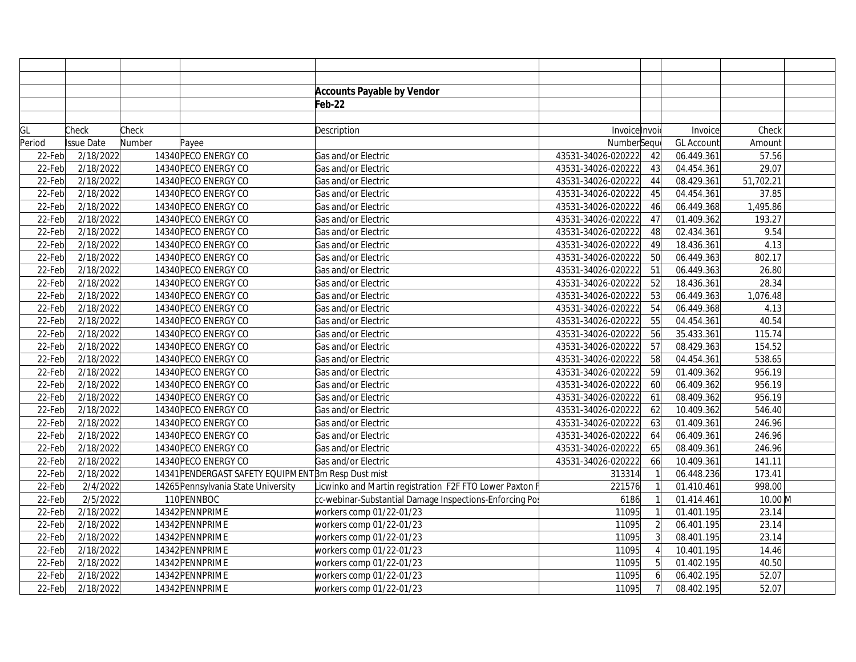|        |                   |        |                                                    | <b>Accounts Payable by Vendor</b>                       |                    |                |                   |           |  |
|--------|-------------------|--------|----------------------------------------------------|---------------------------------------------------------|--------------------|----------------|-------------------|-----------|--|
|        |                   |        |                                                    | Feb-22                                                  |                    |                |                   |           |  |
|        |                   |        |                                                    |                                                         |                    |                |                   |           |  |
| GL     | Check             | Check  |                                                    | Description                                             | Invoicelnvoi       |                | Invoice           | Check     |  |
| Period | <b>Issue Date</b> | Number | Payee                                              |                                                         | NumberSequ         |                | <b>GL Account</b> | Amount    |  |
| 22-Feb | 2/18/2022         |        | 14340 PECO ENERGY CO                               | Gas and/or Electric                                     | 43531-34026-020222 | 42             | 06.449.361        | 57.56     |  |
| 22-Feb | 2/18/2022         |        | 14340 PECO ENERGY CO                               | Gas and/or Electric                                     | 43531-34026-020222 | 43             | 04.454.361        | 29.07     |  |
| 22-Feb | 2/18/2022         |        | 14340 PECO ENERGY CO                               | Gas and/or Electric                                     | 43531-34026-020222 | 44             | 08.429.361        | 51,702.21 |  |
| 22-Feb | 2/18/2022         |        | 14340 PECO ENERGY CO                               | Gas and/or Electric                                     | 43531-34026-020222 | 45             | 04.454.361        | 37.85     |  |
| 22-Feb | 2/18/2022         |        | 14340 PECO ENERGY CO                               | Gas and/or Electric                                     | 43531-34026-020222 | 46             | 06.449.368        | 1,495.86  |  |
| 22-Feb | 2/18/2022         |        | 14340 PECO ENERGY CO                               | Gas and/or Electric                                     | 43531-34026-020222 | 47             | 01.409.362        | 193.27    |  |
| 22-Feb | 2/18/2022         |        | 14340 PECO ENERGY CO                               | Gas and/or Electric                                     | 43531-34026-020222 | 48             | 02.434.361        | 9.54      |  |
| 22-Feb | 2/18/2022         |        | 14340 PECO ENERGY CO                               | Gas and/or Electric                                     | 43531-34026-020222 | 49             | 18.436.361        | 4.13      |  |
| 22-Feb | 2/18/2022         |        | 14340 PECO ENERGY CO                               | Gas and/or Electric                                     | 43531-34026-020222 | 50             | 06.449.363        | 802.17    |  |
| 22-Feb | 2/18/2022         |        | 14340 PECO ENERGY CO                               | Gas and/or Electric                                     | 43531-34026-020222 | 51             | 06.449.363        | 26.80     |  |
| 22-Feb | 2/18/2022         |        | 14340 PECO ENERGY CO                               | Gas and/or Electric                                     | 43531-34026-020222 | 52             | 18.436.361        | 28.34     |  |
| 22-Feb | 2/18/2022         |        | 14340 PECO ENERGY CO                               | Gas and/or Electric                                     | 43531-34026-020222 | 53             | 06.449.363        | 1,076.48  |  |
| 22-Feb | 2/18/2022         |        | 14340 PECO ENERGY CO                               | Gas and/or Electric                                     | 43531-34026-020222 | 54             | 06.449.368        | 4.13      |  |
| 22-Feb | 2/18/2022         |        | 14340 PECO ENERGY CO                               | Gas and/or Electric                                     | 43531-34026-020222 | 55             | 04.454.361        | 40.54     |  |
| 22-Feb | 2/18/2022         |        | 14340 PECO ENERGY CO                               | Gas and/or Electric                                     | 43531-34026-020222 | 56             | 35.433.361        | 115.74    |  |
| 22-Feb | 2/18/2022         |        | 14340 PECO ENERGY CO                               | Gas and/or Electric                                     | 43531-34026-020222 | 57             | 08.429.363        | 154.52    |  |
| 22-Feb | 2/18/2022         |        | 14340 PECO ENERGY CO                               | Gas and/or Electric                                     | 43531-34026-020222 | 58             | 04.454.361        | 538.65    |  |
| 22-Feb | 2/18/2022         |        | 14340 PECO ENERGY CO                               | Gas and/or Electric                                     | 43531-34026-020222 | 59             | 01.409.362        | 956.19    |  |
| 22-Feb | 2/18/2022         |        | 14340 PECO ENERGY CO                               | Gas and/or Electric                                     | 43531-34026-020222 | 60             | 06.409.362        | 956.19    |  |
| 22-Feb | 2/18/2022         |        | 14340 PECO ENERGY CO                               | Gas and/or Electric                                     | 43531-34026-020222 | 61             | 08.409.362        | 956.19    |  |
| 22-Feb | 2/18/2022         |        | 14340 PECO ENERGY CO                               | Gas and/or Electric                                     | 43531-34026-020222 | 62             | 10.409.362        | 546.40    |  |
| 22-Feb | 2/18/2022         |        | 14340 PECO ENERGY CO                               | Gas and/or Electric                                     | 43531-34026-020222 | 63             | 01.409.361        | 246.96    |  |
| 22-Feb | 2/18/2022         |        | 14340 PECO ENERGY CO                               | Gas and/or Electric                                     | 43531-34026-020222 | 64             | 06.409.361        | 246.96    |  |
| 22-Feb | 2/18/2022         |        | 14340 PECO ENERGY CO                               | Gas and/or Electric                                     | 43531-34026-020222 | 65             | 08.409.361        | 246.96    |  |
| 22-Feb | 2/18/2022         |        | 14340 PECO ENERGY CO                               | Gas and/or Electric                                     | 43531-34026-020222 | 66             | 10.409.361        | 141.11    |  |
| 22-Feb | 2/18/2022         |        | 14341 PENDERGAST SAFETY EQUIPMENT3m Resp Dust mist |                                                         | 313314             |                | 06.448.236        | 173.41    |  |
| 22-Feb | 2/4/2022          |        | 14265 Pennsylvania State University                | Licwinko and Martin registration F2F FTO Lower Paxton F | 221576             |                | 01.410.461        | 998.00    |  |
| 22-Feb | 2/5/2022          |        | 110PENNBOC                                         | cc-webinar-Substantial Damage Inspections-Enforcing Po  | 6186               |                | 01.414.461        | 10.00 M   |  |
| 22-Feb | 2/18/2022         |        | 14342 PENNPRIME                                    | workers comp 01/22-01/23                                | 11095              |                | 01.401.195        | 23.14     |  |
| 22-Feb | 2/18/2022         |        | 14342 PENNPRIME                                    | workers comp 01/22-01/23                                | 11095              | $\overline{2}$ | 06.401.195        | 23.14     |  |
| 22-Feb | 2/18/2022         |        | 14342 PENNPRIME                                    | workers comp 01/22-01/23                                | 11095              | 3              | 08.401.195        | 23.14     |  |
| 22-Feb | 2/18/2022         |        | 14342 PENNPRIME                                    | workers comp 01/22-01/23                                | 11095              |                | 10.401.195        | 14.46     |  |
| 22-Feb | 2/18/2022         |        | 14342 PENNPRIME                                    | workers comp 01/22-01/23                                | 11095              |                | 01.402.195        | 40.50     |  |
| 22-Feb | 2/18/2022         |        | 14342 PENNPRIME                                    | workers comp 01/22-01/23                                | 11095              | 6              | 06.402.195        | 52.07     |  |
| 22-Feb | 2/18/2022         |        | 14342 PENNPRIME                                    | workers comp 01/22-01/23                                | 11095              |                | 08.402.195        | 52.07     |  |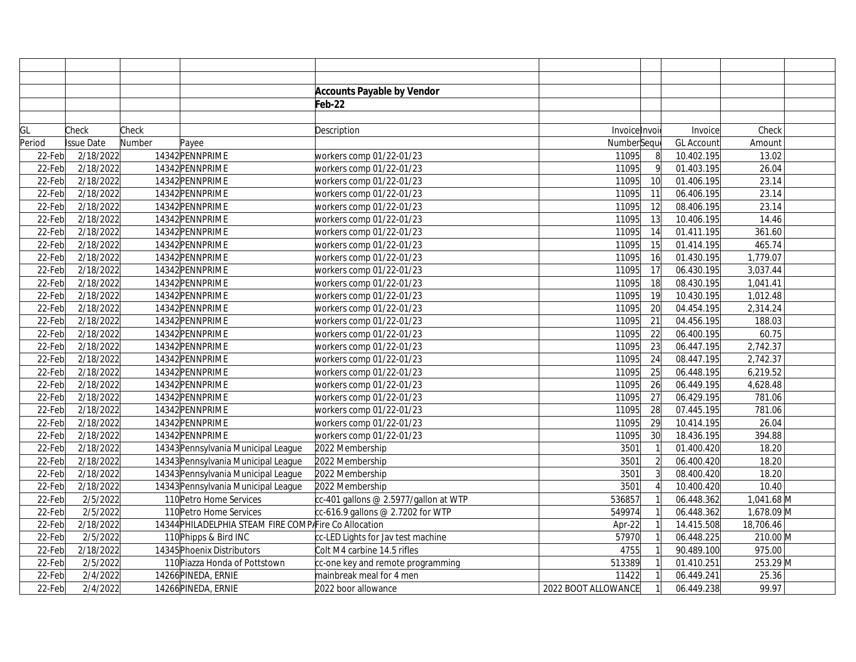|        |                   |        |                                                       | <b>Accounts Payable by Vendor</b>     |                     |                |                   |            |
|--------|-------------------|--------|-------------------------------------------------------|---------------------------------------|---------------------|----------------|-------------------|------------|
|        |                   |        |                                                       | Feb-22                                |                     |                |                   |            |
|        |                   |        |                                                       |                                       |                     |                |                   |            |
| GL     | Check             | Check  |                                                       | Description                           | Invoice Invoi       |                | Invoice           | Check      |
| Period | <b>Issue Date</b> | Number | Payee                                                 |                                       | NumberSeque         |                | <b>GL Account</b> | Amount     |
| 22-Feb | 2/18/2022         |        | 14342 PENNPRIME                                       | workers comp 01/22-01/23              | 11095               | 8              | 10.402.195        | 13.02      |
| 22-Feb | 2/18/2022         |        | 14342 PENNPRIME                                       | workers comp 01/22-01/23              | 11095               | $\overline{9}$ | 01.403.195        | 26.04      |
| 22-Feb | 2/18/2022         |        | 14342 PENNPRIME                                       | workers comp 01/22-01/23              | 11095               | 10             | 01.406.195        | 23.14      |
| 22-Feb | 2/18/2022         |        | 14342 PENNPRIME                                       | workers comp 01/22-01/23              | 11095               | 11             | 06.406.195        | 23.14      |
| 22-Feb | 2/18/2022         |        | 14342 PENNPRIME                                       | workers comp 01/22-01/23              | 11095               | 12             | 08.406.195        | 23.14      |
| 22-Feb | 2/18/2022         |        | 14342 PENNPRIME                                       | workers comp 01/22-01/23              | 11095               | 13             | 10.406.195        | 14.46      |
| 22-Feb | 2/18/2022         |        | 14342 PENNPRIME                                       | workers comp 01/22-01/23              | 11095               | 14             | 01.411.195        | 361.60     |
| 22-Feb | 2/18/2022         |        | 14342 PENNPRIME                                       | workers comp 01/22-01/23              | 11095               | 15             | 01.414.195        | 465.74     |
| 22-Feb | 2/18/2022         |        | 14342 PENNPRIME                                       | workers comp 01/22-01/23              | 11095               | 16             | 01.430.195        | 1,779.07   |
| 22-Feb | 2/18/2022         |        | 14342 PENNPRIME                                       | workers comp 01/22-01/23              | 11095               | 17             | 06.430.195        | 3,037.44   |
| 22-Feb | 2/18/2022         |        | 14342 PENNPRIME                                       | workers comp 01/22-01/23              | 11095               | 18             | 08.430.195        | 1,041.41   |
| 22-Feb | 2/18/2022         |        | 14342 PENNPRIME                                       | workers comp 01/22-01/23              | 11095               | 19             | 10.430.195        | 1,012.48   |
| 22-Feb | 2/18/2022         |        | 14342 PENNPRIME                                       | workers comp 01/22-01/23              | 11095               | 20             | 04.454.195        | 2,314.24   |
| 22-Feb | 2/18/2022         |        | 14342 PENNPRIME                                       | workers comp 01/22-01/23              | 11095               | 21             | 04.456.195        | 188.03     |
| 22-Feb | 2/18/2022         |        | 14342 PENNPRIME                                       | workers comp 01/22-01/23              | 11095               | 22             | 06.400.195        | 60.75      |
| 22-Feb | 2/18/2022         |        | 14342 PENNPRIME                                       | workers comp 01/22-01/23              | 11095               | 23             | 06.447.195        | 2,742.37   |
| 22-Feb | 2/18/2022         |        | 14342 PENNPRIME                                       | workers comp 01/22-01/23              | 11095               | 24             | 08.447.195        | 2,742.37   |
| 22-Feb | 2/18/2022         |        | 14342 PENNPRIME                                       | workers comp 01/22-01/23              | 11095               | 25             | 06.448.195        | 6,219.52   |
| 22-Feb | 2/18/2022         |        | 14342 PENNPRIME                                       | workers comp 01/22-01/23              | 11095               | 26             | 06.449.195        | 4,628.48   |
| 22-Feb | 2/18/2022         |        | 14342 PENNPRIME                                       | workers comp 01/22-01/23              | 11095               | 27             | 06.429.195        | 781.06     |
| 22-Feb | 2/18/2022         |        | 14342 PENNPRIME                                       | workers comp 01/22-01/23              | 11095               | 28             | 07.445.195        | 781.06     |
| 22-Feb | 2/18/2022         |        | 14342 PENNPRIME                                       | workers comp 01/22-01/23              | 11095               | 29             | 10.414.195        | 26.04      |
| 22-Feb | 2/18/2022         |        | 14342 PENNPRIME                                       | workers comp 01/22-01/23              | 11095               | 30             | 18.436.195        | 394.88     |
| 22-Feb | 2/18/2022         |        | 14343 Pennsylvania Municipal League                   | 2022 Membership                       | 3501                |                | 01.400.420        | 18.20      |
| 22-Feb | 2/18/2022         |        | 14343 Pennsylvania Municipal League                   | 2022 Membership                       | 3501                | $\overline{2}$ | 06.400.420        | 18.20      |
| 22-Feb | 2/18/2022         |        | 14343 Pennsylvania Municipal League                   | 2022 Membership                       | 3501                |                | 08.400.420        | 18.20      |
| 22-Feb | 2/18/2022         |        | 14343 Pennsylvania Municipal League                   | 2022 Membership                       | 3501                |                | 10.400.420        | 10.40      |
| 22-Feb | 2/5/2022          |        | 110 Petro Home Services                               | cc-401 gallons @ 2.5977/gallon at WTP | 536857              |                | 06.448.362        | 1,041.68 M |
| 22-Feb | 2/5/2022          |        | 110 Petro Home Services                               | cc-616.9 gallons @ 2.7202 for WTP     | 549974              |                | 06.448.362        | 1,678.09 M |
| 22-Feb | 2/18/2022         |        | 14344 PHILADELPHIA STEAM FIRE COMPAFire Co Allocation |                                       | Apr-22              |                | 14.415.508        | 18,706.46  |
| 22-Feb | 2/5/2022          |        | 110 Phipps & Bird INC                                 | cc-LED Lights for Jav test machine    | 57970               |                | 06.448.225        | 210.00 M   |
| 22-Feb | 2/18/2022         |        | 14345 Phoenix Distributors                            | Colt M4 carbine 14.5 rifles           | 4755                |                | 90.489.100        | 975.00     |
| 22-Feb | 2/5/2022          |        | 110 Piazza Honda of Pottstown                         | cc-one key and remote programming     | 513389              |                | 01.410.251        | 253.29 M   |
| 22-Feb | 2/4/2022          |        | 14266 PINEDA, ERNIE                                   | mainbreak meal for 4 men              | 11422               |                | 06.449.241        | 25.36      |
| 22-Feb | 2/4/2022          |        | 14266 PINEDA, ERNIE                                   | 2022 boor allowance                   | 2022 BOOT ALLOWANCE |                | 06.449.238        | 99.97      |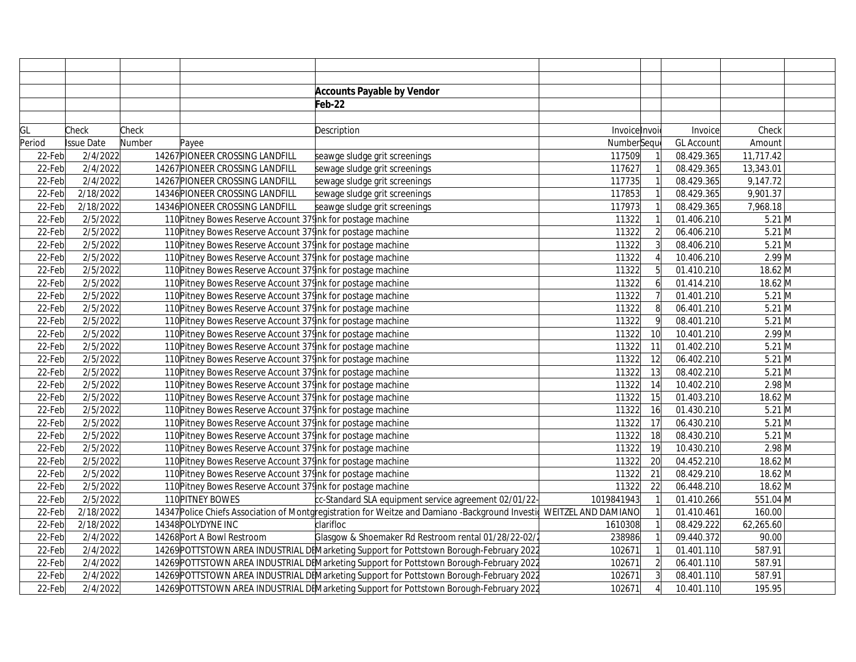|        |            |        |                                                              | <b>Accounts Payable by Vendor</b>                                                                                    |               |                 |                   |           |  |
|--------|------------|--------|--------------------------------------------------------------|----------------------------------------------------------------------------------------------------------------------|---------------|-----------------|-------------------|-----------|--|
|        |            |        |                                                              | Feb-22                                                                                                               |               |                 |                   |           |  |
|        |            |        |                                                              |                                                                                                                      |               |                 |                   |           |  |
| GL     | Check      | Check  |                                                              | Description                                                                                                          | Invoice Invoi |                 | Invoice           | Check     |  |
| Period | Issue Date | Number | Payee                                                        |                                                                                                                      | NumberSequ    |                 | <b>GL Account</b> | Amount    |  |
| 22-Feb | 2/4/2022   |        | 14267 PIONEER CROSSING LANDFILL                              | seawge sludge grit screenings                                                                                        | 117509        |                 | 08.429.365        | 11,717.42 |  |
| 22-Feb | 2/4/2022   |        | 14267 PIONEER CROSSING LANDFILL                              | sewage sludge grit screenings                                                                                        | 117627        |                 | 08.429.365        | 13,343.01 |  |
| 22-Feb | 2/4/2022   |        | 14267 PIONEER CROSSING LANDFILL                              | sewage sludge grit screenings                                                                                        | 117735        |                 | 08.429.365        | 9,147.72  |  |
| 22-Feb | 2/18/2022  |        | 14346 PIONEER CROSSING LANDFILL                              | sewage sludge grit screenings                                                                                        | 117853        |                 | 08.429.365        | 9,901.37  |  |
| 22-Feb | 2/18/2022  |        | 14346 PIONEER CROSSING LANDFILL                              | seawge sludge grit screenings                                                                                        | 117973        |                 | 08.429.365        | 7,968.18  |  |
| 22-Feb | 2/5/2022   |        | 110 Pitney Bowes Reserve Account 37 link for postage machine |                                                                                                                      | 11322         |                 | 01.406.210        | $5.21$ M  |  |
| 22-Feb | 2/5/2022   |        | 110 Pitney Bowes Reserve Account 37 Ink for postage machine  |                                                                                                                      | 11322         | $\overline{2}$  | 06.406.210        | $5.21$ M  |  |
| 22-Feb | 2/5/2022   |        | 110 Pitney Bowes Reserve Account 37 link for postage machine |                                                                                                                      | 11322         | $\overline{3}$  | 08.406.210        | $5.21$ M  |  |
| 22-Feb | 2/5/2022   |        | 110 Pitney Bowes Reserve Account 37 link for postage machine |                                                                                                                      | 11322         |                 | 10.406.210        | $2.99$ M  |  |
| 22-Feb | 2/5/2022   |        | 110 Pitney Bowes Reserve Account 37 Ink for postage machine  |                                                                                                                      | 11322         | 5 <sup>1</sup>  | 01.410.210        | 18.62 M   |  |
| 22-Feb | 2/5/2022   |        | 110 Pitney Bowes Reserve Account 37 link for postage machine |                                                                                                                      | 11322         | $\overline{6}$  | 01.414.210        | 18.62 M   |  |
| 22-Feb | 2/5/2022   |        | 110 Pitney Bowes Reserve Account 37 Ink for postage machine  |                                                                                                                      | 11322         |                 | 01.401.210        | $5.21$ M  |  |
| 22-Feb | 2/5/2022   |        | 110 Pitney Bowes Reserve Account 37 Ink for postage machine  |                                                                                                                      | 11322         | $\mathbf{8}$    | 06.401.210        | $5.21$ M  |  |
| 22-Feb | 2/5/2022   |        | 110 Pitney Bowes Reserve Account 37 Ink for postage machine  |                                                                                                                      | 11322         | $\mathsf{q}$    | 08.401.210        | $5.21$ M  |  |
| 22-Feb | 2/5/2022   |        | 110 Pitney Bowes Reserve Account 37 link for postage machine |                                                                                                                      | 11322         | 10 <sup>1</sup> | 10.401.210        | $2.99$ M  |  |
| 22-Feb | 2/5/2022   |        | 110 Pitney Bowes Reserve Account 37 Ink for postage machine  |                                                                                                                      | 11322         | 11              | 01.402.210        | $5.21$ M  |  |
| 22-Feb | 2/5/2022   |        | 110 Pitney Bowes Reserve Account 37 Ink for postage machine  |                                                                                                                      | 11322         | 12              | 06.402.210        | $5.21$ M  |  |
| 22-Feb | 2/5/2022   |        | 110 Pitney Bowes Reserve Account 37 Ink for postage machine  |                                                                                                                      | 11322         | 13              | 08.402.210        | $5.21$ M  |  |
| 22-Feb | 2/5/2022   |        | 110 Pitney Bowes Reserve Account 37 Ink for postage machine  |                                                                                                                      | 11322         | 14              | 10.402.210        | $2.98$ M  |  |
| 22-Feb | 2/5/2022   |        | 110 Pitney Bowes Reserve Account 37 link for postage machine |                                                                                                                      | 11322         | 15              | 01.403.210        | 18.62 M   |  |
| 22-Feb | 2/5/2022   |        | 110 Pitney Bowes Reserve Account 37 Ink for postage machine  |                                                                                                                      | 11322         | 16              | 01.430.210        | $5.21$ M  |  |
| 22-Feb | 2/5/2022   |        | 110 Pitney Bowes Reserve Account 37 Ink for postage machine  |                                                                                                                      | 11322         | 17              | 06.430.210        | $5.21$ M  |  |
| 22-Feb | 2/5/2022   |        | 110 Pitney Bowes Reserve Account 37 Ink for postage machine  |                                                                                                                      | 11322         | 18              | 08.430.210        | $5.21$ M  |  |
| 22-Feb | 2/5/2022   |        | 110 Pitney Bowes Reserve Account 37 link for postage machine |                                                                                                                      | 11322         | 19              | 10.430.210        | $2.98$ M  |  |
| 22-Feb | 2/5/2022   |        | 110 Pitney Bowes Reserve Account 37 link for postage machine |                                                                                                                      | 11322         | 20              | 04.452.210        | 18.62 M   |  |
| 22-Feb | 2/5/2022   |        | 110 Pitney Bowes Reserve Account 37 link for postage machine |                                                                                                                      | 11322         | 21              | 08.429.210        | 18.62 M   |  |
| 22-Feb | 2/5/2022   |        | 110 Pitney Bowes Reserve Account 37 link for postage machine |                                                                                                                      | 11322         | 22              | 06.448.210        | 18.62 M   |  |
| 22-Feb | 2/5/2022   |        | 110 PITNEY BOWES                                             | cc-Standard SLA equipment service agreement 02/01/22-                                                                | 1019841943    |                 | 01.410.266        | 551.04 M  |  |
| 22-Feb | 2/18/2022  |        |                                                              | 14347 Police Chiefs Association of Montgregistration for Weitze and Damiano -Background Investid WEITZEL AND DAMIANO |               |                 | 01.410.461        | 160.00    |  |
| 22-Feb | 2/18/2022  |        | 14348 POLYDYNE INC                                           | clarifloc                                                                                                            | 1610308       |                 | 08.429.222        | 62,265.60 |  |
| 22-Feb | 2/4/2022   |        | 14268 Port A Bowl Restroom                                   | Glasgow & Shoemaker Rd Restroom rental 01/28/22-02/2                                                                 | 238986        |                 | 09.440.372        | 90.00     |  |
| 22-Feb | 2/4/2022   |        |                                                              | 14269 POTTSTOWN AREA INDUSTRIAL DEMarketing Support for Pottstown Borough-February 2022                              | 102671        |                 | 01.401.110        | 587.91    |  |
| 22-Feb | 2/4/2022   |        |                                                              | 14269 POTTSTOWN AREA INDUSTRIAL DEMarketing Support for Pottstown Borough-February 2022                              | 102671        |                 | 06.401.110        | 587.91    |  |
| 22-Feb | 2/4/2022   |        |                                                              | 14269 POTTSTOWN AREA INDUSTRIAL DEMarketing Support for Pottstown Borough-February 2022                              | 102671        |                 | 08.401.110        | 587.91    |  |
| 22-Feb | 2/4/2022   |        |                                                              | 14269 POTTSTOWN AREA INDUSTRIAL DEMarketing Support for Pottstown Borough-February 2022                              | 102671        |                 | 10.401.110        | 195.95    |  |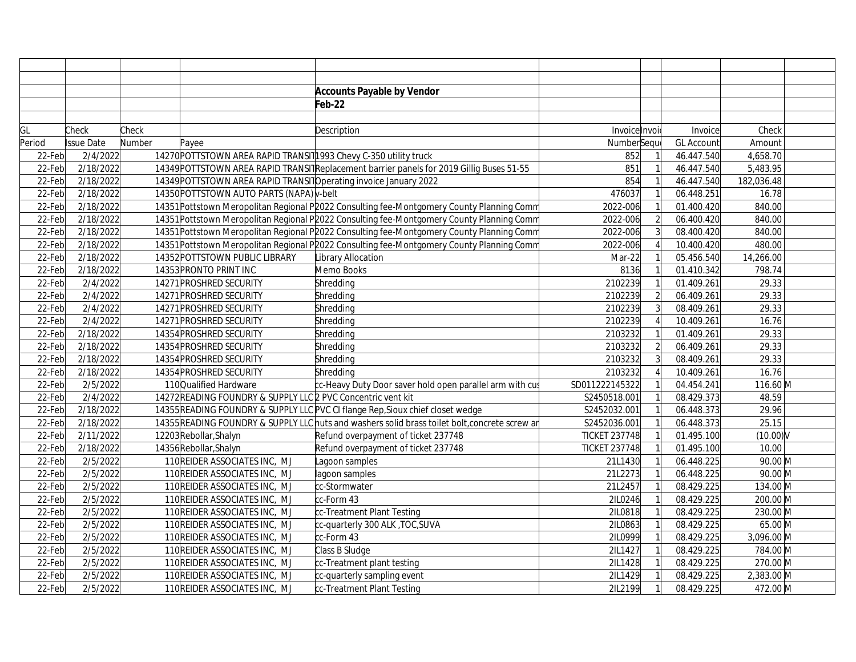|        |                   |        |                                                                   | <b>Accounts Payable by Vendor</b>                                                              |                      |                |                   |                        |  |
|--------|-------------------|--------|-------------------------------------------------------------------|------------------------------------------------------------------------------------------------|----------------------|----------------|-------------------|------------------------|--|
|        |                   |        |                                                                   | Feb-22                                                                                         |                      |                |                   |                        |  |
|        |                   |        |                                                                   |                                                                                                |                      |                |                   |                        |  |
| GL     | Check             | Check  |                                                                   | Description                                                                                    | Invoicelnvoi         |                | Invoice           | Check                  |  |
| Period | <b>Issue Date</b> | Number | Payee                                                             |                                                                                                | NumberSeque          |                | <b>GL Account</b> | Amount                 |  |
| 22-Feb | 2/4/2022          |        | 14270 POTTSTOWN AREA RAPID TRANSIT1993 Chevy C-350 utility truck  |                                                                                                | 852                  |                | 46.447.540        | 4,658.70               |  |
| 22-Feb | 2/18/2022         |        |                                                                   | 14349 POTTSTOWN AREA RAPID TRANSIT Replacement barrier panels for 2019 Gillig Buses 51-55      | 851                  |                | 46.447.540        | 5,483.95               |  |
| 22-Feb | 2/18/2022         |        | 14349 POTTSTOWN AREA RAPID TRANSITO perating invoice January 2022 |                                                                                                | 854                  |                | 46.447.540        | 182,036.48             |  |
| 22-Feb | 2/18/2022         |        | 14350 POTTSTOWN AUTO PARTS (NAPA) v-belt                          |                                                                                                | 476037               |                | 06.448.251        | 16.78                  |  |
| 22-Feb | 2/18/2022         |        |                                                                   | 14351 Pottstown Meropolitan Regional P2022 Consulting fee-Montgomery County Planning Comm      | 2022-006             |                | 01.400.420        | 840.00                 |  |
| 22-Feb | 2/18/2022         |        |                                                                   | 14351 Pottstown Meropolitan Regional P2022 Consulting fee-Montgomery County Planning Comm      | 2022-006             |                | 06.400.420        | 840.00                 |  |
| 22-Feb | 2/18/2022         |        |                                                                   | 14351 Pottstown Meropolitan Regional P2022 Consulting fee-Montgomery County Planning Comm      | 2022-006             |                | 08.400.420        | 840.00                 |  |
| 22-Feb | 2/18/2022         |        |                                                                   | 14351 Pottstown Meropolitan Regional P2022 Consulting fee-Montgomery County Planning Comm      | 2022-006             |                | 10.400.420        | 480.00                 |  |
| 22-Feb | 2/18/2022         |        | 14352 POTTSTOWN PUBLIC LIBRARY                                    | Library Allocation                                                                             | Mar-22               |                | 05.456.540        | 14,266.00              |  |
| 22-Feb | 2/18/2022         |        | 14353 PRONTO PRINT INC                                            | Memo Books                                                                                     | 8136                 |                | 01.410.342        | 798.74                 |  |
| 22-Feb | 2/4/2022          |        | 14271 PROSHRED SECURITY                                           | Shredding                                                                                      | 2102239              |                | 01.409.261        | 29.33                  |  |
| 22-Feb | 2/4/2022          |        | 14271 PROSHRED SECURITY                                           | Shredding                                                                                      | 2102239              |                | 06.409.261        | 29.33                  |  |
| 22-Feb | 2/4/2022          |        | 14271 PROSHRED SECURITY                                           | Shredding                                                                                      | 2102239              |                | 08.409.261        | 29.33                  |  |
| 22-Feb | 2/4/2022          |        | 14271 PROSHRED SECURITY                                           | Shredding                                                                                      | 2102239              |                | 10.409.261        | 16.76                  |  |
| 22-Feb | 2/18/2022         |        | 14354 PROSHRED SECURITY                                           | Shredding                                                                                      | 2103232              |                | 01.409.261        | 29.33                  |  |
| 22-Feb | 2/18/2022         |        | 14354 PROSHRED SECURITY                                           | Shredding                                                                                      | 2103232              | $\overline{2}$ | 06.409.261        | 29.33                  |  |
| 22-Feb | 2/18/2022         |        | 14354 PROSHRED SECURITY                                           | Shredding                                                                                      | 2103232              | $\overline{3}$ | 08.409.261        | 29.33                  |  |
| 22-Feb | 2/18/2022         |        | 14354 PROSHRED SECURITY                                           | Shredding                                                                                      | 2103232              |                | 10.409.261        | 16.76                  |  |
| 22-Feb | 2/5/2022          |        | 110 Qualified Hardware                                            | cc-Heavy Duty Door saver hold open parallel arm with cus                                       | SD011222145322       |                | 04.454.241        | 116.60 M               |  |
| 22-Feb | 2/4/2022          |        | 14272READING FOUNDRY & SUPPLY LLC 2 PVC Concentric vent kit       |                                                                                                | S2450518.001         |                | 08.429.373        | 48.59                  |  |
| 22-Feb | 2/18/2022         |        |                                                                   | 14355 READING FOUNDRY & SUPPLY LLC PVC CI flange Rep, Sioux chief closet wedge                 | S2452032.001         |                | 06.448.373        | 29.96                  |  |
| 22-Feb | 2/18/2022         |        |                                                                   | 14355 READING FOUNDRY & SUPPLY LLC nuts and washers solid brass toilet bolt, concrete screw ar | S2452036.001         |                | 06.448.373        | 25.15                  |  |
| 22-Feb | 2/11/2022         |        | 12203 Rebollar, Shalyn                                            | Refund overpayment of ticket 237748                                                            | <b>TICKET 237748</b> |                | 01.495.100        | $(10.00)$ <sub>V</sub> |  |
| 22-Feb | 2/18/2022         |        | 14356 Rebollar, Shalyn                                            | Refund overpayment of ticket 237748                                                            | <b>TICKET 237748</b> |                | 01.495.100        | 10.00                  |  |
| 22-Feb | 2/5/2022          |        | 110 REIDER ASSOCIATES INC, MJ                                     | Lagoon samples                                                                                 | 21L1430              |                | 06.448.225        | 90.00 M                |  |
| 22-Feb | 2/5/2022          |        | 110 REIDER ASSOCIATES INC. MJ                                     | lagoon samples                                                                                 | 21L2273              |                | 06.448.225        | $90.00$ M              |  |
| 22-Feb | 2/5/2022          |        | 110 REIDER ASSOCIATES INC. MJ                                     | cc-Stormwater                                                                                  | 21L2457              |                | 08.429.225        | 134.00 M               |  |
| 22-Feb | 2/5/2022          |        | 110 REIDER ASSOCIATES INC. MJ                                     | cc-Form 43                                                                                     | 2IL0246              |                | 08.429.225        | 200.00 M               |  |
| 22-Feb | 2/5/2022          |        | 110 REIDER ASSOCIATES INC. MJ                                     | cc-Treatment Plant Testing                                                                     | 2IL0818              |                | 08.429.225        | 230.00 M               |  |
| 22-Feb | 2/5/2022          |        | 110 REIDER ASSOCIATES INC, MJ                                     | cc-quarterly 300 ALK, TOC, SUVA                                                                | 2IL0863              |                | 08.429.225        | 65.00 M                |  |
| 22-Feb | 2/5/2022          |        | 110 REIDER ASSOCIATES INC, MJ                                     | cc-Form 43                                                                                     | 2IL0999              |                | 08.429.225        | 3,096.00 M             |  |
| 22-Feb | 2/5/2022          |        | 110 REIDER ASSOCIATES INC, MJ                                     | Class B Sludge                                                                                 | 2IL1427              |                | 08.429.225        | 784.00 M               |  |
| 22-Feb | 2/5/2022          |        | 110 REIDER ASSOCIATES INC, MJ                                     | cc-Treatment plant testing                                                                     | 2IL1428              |                | 08.429.225        | 270.00 M               |  |
| 22-Feb | 2/5/2022          |        | 110 REIDER ASSOCIATES INC, MJ                                     | cc-quarterly sampling event                                                                    | 2IL1429              |                | 08.429.225        | 2,383.00 M             |  |
| 22-Feb | 2/5/2022          |        | 110 REIDER ASSOCIATES INC, MJ                                     | cc-Treatment Plant Testing                                                                     | 2IL2199              |                | 08.429.225        | 472.00 M               |  |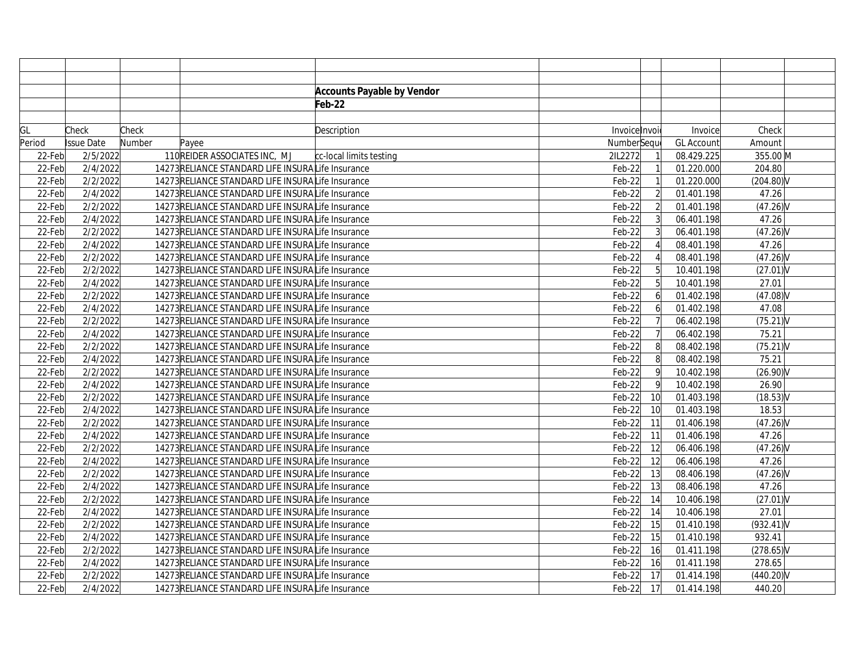|        |            |        |                                                   | <b>Accounts Payable by Vendor</b> |               |                 |                   |              |  |
|--------|------------|--------|---------------------------------------------------|-----------------------------------|---------------|-----------------|-------------------|--------------|--|
|        |            |        |                                                   | Feb-22                            |               |                 |                   |              |  |
|        |            |        |                                                   |                                   |               |                 |                   |              |  |
| GL     | Check      | Check  |                                                   | Description                       | Invoice Invoi |                 | Invoice           | Check        |  |
| Period | Issue Date | Number | Payee                                             |                                   | NumberSeque   |                 | <b>GL Account</b> | Amount       |  |
| 22-Feb | 2/5/2022   |        | 110 REIDER ASSOCIATES INC, MJ                     | cc-local limits testing           | 2IL2272       |                 | 08.429.225        | 355.00 M     |  |
| 22-Feb | 2/4/2022   |        | 14273 RELIANCE STANDARD LIFE INSURALIfe Insurance |                                   | $Feb-22$      |                 | 01.220.000        | 204.80       |  |
| 22-Feb | 2/2/2022   |        | 14273RELIANCE STANDARD LIFE INSURALIfe Insurance  |                                   | $Feb-22$      |                 | 01.220.000        | $(204.80)$ V |  |
| 22-Feb | 2/4/2022   |        | 14273RELIANCE STANDARD LIFE INSURALife Insurance  |                                   | $Feb-22$      | $\overline{2}$  | 01.401.198        | 47.26        |  |
| 22-Feb | 2/2/2022   |        | 14273RELIANCE STANDARD LIFE INSURALIfe Insurance  |                                   | $Feb-22$      | $\overline{2}$  | 01.401.198        | (47.26)      |  |
| 22-Feb | 2/4/2022   |        | 14273RELIANCE STANDARD LIFE INSURALIfe Insurance  |                                   | $Feb-22$      | $\overline{3}$  | 06.401.198        | 47.26        |  |
| 22-Feb | 2/2/2022   |        | 14273RELIANCE STANDARD LIFE INSURALife Insurance  |                                   | $Feb-22$      | $\overline{3}$  | 06.401.198        | $(47.26)$ V  |  |
| 22-Feb | 2/4/2022   |        | 14273RELIANCE STANDARD LIFE INSURALIfe Insurance  |                                   | $Feb-22$      |                 | 08.401.198        | 47.26        |  |
| 22-Feb | 2/2/2022   |        | 14273RELIANCE STANDARD LIFE INSURALIfe Insurance  |                                   | $Feb-22$      |                 | 08.401.198        | (47.26)      |  |
| 22-Feb | 2/2/2022   |        | 14273RELIANCE STANDARD LIFE INSURALIfe Insurance  |                                   | $Feb-22$      | $\overline{5}$  | 10.401.198        | $(27.01)$ V  |  |
| 22-Feb | 2/4/2022   |        | 14273RELIANCE STANDARD LIFE INSURALIfe Insurance  |                                   | $Feb-22$      | 5               | 10.401.198        | 27.01        |  |
| 22-Feb | 2/2/2022   |        | 14273RELIANCE STANDARD LIFE INSURALife Insurance  |                                   | $Feb-22$      | 6               | 01.402.198        | $(47.08)$ V  |  |
| 22-Feb | 2/4/2022   |        | 14273RELIANCE STANDARD LIFE INSURALife Insurance  |                                   | $Feb-22$      | 6               | 01.402.198        | 47.08        |  |
| 22-Feb | 2/2/2022   |        | 14273RELIANCE STANDARD LIFE INSURALIfe Insurance  |                                   | $Feb-22$      |                 | 06.402.198        | $(75.21)$ V  |  |
| 22-Feb | 2/4/2022   |        | 14273RELIANCE STANDARD LIFE INSURALife Insurance  |                                   | $Feb-22$      |                 | 06.402.198        | 75.21        |  |
| 22-Feb | 2/2/2022   |        | 14273RELIANCE STANDARD LIFE INSURALife Insurance  |                                   | $Feb-22$      | 8               | 08.402.198        | (75.21)      |  |
| 22-Feb | 2/4/2022   |        | 14273RELIANCE STANDARD LIFE INSURALife Insurance  |                                   | $Feb-22$      | 8               | 08.402.198        | 75.21        |  |
| 22-Feb | 2/2/2022   |        | 14273RELIANCE STANDARD LIFE INSURALIfe Insurance  |                                   | $Feb-22$      | $\overline{9}$  | 10.402.198        | (26.90)V     |  |
| 22-Feb | 2/4/2022   |        | 14273RELIANCE STANDARD LIFE INSURALIfe Insurance  |                                   | $Feb-22$      | 9               | 10.402.198        | 26.90        |  |
| 22-Feb | 2/2/2022   |        | 14273RELIANCE STANDARD LIFE INSURALife Insurance  |                                   | $Feb-22$      | 10              | 01.403.198        | (18.53)V     |  |
| 22-Feb | 2/4/2022   |        | 14273 RELIANCE STANDARD LIFE INSURALIfe Insurance |                                   | $Feb-22$      | 10              | 01.403.198        | 18.53        |  |
| 22-Feb | 2/2/2022   |        | 14273RELIANCE STANDARD LIFE INSURALife Insurance  |                                   | $Feb-22$      | 11              | 01.406.198        | (47.26)      |  |
| 22-Feb | 2/4/2022   |        | 14273RELIANCE STANDARD LIFE INSURALIfe Insurance  |                                   | $Feb-22$      | 11              | 01.406.198        | 47.26        |  |
| 22-Feb | 2/2/2022   |        | 14273 RELIANCE STANDARD LIFE INSURALIfe Insurance |                                   | $Feb-22$      | 12              | 06.406.198        | $(47.26)$ V  |  |
| 22-Feb | 2/4/2022   |        | 14273 RELIANCE STANDARD LIFE INSURALIfe Insurance |                                   | $Feb-22$      | 12              | 06.406.198        | 47.26        |  |
| 22-Feb | 2/2/2022   |        | 14273RELIANCE STANDARD LIFE INSURALife Insurance  |                                   | $Feb-22$      | $\overline{13}$ | 08.406.198        | (47.26)      |  |
| 22-Feb | 2/4/2022   |        | 14273RELIANCE STANDARD LIFE INSURALIfe Insurance  |                                   | $Feb-22$      | 13              | 08.406.198        | 47.26        |  |
| 22-Feb | 2/2/2022   |        | 14273RELIANCE STANDARD LIFE INSURALIfe Insurance  |                                   | $Feb-22$      | 14              | 10.406.198        | $(27.01)$ V  |  |
| 22-Feb | 2/4/2022   |        | 14273RELIANCE STANDARD LIFE INSURALIfe Insurance  |                                   | $Feb-22$      | 14              | 10.406.198        | 27.01        |  |
| 22-Feb | 2/2/2022   |        | 14273RELIANCE STANDARD LIFE INSURALIfe Insurance  |                                   | $Feb-22$      | 15              | 01.410.198        | (932.41)     |  |
| 22-Feb | 2/4/2022   |        | 14273RELIANCE STANDARD LIFE INSURALife Insurance  |                                   | $Feb-22$      | 15              | 01.410.198        | 932.41       |  |
| 22-Feb | 2/2/2022   |        | 14273RELIANCE STANDARD LIFE INSURALife Insurance  |                                   | $Feb-22$      | 16              | 01.411.198        | $(278.65)$ V |  |
| 22-Feb | 2/4/2022   |        | 14273RELIANCE STANDARD LIFE INSURALIfe Insurance  |                                   | $Feb-22$      | 16              | 01.411.198        | 278.65       |  |
| 22-Feb | 2/2/2022   |        | 14273RELIANCE STANDARD LIFE INSURALIfe Insurance  |                                   | $Feb-22$      | 17              | 01.414.198        | $(440.20)$ V |  |
| 22-Feb | 2/4/2022   |        | 14273RELIANCE STANDARD LIFE INSURALIfe Insurance  |                                   | $Feb-22$      | 17              | 01.414.198        | 440.20       |  |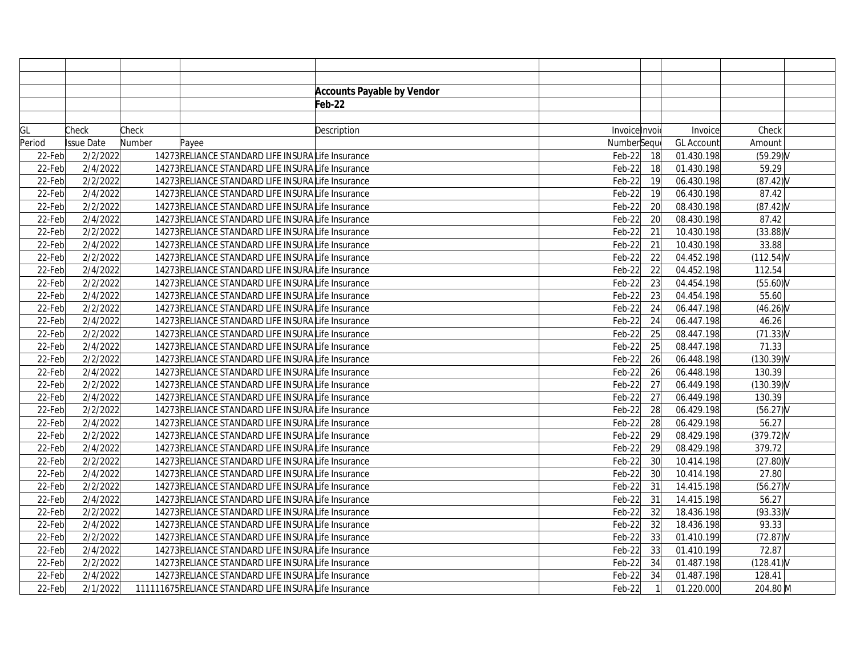|        |            |        |                                                      | <b>Accounts Payable by Vendor</b> |               |                 |                   |              |  |
|--------|------------|--------|------------------------------------------------------|-----------------------------------|---------------|-----------------|-------------------|--------------|--|
|        |            |        |                                                      | Feb-22                            |               |                 |                   |              |  |
|        |            |        |                                                      |                                   |               |                 |                   |              |  |
| GL     | Check      | Check  |                                                      | Description                       | Invoice Invoi |                 | Invoice           | Check        |  |
| Period | Issue Date | Number | Payee                                                |                                   | NumberSequ    |                 | <b>GL Account</b> | Amount       |  |
| 22-Feb | 2/2/2022   |        | 14273RELIANCE STANDARD LIFE INSURALife Insurance     |                                   | $Feb-22$      | 18              | 01.430.198        | $(59.29)$ V  |  |
| 22-Feb | 2/4/2022   |        | 14273RELIANCE STANDARD LIFE INSURALIfe Insurance     |                                   | $Feb-22$      | 18              | 01.430.198        | 59.29        |  |
| 22-Feb | 2/2/2022   |        | 14273RELIANCE STANDARD LIFE INSURALIfe Insurance     |                                   | $Feb-22$      | 19              | 06.430.198        | $(87.42)$ V  |  |
| 22-Feb | 2/4/2022   |        | 14273RELIANCE STANDARD LIFE INSURALife Insurance     |                                   | $Feb-22$      | 19              | 06.430.198        | 87.42        |  |
| 22-Feb | 2/2/2022   |        | 14273RELIANCE STANDARD LIFE INSURALife Insurance     |                                   | $Feb-22$      | 20              | 08.430.198        | (87.42)      |  |
| 22-Feb | 2/4/2022   |        | 14273RELIANCE STANDARD LIFE INSURALIfe Insurance     |                                   | $Feb-22$      | $\overline{20}$ | 08.430.198        | 87.42        |  |
| 22-Feb | 2/2/2022   |        | 14273RELIANCE STANDARD LIFE INSURALife Insurance     |                                   | $Feb-22$      | 21              | 10.430.198        | $(33.88)$ V  |  |
| 22-Feb | 2/4/2022   |        | 14273RELIANCE STANDARD LIFE INSURALIfe Insurance     |                                   | $Feb-22$      | 21              | 10.430.198        | 33.88        |  |
| 22-Feb | 2/2/2022   |        | 14273RELIANCE STANDARD LIFE INSURALIfe Insurance     |                                   | $Feb-22$      | 22              | 04.452.198        | (112.54)     |  |
| 22-Feb | 2/4/2022   |        | 14273RELIANCE STANDARD LIFE INSURALIfe Insurance     |                                   | $Feb-22$      | 22              | 04.452.198        | 112.54       |  |
| 22-Feb | 2/2/2022   |        | 14273RELIANCE STANDARD LIFE INSURALIfe Insurance     |                                   | $Feb-22$      | 23              | 04.454.198        | $(55.60)$ V  |  |
| 22-Feb | 2/4/2022   |        | 14273RELIANCE STANDARD LIFE INSURALIfe Insurance     |                                   | $Feb-22$      | 23              | 04.454.198        | 55.60        |  |
| 22-Feb | 2/2/2022   |        | 14273RELIANCE STANDARD LIFE INSURALIfe Insurance     |                                   | $Feb-22$      | 24              | 06.447.198        | $(46.26)$ V  |  |
| 22-Feb | 2/4/2022   |        | 14273RELIANCE STANDARD LIFE INSURALIfe Insurance     |                                   | $Feb-22$      | 24              | 06.447.198        | 46.26        |  |
| 22-Feb | 2/2/2022   |        | 14273RELIANCE STANDARD LIFE INSURALife Insurance     |                                   | $Feb-22$      | 25              | 08.447.198        | $(71.33)$ V  |  |
| 22-Feb | 2/4/2022   |        | 14273RELIANCE STANDARD LIFE INSURALife Insurance     |                                   | $Feb-22$      | 25              | 08.447.198        | 71.33        |  |
| 22-Feb | 2/2/2022   |        | 14273RELIANCE STANDARD LIFE INSURALife Insurance     |                                   | $Feb-22$      | 26              | 06.448.198        | (130.39)V    |  |
| 22-Feb | 2/4/2022   |        | 14273RELIANCE STANDARD LIFE INSURALIfe Insurance     |                                   | $Feb-22$      | 26              | 06.448.198        | 130.39       |  |
| 22-Feb | 2/2/2022   |        | 14273RELIANCE STANDARD LIFE INSURALife Insurance     |                                   | $Feb-22$      | 27              | 06.449.198        | $(130.39)$ V |  |
| 22-Feb | 2/4/2022   |        | 14273RELIANCE STANDARD LIFE INSURALife Insurance     |                                   | $Feb-22$      | 27              | 06.449.198        | 130.39       |  |
| 22-Feb | 2/2/2022   |        | 14273 RELIANCE STANDARD LIFE INSURALIfe Insurance    |                                   | $Feb-22$      | 28              | 06.429.198        | $(56.27)$ V  |  |
| 22-Feb | 2/4/2022   |        | 14273RELIANCE STANDARD LIFE INSURALife Insurance     |                                   | $Feb-22$      | $\overline{28}$ | 06.429.198        | 56.27        |  |
| 22-Feb | 2/2/2022   |        | 14273RELIANCE STANDARD LIFE INSURALIfe Insurance     |                                   | $Feb-22$      | 29              | 08.429.198        | (379.72)     |  |
| 22-Feb | 2/4/2022   |        | 14273 RELIANCE STANDARD LIFE INSURALIfe Insurance    |                                   | $Feb-22$      | 29              | 08.429.198        | 379.72       |  |
| 22-Feb | 2/2/2022   |        | 14273 RELIANCE STANDARD LIFE INSURALIfe Insurance    |                                   | $Feb-22$      | 30              | 10.414.198        | $(27.80)$ V  |  |
| 22-Feb | 2/4/2022   |        | 14273RELIANCE STANDARD LIFE INSURALife Insurance     |                                   | $Feb-22$      | 30              | 10.414.198        | 27.80        |  |
| 22-Feb | 2/2/2022   |        | 14273RELIANCE STANDARD LIFE INSURALIfe Insurance     |                                   | $Feb-22$      | 31              | 14.415.198        | $(56.27)$ V  |  |
| 22-Feb | 2/4/2022   |        | 14273RELIANCE STANDARD LIFE INSURALIfe Insurance     |                                   | $Feb-22$      | 31              | 14.415.198        | 56.27        |  |
| 22-Feb | 2/2/2022   |        | 14273RELIANCE STANDARD LIFE INSURALIfe Insurance     |                                   | $Feb-22$      | 32              | 18.436.198        | (93.33)V     |  |
| 22-Feb | 2/4/2022   |        | 14273RELIANCE STANDARD LIFE INSURALIfe Insurance     |                                   | $Feb-22$      | 32              | 18.436.198        | 93.33        |  |
| 22-Feb | 2/2/2022   |        | 14273RELIANCE STANDARD LIFE INSURALife Insurance     |                                   | $Feb-22$      | 33              | 01.410.199        | $(72.87)$ V  |  |
| 22-Feb | 2/4/2022   |        | 14273RELIANCE STANDARD LIFE INSURALife Insurance     |                                   | $Feb-22$      | 33              | 01.410.199        | 72.87        |  |
| 22-Feb | 2/2/2022   |        | 14273 RELIANCE STANDARD LIFE INSURALIfe Insurance    |                                   | $Feb-22$      | 34              | 01.487.198        | (128.41)     |  |
| 22-Feb | 2/4/2022   |        | 14273RELIANCE STANDARD LIFE INSURALIfe Insurance     |                                   | $Feb-22$      | 34              | 01.487.198        | 128.41       |  |
| 22-Feb | 2/1/2022   |        | 111111675RELIANCE STANDARD LIFE INSURALIfe Insurance |                                   | $Feb-22$      | $\mathbf{1}$    | 01.220.000        | 204.80 M     |  |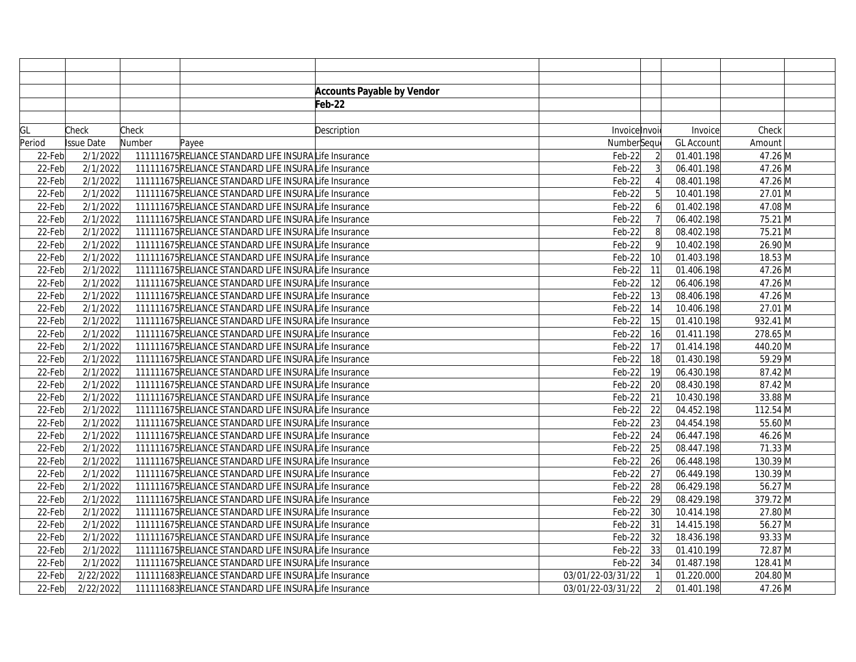|        |                   |        |                                                       | <b>Accounts Payable by Vendor</b> |                   |                 |                   |                              |  |
|--------|-------------------|--------|-------------------------------------------------------|-----------------------------------|-------------------|-----------------|-------------------|------------------------------|--|
|        |                   |        |                                                       | Feb-22                            |                   |                 |                   |                              |  |
|        |                   |        |                                                       |                                   |                   |                 |                   |                              |  |
| GL     | Check             | Check  |                                                       | Description                       | Invoice Invoi     |                 | Invoice           | Check                        |  |
| Period | <b>Issue Date</b> | Number | Payee                                                 |                                   | NumberSequ        |                 | <b>GL Account</b> | Amount                       |  |
| 22-Feb | 2/1/2022          |        | 111111675RELIANCE STANDARD LIFE INSURALIfe Insurance  |                                   | $Feb-22$          |                 | 01.401.198        | 47.26 M                      |  |
| 22-Feb | 2/1/2022          |        | 111111675RELIANCE STANDARD LIFE INSURALIfe Insurance  |                                   | $Feb-22$          |                 | 06.401.198        | 47.26 M                      |  |
| 22-Feb | 2/1/2022          |        | 111111675RELIANCE STANDARD LIFE INSURALIfe Insurance  |                                   | $Feb-22$          |                 | 08.401.198        | 47.26 M                      |  |
| 22-Feb | 2/1/2022          |        | 111111675RELIANCE STANDARD LIFE INSURALife Insurance  |                                   | $Feb-22$          |                 | 10.401.198        | 27.01 M                      |  |
| 22-Feb | 2/1/2022          |        | 111111675RELIANCE STANDARD LIFE INSURALIfe Insurance  |                                   | $Feb-22$          | 6               | 01.402.198        | 47.08 M                      |  |
| 22-Feb | 2/1/2022          |        | 111111675RELIANCE STANDARD LIFE INSURALIfe Insurance  |                                   | $Feb-22$          |                 | 06.402.198        | 75.21 M                      |  |
| 22-Feb | 2/1/2022          |        | 111111675RELIANCE STANDARD LIFE INSURALIfe Insurance  |                                   | $Feb-22$          | 8               | 08.402.198        | 75.21 M                      |  |
| 22-Feb | 2/1/2022          |        | 111111675RELIANCE STANDARD LIFE INSURALIfe Insurance  |                                   | $Feb-22$          | 9               | 10.402.198        | 26.90 M                      |  |
| 22-Feb | 2/1/2022          |        | 111111675RELIANCE STANDARD LIFE INSURALIfe Insurance  |                                   | $Feb-22$          | 10              | 01.403.198        | 18.53 M                      |  |
| 22-Feb | 2/1/2022          |        | 111111675RELIANCE STANDARD LIFE INSURALIfe Insurance  |                                   | $Feb-22$          | 11              | 01.406.198        | 47.26 M                      |  |
| 22-Feb | 2/1/2022          |        | 111111675RELIANCE STANDARD LIFE INSURALIfe Insurance  |                                   | $Feb-22$          | 12              | 06.406.198        | 47.26 M                      |  |
| 22-Feb | 2/1/2022          |        | 111111675RELIANCE STANDARD LIFE INSURALIfe Insurance  |                                   | $Feb-22$          | 13              | 08.406.198        | 47.26 M                      |  |
| 22-Feb | 2/1/2022          |        | 111111675RELIANCE STANDARD LIFE INSURALIfe Insurance  |                                   | $Feb-22$          | 14              | 10.406.198        | 27.01 M                      |  |
| 22-Feb | 2/1/2022          |        | 111111675RELIANCE STANDARD LIFE INSURALIfe Insurance  |                                   | $Feb-22$          | 15              | 01.410.198        | 932.41 M                     |  |
| 22-Feb | 2/1/2022          |        | 111111675 RELIANCE STANDARD LIFE INSURALIfe Insurance |                                   | $Feb-22$          | 16              | 01.411.198        | 278.65 M                     |  |
| 22-Feb | 2/1/2022          |        | 111111675RELIANCE STANDARD LIFE INSURALIfe Insurance  |                                   | $Feb-22$          | 17              | 01.414.198        | 440.20 M                     |  |
| 22-Feb | 2/1/2022          |        | 111111675RELIANCE STANDARD LIFE INSURALIfe Insurance  |                                   | $Feb-22$          | $\overline{18}$ | 01.430.198        | 59.29 M                      |  |
| 22-Feb | 2/1/2022          |        | 111111675RELIANCE STANDARD LIFE INSURALIfe Insurance  |                                   | $Feb-22$          | 19              | 06.430.198        | 87.42 M                      |  |
| 22-Feb | 2/1/2022          |        | 111111675RELIANCE STANDARD LIFE INSURALIfe Insurance  |                                   | $Feb-22$          | 20              | 08.430.198        | 87.42 M                      |  |
| 22-Feb | 2/1/2022          |        | 111111675RELIANCE STANDARD LIFE INSURALIfe Insurance  |                                   | $Feb-22$          | $\overline{21}$ | 10.430.198        | 33.88 M                      |  |
| 22-Feb | 2/1/2022          |        | 111111675RELIANCE STANDARD LIFE INSURALife Insurance  |                                   | $Feb-22$          | 22              | 04.452.198        | 112.54 M                     |  |
| 22-Feb | 2/1/2022          |        | 111111675RELIANCE STANDARD LIFE INSURALIfe Insurance  |                                   | $Feb-22$          | $\overline{23}$ | 04.454.198        | 55.60 M                      |  |
| 22-Feb | 2/1/2022          |        | 111111675RELIANCE STANDARD LIFE INSURALIfe Insurance  |                                   | $Feb-22$          | 24              | 06.447.198        | 46.26 M                      |  |
| 22-Feb | 2/1/2022          |        | 111111675RELIANCE STANDARD LIFE INSURALIfe Insurance  |                                   | $Feb-22$          | 25              | 08.447.198        | 71.33 M                      |  |
| 22-Feb | 2/1/2022          |        | 111111675RELIANCE STANDARD LIFE INSURALIfe Insurance  |                                   | $Feb-22$          | 26              | 06.448.198        | 130.39 M                     |  |
| 22-Feb | 2/1/2022          |        | 111111675RELIANCE STANDARD LIFE INSURALIfe Insurance  |                                   | $Feb-22$          | 27              | 06.449.198        | 130.39 M                     |  |
| 22-Feb | 2/1/2022          |        | 111111675RELIANCE STANDARD LIFE INSURALIfe Insurance  |                                   | $Feb-22$          | 28              | 06.429.198        | $56.27\overline{\mathrm{M}}$ |  |
| 22-Feb | 2/1/2022          |        | 111111675RELIANCE STANDARD LIFE INSURALIfe Insurance  |                                   | $Feb-22$          | 29              | 08.429.198        | 379.72 M                     |  |
| 22-Feb | 2/1/2022          |        | 111111675RELIANCE STANDARD LIFE INSURALIfe Insurance  |                                   | $Feb-22$          | 30              | 10.414.198        | 27.80 M                      |  |
| 22-Feb | 2/1/2022          |        | 111111675RELIANCE STANDARD LIFE INSURALife Insurance  |                                   | $Feb-22$          | 31              | 14.415.198        | 56.27 M                      |  |
| 22-Feb | 2/1/2022          |        | 111111675RELIANCE STANDARD LIFE INSURALIfe Insurance  |                                   | $Feb-22$          | 32              | 18.436.198        | 93.33 M                      |  |
| 22-Feb | 2/1/2022          |        | 111111675RELIANCE STANDARD LIFE INSURALIfe Insurance  |                                   | $Feb-22$          | 33              | 01.410.199        | 72.87 M                      |  |
| 22-Feb | 2/1/2022          |        | 111111675RELIANCE STANDARD LIFE INSURALIfe Insurance  |                                   | $Feb-22$          | 34              | 01.487.198        | 128.41 M                     |  |
| 22-Feb | 2/22/2022         |        | 111111683RELIANCE STANDARD LIFE INSURALIfe Insurance  |                                   | 03/01/22-03/31/22 |                 | 01.220.000        | 204.80 M                     |  |
| 22-Feb | 2/22/2022         |        | 111111683RELIANCE STANDARD LIFE INSURALIfe Insurance  |                                   | 03/01/22-03/31/22 |                 | 01.401.198        | 47.26 M                      |  |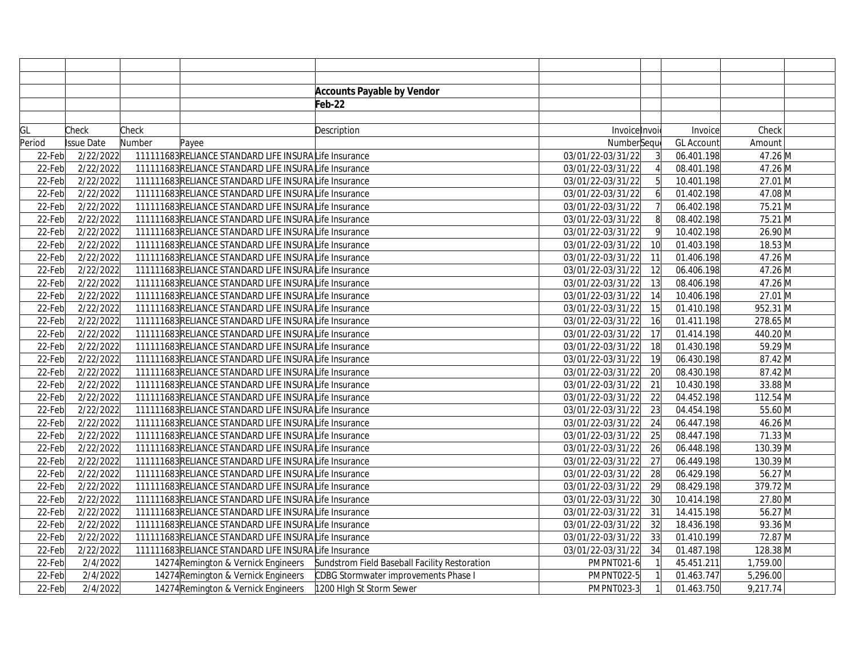|           |            |        |                                                      | <b>Accounts Payable by Vendor</b>             |                   |    |                   |          |  |
|-----------|------------|--------|------------------------------------------------------|-----------------------------------------------|-------------------|----|-------------------|----------|--|
|           |            |        |                                                      | Feb-22                                        |                   |    |                   |          |  |
|           |            |        |                                                      |                                               |                   |    |                   |          |  |
| GL        | Check      | Check  |                                                      | Description                                   | Invoice Invoi     |    | Invoice           | Check    |  |
| Period    | Issue Date | Number | Payee                                                |                                               | NumberSequ        |    | <b>GL Account</b> | Amount   |  |
| 22-Feb    | 2/22/2022  |        | 111111683RELIANCE STANDARD LIFE INSURALIfe Insurance |                                               | 03/01/22-03/31/22 | 3  | 06.401.198        | 47.26 M  |  |
| 22-Feb    | 2/22/2022  |        | 111111683RELIANCE STANDARD LIFE INSURALIfe Insurance |                                               | 03/01/22-03/31/22 |    | 08.401.198        | 47.26 M  |  |
| 22-Feb    | 2/22/2022  |        | 111111683RELIANCE STANDARD LIFE INSURALIfe Insurance |                                               | 03/01/22-03/31/22 | 5  | 10.401.198        | 27.01 M  |  |
| 22-Feb    | 2/22/2022  |        | 111111683RELIANCE STANDARD LIFE INSURALIfe Insurance |                                               | 03/01/22-03/31/22 | 6  | 01.402.198        | 47.08 M  |  |
| 22-Feb    | 2/22/2022  |        | 111111683RELIANCE STANDARD LIFE INSURALIfe Insurance |                                               | 03/01/22-03/31/22 | 7  | 06.402.198        | 75.21 M  |  |
| 22-Feb    | 2/22/2022  |        | 111111683RELIANCE STANDARD LIFE INSURALIfe Insurance |                                               | 03/01/22-03/31/22 | 8  | 08.402.198        | 75.21 M  |  |
| 22-Feb    | 2/22/2022  |        | 111111683RELIANCE STANDARD LIFE INSURALIfe Insurance |                                               | 03/01/22-03/31/22 | 9  | 10.402.198        | 26.90 M  |  |
| 22-Feb    | 2/22/2022  |        | 111111683RELIANCE STANDARD LIFE INSURALIfe Insurance |                                               | 03/01/22-03/31/22 | 10 | 01.403.198        | 18.53 M  |  |
| 22-Feb    | 2/22/2022  |        | 111111683RELIANCE STANDARD LIFE INSURALIfe Insurance |                                               | 03/01/22-03/31/22 | 11 | 01.406.198        | 47.26 M  |  |
| 22-Feb    | 2/22/2022  |        | 111111683RELIANCE STANDARD LIFE INSURALIfe Insurance |                                               | 03/01/22-03/31/22 | 12 | 06.406.198        | 47.26 M  |  |
| 22-Feb    | 2/22/2022  |        | 111111683RELIANCE STANDARD LIFE INSURALIfe Insurance |                                               | 03/01/22-03/31/22 | 13 | 08.406.198        | 47.26 M  |  |
| $22$ -Feb | 2/22/2022  |        | 111111683RELIANCE STANDARD LIFE INSURALIfe Insurance |                                               | 03/01/22-03/31/22 | 14 | 10.406.198        | 27.01 M  |  |
| 22-Feb    | 2/22/2022  |        | 111111683RELIANCE STANDARD LIFE INSURALIfe Insurance |                                               | 03/01/22-03/31/22 | 15 | 01.410.198        | 952.31 M |  |
| 22-Feb    | 2/22/2022  |        | 111111683RELIANCE STANDARD LIFE INSURALIfe Insurance |                                               | 03/01/22-03/31/22 | 16 | 01.411.198        | 278.65 M |  |
| 22-Feb    | 2/22/2022  |        | 111111683RELIANCE STANDARD LIFE INSURALIfe Insurance |                                               | 03/01/22-03/31/22 | 17 | 01.414.198        | 440.20 M |  |
| 22-Feb    | 2/22/2022  |        | 111111683RELIANCE STANDARD LIFE INSURALIfe Insurance |                                               | 03/01/22-03/31/22 | 18 | 01.430.198        | 59.29 M  |  |
| 22-Feb    | 2/22/2022  |        | 111111683RELIANCE STANDARD LIFE INSURALIfe Insurance |                                               | 03/01/22-03/31/22 | 19 | 06.430.198        | 87.42 M  |  |
| 22-Feb    | 2/22/2022  |        | 111111683RELIANCE STANDARD LIFE INSURALIfe Insurance |                                               | 03/01/22-03/31/22 | 20 | 08.430.198        | 87.42 M  |  |
| 22-Feb    | 2/22/2022  |        | 111111683RELIANCE STANDARD LIFE INSURALIfe Insurance |                                               | 03/01/22-03/31/22 | 21 | 10.430.198        | 33.88 M  |  |
| 22-Feb    | 2/22/2022  |        | 111111683RELIANCE STANDARD LIFE INSURALIfe Insurance |                                               | 03/01/22-03/31/22 | 22 | 04.452.198        | 112.54 M |  |
| 22-Feb    | 2/22/2022  |        | 111111683RELIANCE STANDARD LIFE INSURALife Insurance |                                               | 03/01/22-03/31/22 | 23 | 04.454.198        | 55.60 M  |  |
| 22-Feb    | 2/22/2022  |        | 111111683RELIANCE STANDARD LIFE INSURALIfe Insurance |                                               | 03/01/22-03/31/22 | 24 | 06.447.198        | 46.26 M  |  |
| 22-Feb    | 2/22/2022  |        | 111111683RELIANCE STANDARD LIFE INSURALIfe Insurance |                                               | 03/01/22-03/31/22 | 25 | 08.447.198        | 71.33 M  |  |
| 22-Feb    | 2/22/2022  |        | 111111683RELIANCE STANDARD LIFE INSURALIfe Insurance |                                               | 03/01/22-03/31/22 | 26 | 06.448.198        | 130.39 M |  |
| 22-Feb    | 2/22/2022  |        | 111111683RELIANCE STANDARD LIFE INSURALIfe Insurance |                                               | 03/01/22-03/31/22 | 27 | 06.449.198        | 130.39 M |  |
| 22-Feb    | 2/22/2022  |        | 111111683RELIANCE STANDARD LIFE INSURALIfe Insurance |                                               | 03/01/22-03/31/22 | 28 | 06.429.198        | 56.27 M  |  |
| 22-Feb    | 2/22/2022  |        | 111111683RELIANCE STANDARD LIFE INSURALIfe Insurance |                                               | 03/01/22-03/31/22 | 29 | 08.429.198        | 379.72 M |  |
| 22-Feb    | 2/22/2022  |        | 111111683RELIANCE STANDARD LIFE INSURALIfe Insurance |                                               | 03/01/22-03/31/22 | 30 | 10.414.198        | 27.80 M  |  |
| 22-Feb    | 2/22/2022  |        | 111111683RELIANCE STANDARD LIFE INSURALIfe Insurance |                                               | 03/01/22-03/31/22 | 31 | 14.415.198        | 56.27 M  |  |
| 22-Feb    | 2/22/2022  |        | 111111683RELIANCE STANDARD LIFE INSURALIfe Insurance |                                               | 03/01/22-03/31/22 | 32 | 18.436.198        | 93.36 M  |  |
| 22-Feb    | 2/22/2022  |        | 111111683RELIANCE STANDARD LIFE INSURALIfe Insurance |                                               | 03/01/22-03/31/22 | 33 | 01.410.199        | 72.87 M  |  |
| 22-Feb    | 2/22/2022  |        | 111111683RELIANCE STANDARD LIFE INSURALIfe Insurance |                                               | 03/01/22-03/31/22 | 34 | 01.487.198        | 128.38 M |  |
| 22-Feb    | 2/4/2022   |        | 14274 Remington & Vernick Engineers                  | Sundstrom Field Baseball Facility Restoration | PMPNT021-6        |    | 45.451.211        | 1,759.00 |  |
| 22-Feb    | 2/4/2022   |        | 14274 Remington & Vernick Engineers                  | CDBG Stormwater improvements Phase I          | PMPNT022-5        |    | 01.463.747        | 5,296.00 |  |
| 22-Feb    | 2/4/2022   |        | 14274 Remington & Vernick Engineers                  | 1200 High St Storm Sewer                      | PMPNT023-3        | 1  | 01.463.750        | 9,217.74 |  |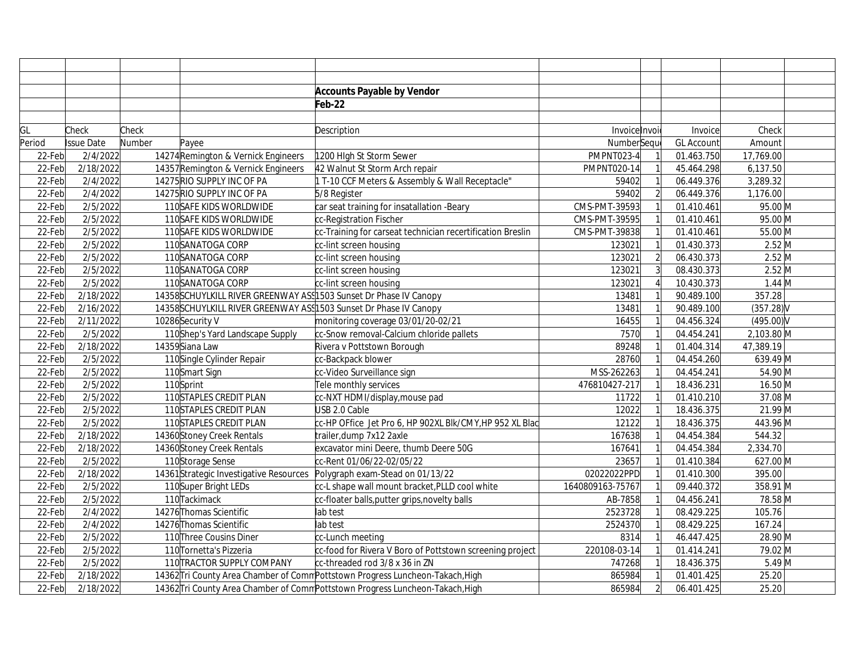|        |                   |        |                                                                    | <b>Accounts Payable by Vendor</b>                                              |                  |                |                   |              |  |
|--------|-------------------|--------|--------------------------------------------------------------------|--------------------------------------------------------------------------------|------------------|----------------|-------------------|--------------|--|
|        |                   |        |                                                                    | Feb-22                                                                         |                  |                |                   |              |  |
|        |                   |        |                                                                    |                                                                                |                  |                |                   |              |  |
| GL     | Check             | Check  |                                                                    | Description                                                                    | Invoice Invoi    |                | Invoice           | Check        |  |
| Period | <b>Issue Date</b> | Number | Payee                                                              |                                                                                | NumberSeque      |                | <b>GL Account</b> | Amount       |  |
| 22-Feb | 2/4/2022          |        | 14274 Remington & Vernick Engineers                                | 1200 High St Storm Sewer                                                       | PMPNT023-4       |                | 01.463.750        | 17,769.00    |  |
| 22-Feb | 2/18/2022         |        | 14357 Remington & Vernick Engineers                                | 42 Walnut St Storm Arch repair                                                 | PMPNT020-14      |                | 45.464.298        | 6,137.50     |  |
| 22-Feb | 2/4/2022          |        | 14275 RIO SUPPLY INC OF PA                                         | 1 T-10 CCF Meters & Assembly & Wall Receptacle"                                | 59402            |                | 06.449.376        | 3,289.32     |  |
| 22-Feb | 2/4/2022          |        | 14275 RIO SUPPLY INC OF PA                                         | 5/8 Register                                                                   | 59402            | $\overline{2}$ | 06.449.376        | 1,176.00     |  |
| 22-Feb | 2/5/2022          |        | 110SAFE KIDS WORLDWIDE                                             | car seat training for insatallation -Beary                                     | CMS-PMT-39593    |                | 01.410.461        | 95.00 M      |  |
| 22-Feb | 2/5/2022          |        | 110SAFE KIDS WORLDWIDE                                             | cc-Registration Fischer                                                        | CMS-PMT-39595    |                | 01.410.461        | 95.00 M      |  |
| 22-Feb | 2/5/2022          |        | 110SAFE KIDS WORLDWIDE                                             | cc-Training for carseat technician recertification Breslin                     | CMS-PMT-39838    |                | 01.410.461        | 55.00 M      |  |
| 22-Feb | 2/5/2022          |        | 110SANATOGA CORP                                                   | cc-lint screen housing                                                         | 123021           |                | 01.430.373        | $2.52$ M     |  |
| 22-Feb | 2/5/2022          |        | 110SANATOGA CORP                                                   | cc-lint screen housing                                                         | 123021           | $\overline{2}$ | 06.430.373        | $2.52$ M     |  |
| 22-Feb | 2/5/2022          |        | 110SANATOGA CORP                                                   | cc-lint screen housing                                                         | 123021           |                | 08.430.373        | $2.52$ M     |  |
| 22-Feb | 2/5/2022          |        | 110SANATOGA CORP                                                   | cc-lint screen housing                                                         | 123021           |                | 10.430.373        | $1.44$ M     |  |
| 22-Feb | 2/18/2022         |        | 14358 SCHUYLKILL RIVER GREENWAY ASS 1503 Sunset Dr Phase IV Canopy |                                                                                | 13481            |                | 90.489.100        | 357.28       |  |
| 22-Feb | 2/16/2022         |        | 14358 SCHUYLKILL RIVER GREENWAY ASS 1503 Sunset Dr Phase IV Canopy |                                                                                | 13481            |                | 90.489.100        | (357.28)     |  |
| 22-Feb | 2/11/2022         |        | 10286 Security V                                                   | monitoring coverage 03/01/20-02/21                                             | 16455            |                | 04.456.324        | $(495.00)$ V |  |
| 22-Feb | 2/5/2022          |        | 110Shep's Yard Landscape Supply                                    | cc-Snow removal-Calcium chloride pallets                                       | 7570             |                | 04.454.241        | 2,103.80 M   |  |
| 22-Feb | 2/18/2022         |        | 14359Siana Law                                                     | Rivera v Pottstown Borough                                                     | 89248            |                | 01.404.314        | 47,389.19    |  |
| 22-Feb | 2/5/2022          |        | 110Single Cylinder Repair                                          | cc-Backpack blower                                                             | 28760            |                | 04.454.260        | $639.49$ M   |  |
| 22-Feb | 2/5/2022          |        | 110Smart Sign                                                      | cc-Video Surveillance sign                                                     | MSS-262263       |                | 04.454.241        | 54.90 M      |  |
| 22-Feb | 2/5/2022          |        | 110Sprint                                                          | Tele monthly services                                                          | 476810427-217    |                | 18.436.231        | 16.50 M      |  |
| 22-Feb | 2/5/2022          |        | 110STAPLES CREDIT PLAN                                             | cc-NXT HDMI/display, mouse pad                                                 | 11722            |                | 01.410.210        | 37.08 M      |  |
| 22-Feb | 2/5/2022          |        | 110STAPLES CREDIT PLAN                                             | USB 2.0 Cable                                                                  | 12022            |                | 18.436.375        | 21.99 M      |  |
| 22-Feb | 2/5/2022          |        | 110STAPLES CREDIT PLAN                                             | CC-HP OFfice Jet Pro 6, HP 902XL BIK/CMY, HP 952 XL Blac                       | 12122            |                | 18.436.375        | 443.96 M     |  |
| 22-Feb | 2/18/2022         |        | 14360Stoney Creek Rentals                                          | trailer, dump 7x12 2axle                                                       | 167638           |                | 04.454.384        | 544.32       |  |
| 22-Feb | 2/18/2022         |        | 14360Stoney Creek Rentals                                          | excavator mini Deere, thumb Deere 50G                                          | 167641           |                | 04.454.384        | 2,334.70     |  |
| 22-Feb | 2/5/2022          |        | 110Storage Sense                                                   | cc-Rent 01/06/22-02/05/22                                                      | 23657            |                | 01.410.384        | 627.00 M     |  |
| 22-Feb | 2/18/2022         |        |                                                                    | 14361Strategic Investigative Resources Polygraph exam-Stead on 01/13/22        | 02022022PPD      |                | 01.410.300        | 395.00       |  |
| 22-Feb | 2/5/2022          |        | 110Super Bright LEDs                                               | cc-L shape wall mount bracket, PLLD cool white                                 | 1640809163-75767 |                | 09.440.372        | 358.91 M     |  |
| 22-Feb | 2/5/2022          |        | 110Tackimack                                                       | cc-floater balls, putter grips, novelty balls                                  | AB-7858          |                | 04.456.241        | 78.58 M      |  |
| 22-Feb | 2/4/2022          |        | 14276 Thomas Scientific                                            | lab test                                                                       | 2523728          |                | 08.429.225        | 105.76       |  |
| 22-Feb | 2/4/2022          |        | 14276 Thomas Scientific                                            | lab test                                                                       | 2524370          |                | 08.429.225        | 167.24       |  |
| 22-Feb | 2/5/2022          |        | 110 Three Cousins Diner                                            | cc-Lunch meeting                                                               | 8314             |                | 46.447.425        | 28.90 M      |  |
| 22-Feb | 2/5/2022          |        | 110 Tornetta's Pizzeria                                            | cc-food for Rivera V Boro of Pottstown screening project                       | 220108-03-14     |                | 01.414.241        | 79.02 M      |  |
| 22-Feb | 2/5/2022          |        | 110 TRACTOR SUPPLY COMPANY                                         | cc-threaded rod 3/8 x 36 in ZN                                                 | 747268           |                | 18.436.375        | $5.49$ M     |  |
| 22-Feb | 2/18/2022         |        |                                                                    | 14362 Tri County Area Chamber of Comm Pottstown Progress Luncheon-Takach, High | 865984           |                | 01.401.425        | 25.20        |  |
| 22-Feb | 2/18/2022         |        |                                                                    | 14362 Tri County Area Chamber of Comm Pottstown Progress Luncheon-Takach, High | 865984           | $\overline{2}$ | 06.401.425        | 25.20        |  |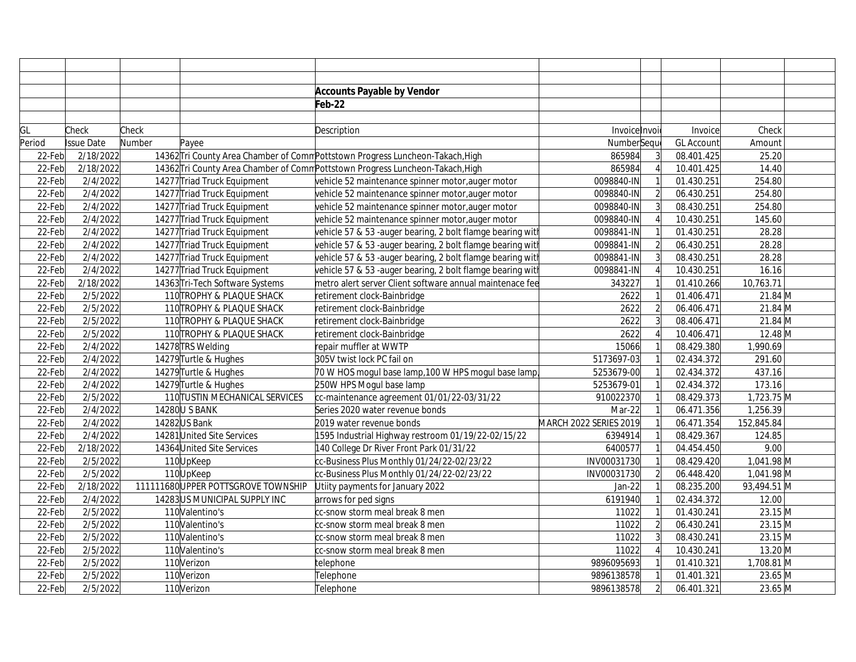|           |                   |        |                                    | <b>Accounts Payable by Vendor</b>                                              |                        |                |                   |              |  |
|-----------|-------------------|--------|------------------------------------|--------------------------------------------------------------------------------|------------------------|----------------|-------------------|--------------|--|
|           |                   |        |                                    | Feb-22                                                                         |                        |                |                   |              |  |
|           |                   |        |                                    |                                                                                |                        |                |                   |              |  |
| GL        | Check             | Check  |                                    | Description                                                                    | Invoice Invoi          |                | Invoice           | Check        |  |
| Period    | <b>Issue Date</b> | Number | Payee                              |                                                                                | NumberSequ             |                | <b>GL Account</b> | Amount       |  |
| 22-Febl   | 2/18/2022         |        |                                    | 14362 Tri County Area Chamber of Comm Pottstown Progress Luncheon-Takach, High | 865984                 |                | 08.401.425        | 25.20        |  |
| 22-Feb    | 2/18/2022         |        |                                    | 14362 Tri County Area Chamber of Comm Pottstown Progress Luncheon-Takach, High | 865984                 |                | 10.401.425        | 14.40        |  |
| 22-Feb    | 2/4/2022          |        | 14277 Triad Truck Equipment        | vehicle 52 maintenance spinner motor,auger motor                               | 0098840-IN             |                | 01.430.251        | 254.80       |  |
| 22-Feb    | 2/4/2022          |        | 14277 Triad Truck Equipment        | vehicle 52 maintenance spinner motor, auger motor                              | 0098840-IN             | $\mathfrak{D}$ | 06.430.251        | 254.80       |  |
| 22-Feb    | 2/4/2022          |        | 14277 Triad Truck Equipment        | vehicle 52 maintenance spinner motor, auger motor                              | 0098840-IN             |                | 08.430.251        | 254.80       |  |
| 22-Feb    | 2/4/2022          |        | 14277 Triad Truck Equipment        | vehicle 52 maintenance spinner motor, auger motor                              | 0098840-IN             |                | 10.430.251        | 145.60       |  |
| 22-Feb    | 2/4/2022          |        | 14277 Triad Truck Equipment        | vehicle 57 & 53 -auger bearing, 2 bolt flamge bearing with                     | 0098841-IN             |                | 01.430.251        | 28.28        |  |
| 22-Feb    | 2/4/2022          |        | 14277 Triad Truck Equipment        | vehicle 57 & 53 -auger bearing, 2 bolt flamge bearing witl                     | 0098841-IN             | $\overline{2}$ | 06.430.251        | 28.28        |  |
| 22-Feb    | 2/4/2022          |        | 14277 Triad Truck Equipment        | vehicle 57 & 53 -auger bearing, 2 bolt flamge bearing with                     | 0098841-IN             | $\overline{3}$ | 08.430.251        | 28.28        |  |
| 22-Feb    | 2/4/2022          |        | 14277 Triad Truck Equipment        | vehicle 57 & 53 -auger bearing, 2 bolt flamge bearing with                     | 0098841-IN             |                | 10.430.251        | 16.16        |  |
| 22-Feb    | 2/18/2022         |        | 14363 Tri-Tech Software Systems    | metro alert server Client software annual maintenace fee                       | 343227                 |                | 01.410.266        | 10,763.71    |  |
| 22-Feb    | 2/5/2022          |        | 110 TROPHY & PLAQUE SHACK          | retirement clock-Bainbridge                                                    | 2622                   | $\mathbf{1}$   | 01.406.471        | 21.84 M      |  |
| 22-Feb    | 2/5/2022          |        | 110 TROPHY & PLAQUE SHACK          | retirement clock-Bainbridge                                                    | 2622                   | $\overline{2}$ | 06.406.471        | $21.84 \, M$ |  |
| 22-Feb    | 2/5/2022          |        | 110 TROPHY & PLAQUE SHACK          | retirement clock-Bainbridge                                                    | 2622                   | $\overline{3}$ | 08.406.471        | $21.84$ M    |  |
| 22-Feb    | 2/5/2022          |        | 110 TROPHY & PLAQUE SHACK          | retirement clock-Bainbridge                                                    | 2622                   |                | 10.406.471        | $12.48$ M    |  |
| 22-Feb    | 2/4/2022          |        | 14278 TRS Welding                  | repair muffler at WWTP                                                         | 15066                  |                | 08.429.380        | 1,990.69     |  |
| 22-Feb    | 2/4/2022          |        | 14279 Turtle & Hughes              | 305V twist lock PC fail on                                                     | 5173697-03             |                | 02.434.372        | 291.60       |  |
| 22-Feb    | 2/4/2022          |        | 14279 Turtle & Hughes              | 70 W HOS mogul base lamp, 100 W HPS mogul base lamp                            | 5253679-00             |                | 02.434.372        | 437.16       |  |
| 22-Feb    | 2/4/2022          |        | 14279 Turtle & Hughes              | 250W HPS Mogul base lamp                                                       | 5253679-01             |                | 02.434.372        | 173.16       |  |
| 22-Feb    | 2/5/2022          |        | 110 TUSTIN MECHANICAL SERVICES     | cc-maintenance agreement 01/01/22-03/31/22                                     | 910022370              |                | 08.429.373        | 1,723.75 M   |  |
| $22$ -Feb | 2/4/2022          |        | 14280 U S BANK                     | Series 2020 water revenue bonds                                                | Mar-22                 |                | 06.471.356        | 1,256.39     |  |
| 22-Feb    | 2/4/2022          |        | 14282US Bank                       | 2019 water revenue bonds                                                       | MARCH 2022 SERIES 2019 |                | 06.471.354        | 152,845.84   |  |
| 22-Feb    | 2/4/2022          |        | 14281 United Site Services         | 1595 Industrial Highway restroom 01/19/22-02/15/22                             | 6394914                |                | 08.429.367        | 124.85       |  |
| 22-Feb    | 2/18/2022         |        | 14364 United Site Services         | 140 College Dr River Front Park 01/31/22                                       | 6400577                |                | 04.454.450        | 9.00         |  |
| 22-Feb    | 2/5/2022          |        | 110UpKeep                          | cc-Business Plus Monthly 01/24/22-02/23/22                                     | INV00031730            |                | 08.429.420        | 1,041.98 M   |  |
| 22-Feb    | 2/5/2022          |        | 110UpKeep                          | cc-Business Plus Monthly 01/24/22-02/23/22                                     | INV00031730            | $\overline{2}$ | 06.448.420        | 1,041.98 M   |  |
| 22-Feb    | 2/18/2022         |        | 111111680UPPER POTTSGROVE TOWNSHIP | Utiity payments for January 2022                                               | Jan-22                 | $\overline{1}$ | 08.235.200        | 93,494.51 M  |  |
| 22-Feb    | 2/4/2022          |        | 14283 US MUNICIPAL SUPPLY INC      | arrows for ped signs                                                           | 6191940                | $\mathbf{1}$   | 02.434.372        | 12.00        |  |
| 22-Feb    | 2/5/2022          |        | 110 Valentino's                    | cc-snow storm meal break 8 men                                                 | 11022                  | $\overline{1}$ | 01.430.241        | 23.15 M      |  |
| 22-Feb    | 2/5/2022          |        | 110 Valentino's                    | cc-snow storm meal break 8 men                                                 | 11022                  | $\overline{c}$ | 06.430.241        | 23.15 M      |  |
| 22-Feb    | 2/5/2022          |        | 110 Valentino's                    | cc-snow storm meal break 8 men                                                 | 11022                  | $\overline{3}$ | 08.430.241        | $23.15$ M    |  |
| 22-Feb    | 2/5/2022          |        | 110 Valentino's                    | cc-snow storm meal break 8 men                                                 | 11022                  |                | 10.430.241        | 13.20 M      |  |
| 22-Feb    | 2/5/2022          |        | 110Verizon                         | telephone                                                                      | 9896095693             |                | 01.410.321        | 1,708.81 M   |  |
| 22-Feb    | 2/5/2022          |        | 110Verizon                         | Telephone                                                                      | 9896138578             |                | 01.401.321        | 23.65 M      |  |
| 22-Feb    | 2/5/2022          |        | 110Verizon                         | Telephone                                                                      | 9896138578             | $\overline{2}$ | 06.401.321        | 23.65 M      |  |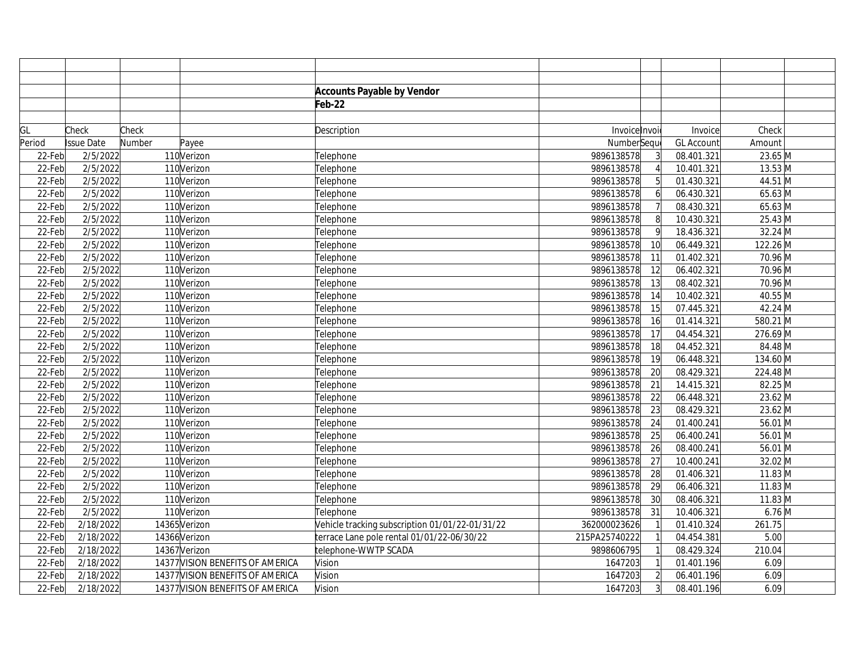|        |            |        |                                  | <b>Accounts Payable by Vendor</b>               |               |                 |                   |                       |  |
|--------|------------|--------|----------------------------------|-------------------------------------------------|---------------|-----------------|-------------------|-----------------------|--|
|        |            |        |                                  | Feb-22                                          |               |                 |                   |                       |  |
|        |            |        |                                  |                                                 |               |                 |                   |                       |  |
| GL     | Check      | Check  |                                  | Description                                     | Invoice Invoi |                 | Invoice           | Check                 |  |
| Period | Issue Date | Number | Payee                            |                                                 | NumberSequ    |                 | <b>GL Account</b> | Amount                |  |
| 22-Feb | 2/5/2022   |        | 110Verizon                       | Telephone                                       | 9896138578    |                 | 08.401.321        | 23.65 M               |  |
| 22-Feb | 2/5/2022   |        | 110Verizon                       | Telephone                                       | 9896138578    |                 | 10.401.321        | $13.53$ M             |  |
| 22-Feb | 2/5/2022   |        | 110Verizon                       | Telephone                                       | 9896138578    | 5               | 01.430.321        | 44.51 M               |  |
| 22-Feb | 2/5/2022   |        | 110Verizon                       | Telephone                                       | 9896138578    | 6               | 06.430.321        | 65.63 M               |  |
| 22-Feb | 2/5/2022   |        | 110Verizon                       | Telephone                                       | 9896138578    |                 | 08.430.321        | $65.63$ M             |  |
| 22-Feb | 2/5/2022   |        | 110Verizon                       | Telephone                                       | 9896138578    | 8               | 10.430.321        | $\overline{2}$ 5.43 M |  |
| 22-Feb | 2/5/2022   |        | 110Verizon                       | Telephone                                       | 9896138578    | 9               | 18.436.321        | 32.24 M               |  |
| 22-Feb | 2/5/2022   |        | 110Verizon                       | Telephone                                       | 9896138578    | 10              | 06.449.321        | 122.26 M              |  |
| 22-Feb | 2/5/2022   |        | 110Verizon                       | Telephone                                       | 9896138578    | 11              | 01.402.321        | 70.96 M               |  |
| 22-Feb | 2/5/2022   |        | 110Verizon                       | Telephone                                       | 9896138578    | $\overline{12}$ | 06.402.321        | 70.96 M               |  |
| 22-Feb | 2/5/2022   |        | 110Verizon                       | Telephone                                       | 9896138578    | 13              | 08.402.321        | 70.96 M               |  |
| 22-Feb | 2/5/2022   |        | 110Verizon                       | Telephone                                       | 9896138578    | 14              | 10.402.321        | 40.55 M               |  |
| 22-Feb | 2/5/2022   |        | 110Verizon                       | Telephone                                       | 9896138578    | 15              | 07.445.321        | 42.24 M               |  |
| 22-Feb | 2/5/2022   |        | 110Verizon                       | Telephone                                       | 9896138578    | 16              | 01.414.321        | 580.21 M              |  |
| 22-Feb | 2/5/2022   |        | 110Verizon                       | Telephone                                       | 9896138578    | 17              | 04.454.321        | 276.69 M              |  |
| 22-Feb | 2/5/2022   |        | 110Verizon                       | Telephone                                       | 9896138578    | 18              | 04.452.321        | 84.48 M               |  |
| 22-Feb | 2/5/2022   |        | 110Verizon                       | Telephone                                       | 9896138578    | 19              | 06.448.321        | 134.60 M              |  |
| 22-Feb | 2/5/2022   |        | 110Verizon                       | Telephone                                       | 9896138578    | 20              | 08.429.321        | 224.48 M              |  |
| 22-Feb | 2/5/2022   |        | 110Verizon                       | Telephone                                       | 9896138578    | 21              | 14.415.321        | 82.25 M               |  |
| 22-Feb | 2/5/2022   |        | 110Verizon                       | Telephone                                       | 9896138578    | 22              | 06.448.321        | 23.62 M               |  |
| 22-Feb | 2/5/2022   |        | 110Verizon                       | Telephone                                       | 9896138578    | 23              | 08.429.321        | 23.62 M               |  |
| 22-Feb | 2/5/2022   |        | 110Verizon                       | Telephone                                       | 9896138578    | 24              | 01.400.241        | 56.01 M               |  |
| 22-Feb | 2/5/2022   |        | 110Verizon                       | Telephone                                       | 9896138578    | 25              | 06.400.241        | 56.01 M               |  |
| 22-Feb | 2/5/2022   |        | 110Verizon                       | Telephone                                       | 9896138578    | 26              | 08.400.241        | 56.01 M               |  |
| 22-Feb | 2/5/2022   |        | 110Verizon                       | Telephone                                       | 9896138578    | 27              | 10.400.241        | 32.02 M               |  |
| 22-Feb | 2/5/2022   |        | 110Verizon                       | Telephone                                       | 9896138578    | 28              | 01.406.321        | $11.83 \, M$          |  |
| 22-Feb | 2/5/2022   |        | 110Verizon                       | Telephone                                       | 9896138578    | 29              | 06.406.321        | $11.83$ M             |  |
| 22-Feb | 2/5/2022   |        | 110Verizon                       | Telephone                                       | 9896138578    | 30              | 08.406.321        | $11.83 \, M$          |  |
| 22-Feb | 2/5/2022   |        | 110Verizon                       | Telephone                                       | 9896138578    | 31              | 10.406.321        | $6.76$ M              |  |
| 22-Feb | 2/18/2022  |        | 14365 Verizon                    | Vehicle tracking subscription 01/01/22-01/31/22 | 362000023626  |                 | 01.410.324        | 261.75                |  |
| 22-Feb | 2/18/2022  |        | 14366 Verizon                    | terrace Lane pole rental 01/01/22-06/30/22      | 215PA25740222 |                 | 04.454.381        | 5.00                  |  |
| 22-Feb | 2/18/2022  |        | 14367 Verizon                    | telephone-WWTP SCADA                            | 9898606795    |                 | 08.429.324        | 210.04                |  |
| 22-Feb | 2/18/2022  |        | 14377 VISION BENEFITS OF AMERICA | Vision                                          | 1647203       |                 | 01.401.196        | 6.09                  |  |
| 22-Feb | 2/18/2022  |        | 14377 VISION BENEFITS OF AMERICA | Vision                                          | 1647203       | $\overline{2}$  | 06.401.196        | 6.09                  |  |
| 22-Feb | 2/18/2022  |        | 14377 VISION BENEFITS OF AMERICA | Vision                                          | 1647203       | $\overline{3}$  | 08.401.196        | 6.09                  |  |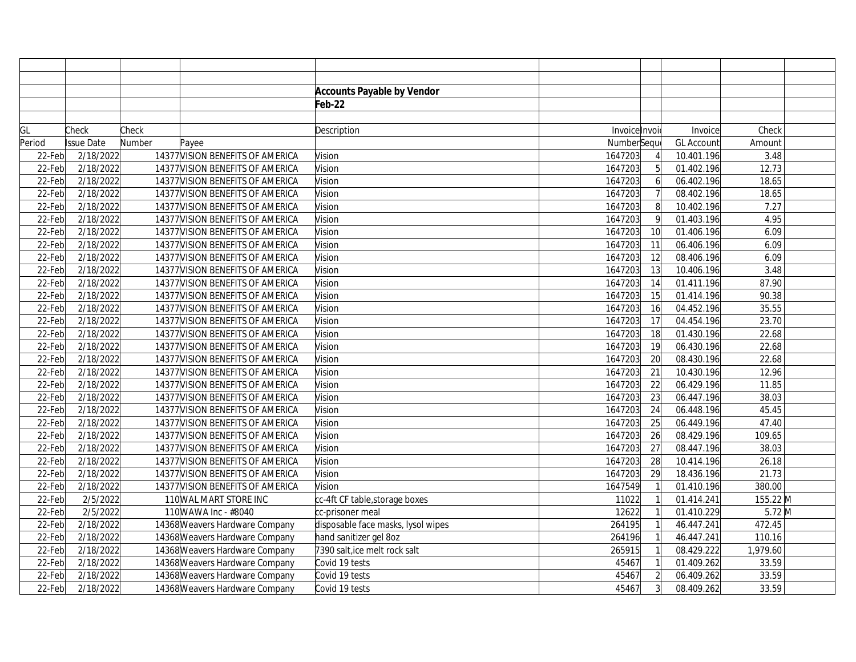|        |            |        |                                  | <b>Accounts Payable by Vendor</b>  |               |                 |                   |          |  |
|--------|------------|--------|----------------------------------|------------------------------------|---------------|-----------------|-------------------|----------|--|
|        |            |        |                                  | Feb-22                             |               |                 |                   |          |  |
|        |            |        |                                  |                                    |               |                 |                   |          |  |
| GL     | Check      | Check  |                                  | Description                        | Invoice Invoi |                 | Invoice           | Check    |  |
| Period | Issue Date | Number | Payee                            |                                    | NumberSequ    |                 | <b>GL Account</b> | Amount   |  |
| 22-Feb | 2/18/2022  |        | 14377 VISION BENEFITS OF AMERICA | Vision                             | 1647203       |                 | 10.401.196        | 3.48     |  |
| 22-Feb | 2/18/2022  |        | 14377 VISION BENEFITS OF AMERICA | Vision                             | 1647203       | $\overline{5}$  | 01.402.196        | 12.73    |  |
| 22-Feb | 2/18/2022  |        | 14377 VISION BENEFITS OF AMERICA | Vision                             | 1647203       | 6               | 06.402.196        | 18.65    |  |
| 22-Feb | 2/18/2022  |        | 14377 VISION BENEFITS OF AMERICA | Vision                             | 1647203       |                 | 08.402.196        | 18.65    |  |
| 22-Feb | 2/18/2022  |        | 14377 VISION BENEFITS OF AMERICA | Vision                             | 1647203       | 8               | 10.402.196        | 7.27     |  |
| 22-Feb | 2/18/2022  |        | 14377 VISION BENEFITS OF AMERICA | Vision                             | 1647203       | 9               | 01.403.196        | 4.95     |  |
| 22-Feb | 2/18/2022  |        | 14377 VISION BENEFITS OF AMERICA | Vision                             | 1647203       | 10              | 01.406.196        | 6.09     |  |
| 22-Feb | 2/18/2022  |        | 14377 VISION BENEFITS OF AMERICA | Vision                             | 1647203       | 11              | 06.406.196        | 6.09     |  |
| 22-Feb | 2/18/2022  |        | 14377 VISION BENEFITS OF AMERICA | Vision                             | 1647203       | 12              | 08.406.196        | 6.09     |  |
| 22-Feb | 2/18/2022  |        | 14377 VISION BENEFITS OF AMERICA | Vision                             | 1647203       | 13              | 10.406.196        | 3.48     |  |
| 22-Feb | 2/18/2022  |        | 14377 VISION BENEFITS OF AMERICA | Vision                             | 1647203       | 14              | 01.411.196        | 87.90    |  |
| 22-Feb | 2/18/2022  |        | 14377 VISION BENEFITS OF AMERICA | Vision                             | 1647203       | 15              | 01.414.196        | 90.38    |  |
| 22-Feb | 2/18/2022  |        | 14377 VISION BENEFITS OF AMERICA | Vision                             | 1647203       | 16              | 04.452.196        | 35.55    |  |
| 22-Feb | 2/18/2022  |        | 14377 VISION BENEFITS OF AMERICA | Vision                             | 1647203       | 17              | 04.454.196        | 23.70    |  |
| 22-Feb | 2/18/2022  |        | 14377 VISION BENEFITS OF AMERICA | Vision                             | 1647203       | $\overline{18}$ | 01.430.196        | 22.68    |  |
| 22-Feb | 2/18/2022  |        | 14377 VISION BENEFITS OF AMERICA | Vision                             | 1647203       | 19              | 06.430.196        | 22.68    |  |
| 22-Feb | 2/18/2022  |        | 14377 VISION BENEFITS OF AMERICA | Vision                             | 1647203       | 20              | 08.430.196        | 22.68    |  |
| 22-Feb | 2/18/2022  |        | 14377 VISION BENEFITS OF AMERICA | Vision                             | 1647203       | 21              | 10.430.196        | 12.96    |  |
| 22-Feb | 2/18/2022  |        | 14377 VISION BENEFITS OF AMERICA | Vision                             | 1647203       | 22              | 06.429.196        | 11.85    |  |
| 22-Feb | 2/18/2022  |        | 14377 VISION BENEFITS OF AMERICA | Vision                             | 1647203       | 23              | 06.447.196        | 38.03    |  |
| 22-Feb | 2/18/2022  |        | 14377 VISION BENEFITS OF AMERICA | Vision                             | 1647203       | 24              | 06.448.196        | 45.45    |  |
| 22-Feb | 2/18/2022  |        | 14377 VISION BENEFITS OF AMERICA | Vision                             | 1647203       | $\overline{25}$ | 06.449.196        | 47.40    |  |
| 22-Feb | 2/18/2022  |        | 14377 VISION BENEFITS OF AMERICA | Vision                             | 1647203       | 26              | 08.429.196        | 109.65   |  |
| 22-Feb | 2/18/2022  |        | 14377 VISION BENEFITS OF AMERICA | Vision                             | 1647203       | 27              | 08.447.196        | 38.03    |  |
| 22-Feb | 2/18/2022  |        | 14377 VISION BENEFITS OF AMERICA | Vision                             | 1647203       | 28              | 10.414.196        | 26.18    |  |
| 22-Feb | 2/18/2022  |        | 14377 VISION BENEFITS OF AMERICA | Vision                             | 1647203       | 29              | 18.436.196        | 21.73    |  |
| 22-Feb | 2/18/2022  |        | 14377 VISION BENEFITS OF AMERICA | Vision                             | 1647549       |                 | 01.410.196        | 380.00   |  |
| 22-Feb | 2/5/2022   |        | 110 WAL MART STORE INC           | cc-4ft CF table, storage boxes     | 11022         |                 | 01.414.241        | 155.22 M |  |
| 22-Feb | 2/5/2022   |        | 110 WAWA Inc - #8040             | cc-prisoner meal                   | 12622         |                 | 01.410.229        | $5.72$ M |  |
| 22-Feb | 2/18/2022  |        | 14368 Weavers Hardware Company   | disposable face masks, lysol wipes | 264195        |                 | 46.447.241        | 472.45   |  |
| 22-Feb | 2/18/2022  |        | 14368 Weavers Hardware Company   | hand sanitizer gel 8oz             | 264196        |                 | 46.447.241        | 110.16   |  |
| 22-Feb | 2/18/2022  |        | 14368 Weavers Hardware Company   | 7390 salt, ice melt rock salt      | 265915        |                 | 08.429.222        | 1,979.60 |  |
| 22-Feb | 2/18/2022  |        | 14368 Weavers Hardware Company   | Covid 19 tests                     | 45467         |                 | 01.409.262        | 33.59    |  |
| 22-Feb | 2/18/2022  |        | 14368 Weavers Hardware Company   | Covid 19 tests                     | 45467         | $\overline{2}$  | 06.409.262        | 33.59    |  |
| 22-Feb | 2/18/2022  |        | 14368 Weavers Hardware Company   | Covid 19 tests                     | 45467         | $\overline{3}$  | 08.409.262        | 33.59    |  |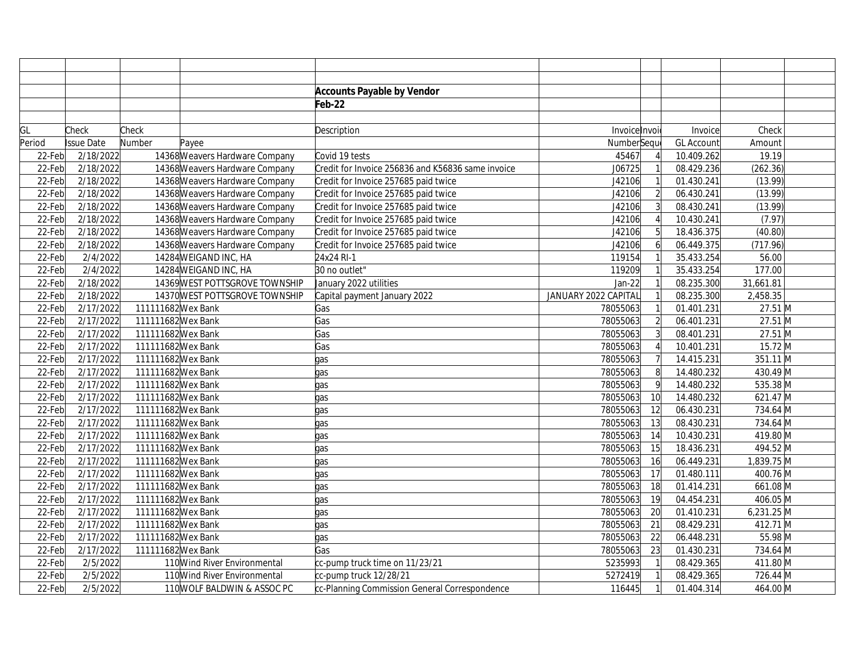|        |                   |                                |                                | <b>Accounts Payable by Vendor</b>                 |                      |                  |                   |              |
|--------|-------------------|--------------------------------|--------------------------------|---------------------------------------------------|----------------------|------------------|-------------------|--------------|
|        |                   |                                |                                | Feb-22                                            |                      |                  |                   |              |
|        |                   |                                |                                |                                                   |                      |                  |                   |              |
| GL     | Check             | Check                          |                                | Description                                       | Invoice Invoi        |                  | Invoice           | Check        |
| Period | <b>Issue Date</b> | Number                         | Payee                          |                                                   | NumberSeque          |                  | <b>GL Account</b> | Amount       |
| 22-Feb | 2/18/2022         |                                | 14368 Weavers Hardware Company | Covid 19 tests                                    | 45467                |                  | 10.409.262        | 19.19        |
| 22-Feb | 2/18/2022         | 14368 Weavers Hardware Company |                                | Credit for Invoice 256836 and K56836 same invoice | J06725               |                  | 08.429.236        | (262.36)     |
| 22-Feb | 2/18/2022         |                                | 14368 Weavers Hardware Company | Credit for Invoice 257685 paid twice              | J42106               |                  | 01.430.241        | (13.99)      |
| 22-Feb | 2/18/2022         |                                | 14368 Weavers Hardware Company | Credit for Invoice 257685 paid twice              | J42106               |                  | 06.430.241        | (13.99)      |
| 22-Feb | 2/18/2022         |                                | 14368 Weavers Hardware Company | Credit for Invoice 257685 paid twice              | J42106               |                  | 08.430.241        | (13.99)      |
| 22-Feb | 2/18/2022         |                                | 14368 Weavers Hardware Company | Credit for Invoice 257685 paid twice              | J42106               |                  | 10.430.241        | (7.97)       |
| 22-Feb | 2/18/2022         |                                | 14368 Weavers Hardware Company | Credit for Invoice 257685 paid twice              | J42106               | 5 <sup>1</sup>   | 18.436.375        | (40.80)      |
| 22-Feb | 2/18/2022         |                                | 14368 Weavers Hardware Company | Credit for Invoice 257685 paid twice              | J42106               | $6 \overline{6}$ | 06.449.375        | (717.96)     |
| 22-Feb | 2/4/2022          |                                | 14284 WEIGAND INC, HA          | 24x24 RI-1                                        | 119154               |                  | 35.433.254        | 56.00        |
| 22-Feb | 2/4/2022          |                                | 14284 WEIGAND INC, HA          | 30 no outlet"                                     | 119209               |                  | 35.433.254        | 177.00       |
| 22-Feb | 2/18/2022         |                                | 14369 WEST POTTSGROVE TOWNSHIP | January 2022 utilities                            | Jan-22               |                  | 08.235.300        | 31,661.81    |
| 22-Feb | 2/18/2022         |                                | 14370 WEST POTTSGROVE TOWNSHIP | Capital payment January 2022                      | JANUARY 2022 CAPITAL |                  | 08.235.300        | 2,458.35     |
| 22-Feb | 2/17/2022         | 111111682 Wex Bank             |                                | Gas                                               | 78055063             |                  | 01.401.231        | 27.51 M      |
| 22-Feb | 2/17/2022         | 111111682 Wex Bank             |                                | Gas                                               | 78055063             | $\overline{2}$   | 06.401.231        | 27.51 M      |
| 22-Feb | 2/17/2022         | 111111682 Wex Bank             |                                | Gas                                               | 78055063             |                  | 08.401.231        | 27.51 M      |
| 22-Feb | 2/17/2022         | 111111682 Wex Bank             |                                | Gas                                               | 78055063             |                  | 10.401.231        | 15.72 M      |
| 22-Feb | 2/17/2022         | 111111682 Wex Bank             |                                | gas                                               | 78055063             |                  | 14.415.231        | 351.11 M     |
| 22-Feb | 2/17/2022         | 111111682 Wex Bank             |                                | gas                                               | 78055063             | 8                | 14.480.232        | 430.49 M     |
| 22-Feb | 2/17/2022         | 111111682 Wex Bank             |                                | qas                                               | 78055063             | 9                | 14.480.232        | 535.38 M     |
| 22-Feb | 2/17/2022         | 111111682 Wex Bank             |                                | qas                                               | 78055063             | 10               | 14.480.232        | 621.47 M     |
| 22-Feb | 2/17/2022         | 111111682 Wex Bank             |                                | gas                                               | 78055063             | 12               | 06.430.231        | 734.64 M     |
| 22-Feb | 2/17/2022         | 111111682 Wex Bank             |                                | gas                                               | 78055063             | 13               | 08.430.231        | 734.64 M     |
| 22-Feb | 2/17/2022         | 111111682 Wex Bank             |                                | gas                                               | 78055063             | 14               | 10.430.231        | 419.80 M     |
| 22-Feb | 2/17/2022         | 111111682 Wex Bank             |                                | qas                                               | 78055063             | 15               | 18.436.231        | 494.52 M     |
| 22-Feb | 2/17/2022         | 111111682 Wex Bank             |                                | qas                                               | 78055063             | 16               | 06.449.231        | 1,839.75 M   |
| 22-Feb | 2/17/2022         | 111111682 Wex Bank             |                                | qas                                               | 78055063             | 17               | 01.480.111        | 400.76 M     |
| 22-Feb | 2/17/2022         | 111111682 Wex Bank             |                                | qas                                               | 78055063             | 18               | 01.414.231        | 661.08 M     |
| 22-Feb | 2/17/2022         | 111111682 Wex Bank             |                                | qas                                               | 78055063             | 19               | 04.454.231        | 406.05 M     |
| 22-Feb | 2/17/2022         | 111111682 Wex Bank             |                                | qas                                               | 78055063             | 20               | 01.410.231        | $6,231.25$ M |
| 22-Feb | 2/17/2022         | 111111682 Wex Bank             |                                | qas                                               | 78055063             | 21               | 08.429.231        | 412.71 M     |
| 22-Feb | 2/17/2022         | 111111682 Wex Bank             |                                | gas                                               | 78055063             | 22               | 06.448.231        | 55.98 M      |
| 22-Feb | 2/17/2022         | 111111682 Wex Bank             |                                | Gas                                               | 78055063             | 23               | 01.430.231        | 734.64 M     |
| 22-Feb | 2/5/2022          |                                | 110 Wind River Environmental   | cc-pump truck time on 11/23/21                    | 5235993              |                  | 08.429.365        | 411.80 M     |
| 22-Feb | 2/5/2022          |                                | 110 Wind River Environmental   | cc-pump truck 12/28/21                            | 5272419              |                  | 08.429.365        | 726.44 M     |
| 22-Feb | 2/5/2022          |                                | 110 WOLF BALDWIN & ASSOC PC    | cc-Planning Commission General Correspondence     | 116445               |                  | 01.404.314        | 464.00 M     |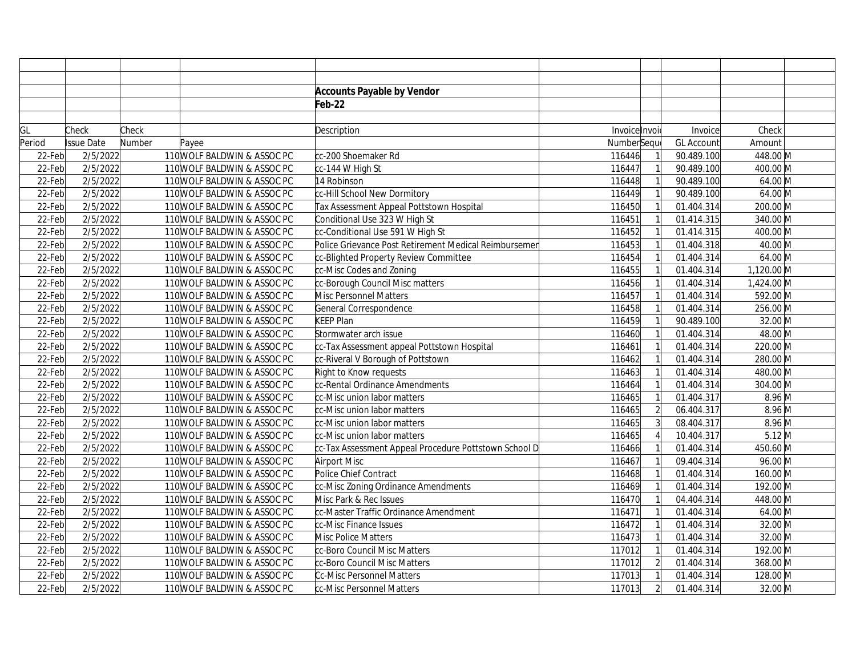|        |                   |        |                             | <b>Accounts Payable by Vendor</b>                     |               |                |                   |            |
|--------|-------------------|--------|-----------------------------|-------------------------------------------------------|---------------|----------------|-------------------|------------|
|        |                   |        |                             | Feb-22                                                |               |                |                   |            |
|        |                   |        |                             |                                                       |               |                |                   |            |
| GL     | Check             | Check  |                             | Description                                           | Invoice Invoi |                | Invoice           | Check      |
| Period | <b>Issue Date</b> | Number | Payee                       |                                                       | NumberSeque   |                | <b>GL Account</b> | Amount     |
| 22-Feb | 2/5/2022          |        | 110 WOLF BALDWIN & ASSOC PC | cc-200 Shoemaker Rd                                   | 116446        |                | 90.489.100        | 448.00 M   |
| 22-Feb | 2/5/2022          |        | 110 WOLF BALDWIN & ASSOC PC | cc-144 W High St                                      | 116447        |                | 90.489.100        | 400.00 M   |
| 22-Feb | 2/5/2022          |        | 110 WOLF BALDWIN & ASSOC PC | 14 Robinson                                           | 116448        |                | 90.489.100        | 64.00 M    |
| 22-Feb | 2/5/2022          |        | 110 WOLF BALDWIN & ASSOC PC | cc-Hill School New Dormitory                          | 116449        |                | 90.489.100        | 64.00 M    |
| 22-Feb | 2/5/2022          |        | 110 WOLF BALDWIN & ASSOC PC | Tax Assessment Appeal Pottstown Hospital              | 116450        |                | 01.404.314        | 200.00 M   |
| 22-Feb | 2/5/2022          |        | 110 WOLF BALDWIN & ASSOC PC | Conditional Use 323 W High St                         | 116451        |                | 01.414.315        | 340.00 M   |
| 22-Feb | 2/5/2022          |        | 110 WOLF BALDWIN & ASSOC PC | cc-Conditional Use 591 W High St                      | 116452        |                | 01.414.315        | 400.00 M   |
| 22-Feb | 2/5/2022          |        | 110 WOLF BALDWIN & ASSOC PC | Police Grievance Post Retirement Medical Reimbursemer | 116453        |                | 01.404.318        | 40.00 M    |
| 22-Feb | 2/5/2022          |        | 110 WOLF BALDWIN & ASSOC PC | cc-Blighted Property Review Committee                 | 116454        |                | 01.404.314        | 64.00 M    |
| 22-Feb | 2/5/2022          |        | 110 WOLF BALDWIN & ASSOC PC | cc-Misc Codes and Zoning                              | 116455        |                | 01.404.314        | 1,120.00 M |
| 22-Feb | 2/5/2022          |        | 110 WOLF BALDWIN & ASSOC PC | cc-Borough Council Misc matters                       | 116456        |                | 01.404.314        | 1,424.00 M |
| 22-Feb | 2/5/2022          |        | 110 WOLF BALDWIN & ASSOC PC | Misc Personnel Matters                                | 116457        |                | 01.404.314        | 592.00 M   |
| 22-Feb | 2/5/2022          |        | 110 WOLF BALDWIN & ASSOC PC | General Correspondence                                | 116458        |                | 01.404.314        | 256.00 M   |
| 22-Feb | 2/5/2022          |        | 110 WOLF BALDWIN & ASSOC PC | KEEP Plan                                             | 116459        |                | 90.489.100        | 32.00 M    |
| 22-Feb | 2/5/2022          |        | 110 WOLF BALDWIN & ASSOC PC | Stormwater arch issue                                 | 116460        |                | 01.404.314        | 48.00 M    |
| 22-Feb | 2/5/2022          |        | 110 WOLF BALDWIN & ASSOC PC | cc-Tax Assessment appeal Pottstown Hospital           | 116461        |                | 01.404.314        | 220.00 M   |
| 22-Feb | 2/5/2022          |        | 110 WOLF BALDWIN & ASSOC PC | cc-Riveral V Borough of Pottstown                     | 116462        |                | 01.404.314        | 280.00 M   |
| 22-Feb | 2/5/2022          |        | 110 WOLF BALDWIN & ASSOC PC | Right to Know requests                                | 116463        |                | 01.404.314        | 480.00 M   |
| 22-Feb | 2/5/2022          |        | 110 WOLF BALDWIN & ASSOC PC | cc-Rental Ordinance Amendments                        | 116464        |                | 01.404.314        | 304.00 M   |
| 22-Feb | 2/5/2022          |        | 110 WOLF BALDWIN & ASSOC PC | cc-Misc union labor matters                           | 116465        |                | 01.404.317        | $8.96$ M   |
| 22-Feb | 2/5/2022          |        | 110 WOLF BALDWIN & ASSOC PC | cc-Misc union labor matters                           | 116465        | $\overline{2}$ | 06.404.317        | $8.96$ M   |
| 22-Feb | 2/5/2022          |        | 110 WOLF BALDWIN & ASSOC PC | cc-Misc union labor matters                           | 116465        |                | 08.404.317        | $8.96$ M   |
| 22-Feb | 2/5/2022          |        | 110 WOLF BALDWIN & ASSOC PC | cc-Misc union labor matters                           | 116465        |                | 10.404.317        | $5.12$ M   |
| 22-Feb | 2/5/2022          |        | 110 WOLF BALDWIN & ASSOC PC | cc-Tax Assessment Appeal Procedure Pottstown School D | 116466        |                | 01.404.314        | 450.60 M   |
| 22-Feb | 2/5/2022          |        | 110 WOLF BALDWIN & ASSOC PC | Airport Misc                                          | 116467        |                | 09.404.314        | 96.00 M    |
| 22-Feb | 2/5/2022          |        | 110 WOLF BALDWIN & ASSOC PC | Police Chief Contract                                 | 116468        |                | 01.404.314        | 160.00 M   |
| 22-Feb | 2/5/2022          |        | 110 WOLF BALDWIN & ASSOC PC | cc-Misc Zoning Ordinance Amendments                   | 116469        |                | 01.404.314        | 192.00 M   |
| 22-Feb | 2/5/2022          |        | 110 WOLF BALDWIN & ASSOC PC | Misc Park & Rec Issues                                | 116470        |                | 04.404.314        | 448.00 M   |
| 22-Feb | 2/5/2022          |        | 110 WOLF BALDWIN & ASSOC PC | cc-Master Traffic Ordinance Amendment                 | 116471        |                | 01.404.314        | 64.00 M    |
| 22-Feb | 2/5/2022          |        | 110 WOLF BALDWIN & ASSOC PC | cc-Misc Finance Issues                                | 116472        |                | 01.404.314        | 32.00 M    |
| 22-Feb | 2/5/2022          |        | 110 WOLF BALDWIN & ASSOC PC | Misc Police Matters                                   | 116473        |                | 01.404.314        | 32.00 M    |
| 22-Feb | 2/5/2022          |        | 110 WOLF BALDWIN & ASSOC PC | cc-Boro Council Misc Matters                          | 117012        |                | 01.404.314        | 192.00 M   |
| 22-Feb | 2/5/2022          |        | 110 WOLF BALDWIN & ASSOC PC | cc-Boro Council Misc Matters                          | 117012        |                | 01.404.314        | 368.00 M   |
| 22-Feb | 2/5/2022          |        | 110 WOLF BALDWIN & ASSOC PC | Cc-Misc Personnel Matters                             | 117013        |                | 01.404.314        | 128.00 M   |
| 22-Feb | 2/5/2022          |        | 110 WOLF BALDWIN & ASSOC PC | cc-Misc Personnel Matters                             | 117013        | $\overline{2}$ | 01.404.314        | 32.00 M    |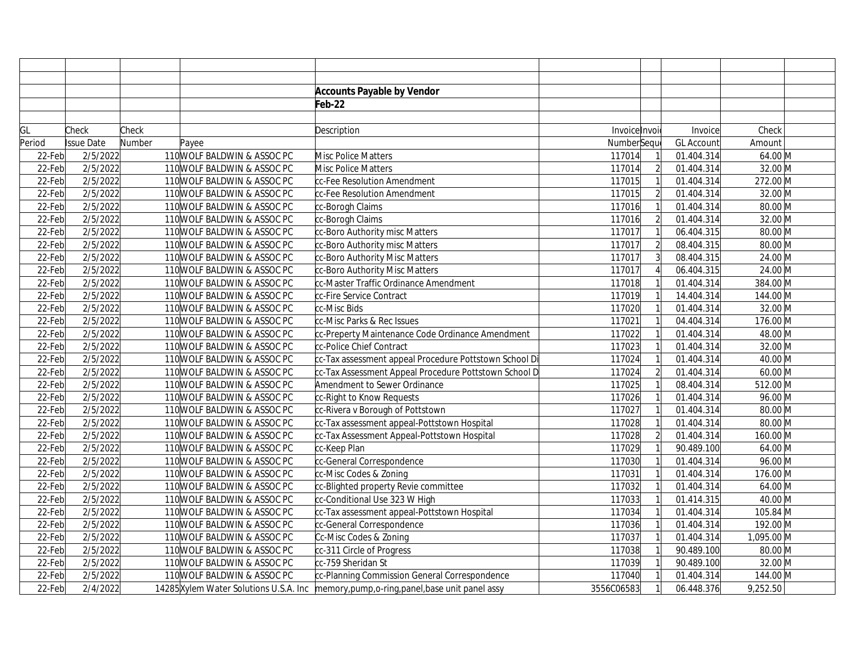|        |                   |        |                             | <b>Accounts Payable by Vendor</b>                                                          |               |                |                   |                              |
|--------|-------------------|--------|-----------------------------|--------------------------------------------------------------------------------------------|---------------|----------------|-------------------|------------------------------|
|        |                   |        |                             | Feb-22                                                                                     |               |                |                   |                              |
|        |                   |        |                             |                                                                                            |               |                |                   |                              |
| GL     | Check             | Check  |                             | Description                                                                                | Invoice Invoi |                | Invoice           | Check                        |
| Period | <b>Issue Date</b> | Number | Payee                       |                                                                                            | NumberSeque   |                | <b>GL Account</b> | Amount                       |
| 22-Feb | 2/5/2022          |        | 110 WOLF BALDWIN & ASSOC PC | Misc Police Matters                                                                        | 117014        |                | 01.404.314        | 64.00 M                      |
| 22-Feb | 2/5/2022          |        | 110 WOLF BALDWIN & ASSOC PC | Misc Police Matters                                                                        | 117014        | $\overline{2}$ | 01.404.314        | 32.00 M                      |
| 22-Feb | 2/5/2022          |        | 110 WOLF BALDWIN & ASSOC PC | cc-Fee Resolution Amendment                                                                | 117015        |                | 01.404.314        | 272.00 M                     |
| 22-Feb | 2/5/2022          |        | 110 WOLF BALDWIN & ASSOC PC | cc-Fee Resolution Amendment                                                                | 117015        | $\overline{2}$ | 01.404.314        | 32.00 M                      |
| 22-Feb | 2/5/2022          |        | 110 WOLF BALDWIN & ASSOC PC | cc-Borogh Claims                                                                           | 117016        |                | 01.404.314        | 80.00 M                      |
| 22-Feb | 2/5/2022          |        | 110 WOLF BALDWIN & ASSOC PC | cc-Borogh Claims                                                                           | 117016        | $\overline{2}$ | 01.404.314        | 32.00 M                      |
| 22-Feb | 2/5/2022          |        | 110 WOLF BALDWIN & ASSOC PC | cc-Boro Authority misc Matters                                                             | 117017        |                | 06.404.315        | 80.00 M                      |
| 22-Feb | 2/5/2022          |        | 110 WOLF BALDWIN & ASSOC PC | cc-Boro Authority misc Matters                                                             | 117017        | $\overline{2}$ | 08.404.315        | 80.00 M                      |
| 22-Feb | 2/5/2022          |        | 110 WOLF BALDWIN & ASSOC PC | cc-Boro Authority Misc Matters                                                             | 117017        | $\overline{3}$ | 08.404.315        | 24.00 M                      |
| 22-Feb | 2/5/2022          |        | 110 WOLF BALDWIN & ASSOC PC | cc-Boro Authority Misc Matters                                                             | 117017        |                | 06.404.315        | 24.00 M                      |
| 22-Feb | 2/5/2022          |        | 110 WOLF BALDWIN & ASSOC PC | cc-Master Traffic Ordinance Amendment                                                      | 117018        |                | 01.404.314        | 384.00 M                     |
| 22-Feb | 2/5/2022          |        | 110 WOLF BALDWIN & ASSOC PC | cc-Fire Service Contract                                                                   | 117019        |                | 14.404.314        | 144.00 M                     |
| 22-Feb | 2/5/2022          |        | 110 WOLF BALDWIN & ASSOC PC | cc-Misc Bids                                                                               | 117020        |                | 01.404.314        | 32.00 M                      |
| 22-Feb | 2/5/2022          |        | 110 WOLF BALDWIN & ASSOC PC | cc-Misc Parks & Rec Issues                                                                 | 117021        |                | 04.404.314        | 176.00 M                     |
| 22-Feb | 2/5/2022          |        | 110 WOLF BALDWIN & ASSOC PC | cc-Preperty Maintenance Code Ordinance Amendment                                           | 117022        |                | 01.404.314        | 48.00 M                      |
| 22-Feb | 2/5/2022          |        | 110 WOLF BALDWIN & ASSOC PC | cc-Police Chief Contract                                                                   | 117023        |                | 01.404.314        | 32.00 M                      |
| 22-Feb | 2/5/2022          |        | 110 WOLF BALDWIN & ASSOC PC | cc-Tax assessment appeal Procedure Pottstown School Di                                     | 117024        |                | 01.404.314        | 40.00 M                      |
| 22-Feb | 2/5/2022          |        | 110 WOLF BALDWIN & ASSOC PC | cc-Tax Assessment Appeal Procedure Pottstown School D                                      | 117024        | $\overline{2}$ | 01.404.314        | $60.00$ M                    |
| 22-Feb | 2/5/2022          |        | 110 WOLF BALDWIN & ASSOC PC | Amendment to Sewer Ordinance                                                               | 117025        |                | 08.404.314        | 512.00 M                     |
| 22-Feb | 2/5/2022          |        | 110 WOLF BALDWIN & ASSOC PC | cc-Right to Know Requests                                                                  | 117026        |                | 01.404.314        | 96.00 M                      |
| 22-Feb | 2/5/2022          |        | 110 WOLF BALDWIN & ASSOC PC | cc-Rivera v Borough of Pottstown                                                           | 117027        |                | 01.404.314        | 80.00 M                      |
| 22-Feb | 2/5/2022          |        | 110 WOLF BALDWIN & ASSOC PC | cc-Tax assessment appeal-Pottstown Hospital                                                | 117028        |                | 01.404.314        | 80.00 M                      |
| 22-Feb | 2/5/2022          |        | 110 WOLF BALDWIN & ASSOC PC | cc-Tax Assessment Appeal-Pottstown Hospital                                                | 117028        | $\overline{2}$ | 01.404.314        | 160.00 M                     |
| 22-Feb | 2/5/2022          |        | 110 WOLF BALDWIN & ASSOC PC | cc-Keep Plan                                                                               | 117029        |                | 90.489.100        | 64.00 M                      |
| 22-Feb | 2/5/2022          |        | 110 WOLF BALDWIN & ASSOC PC | cc-General Correspondence                                                                  | 117030        |                | 01.404.314        | 96.00 M                      |
| 22-Feb | 2/5/2022          |        | 110 WOLF BALDWIN & ASSOC PC | cc-Misc Codes & Zoning                                                                     | 117031        |                | 01.404.314        | 176.00 M                     |
| 22-Feb | 2/5/2022          |        | 110 WOLF BALDWIN & ASSOC PC | cc-Blighted property Revie committee                                                       | 117032        |                | 01.404.314        | 64.00 M                      |
| 22-Feb | 2/5/2022          |        | 110 WOLF BALDWIN & ASSOC PC | cc-Conditional Use 323 W High                                                              | 117033        |                | 01.414.315        | 40.00 M                      |
| 22-Feb | 2/5/2022          |        | 110 WOLF BALDWIN & ASSOC PC | cc-Tax assessment appeal-Pottstown Hospital                                                | 117034        |                | 01.404.314        | 105.84 M                     |
| 22-Feb | 2/5/2022          |        | 110 WOLF BALDWIN & ASSOC PC | cc-General Correspondence                                                                  | 117036        |                | 01.404.314        | 192.00 M                     |
| 22-Feb | 2/5/2022          |        | 110 WOLF BALDWIN & ASSOC PC | Cc-Misc Codes & Zoning                                                                     | 117037        |                | 01.404.314        | 1,095.00 M                   |
| 22-Feb | 2/5/2022          |        | 110 WOLF BALDWIN & ASSOC PC | cc-311 Circle of Progress                                                                  | 117038        |                | 90.489.100        | $80.00\overline{\mathrm{M}}$ |
| 22-Feb | 2/5/2022          |        | 110 WOLF BALDWIN & ASSOC PC | cc-759 Sheridan St                                                                         | 117039        |                | 90.489.100        | 32.00 M                      |
| 22-Feb | 2/5/2022          |        | 110 WOLF BALDWIN & ASSOC PC | cc-Planning Commission General Correspondence                                              | 117040        |                | 01.404.314        | 144.00 M                     |
| 22-Feb | 2/4/2022          |        |                             | 14285 Xylem Water Solutions U.S.A. Inc   memory, pump, o-ring, panel, base unit panel assy | 3556C06583    |                | 06.448.376        | 9,252.50                     |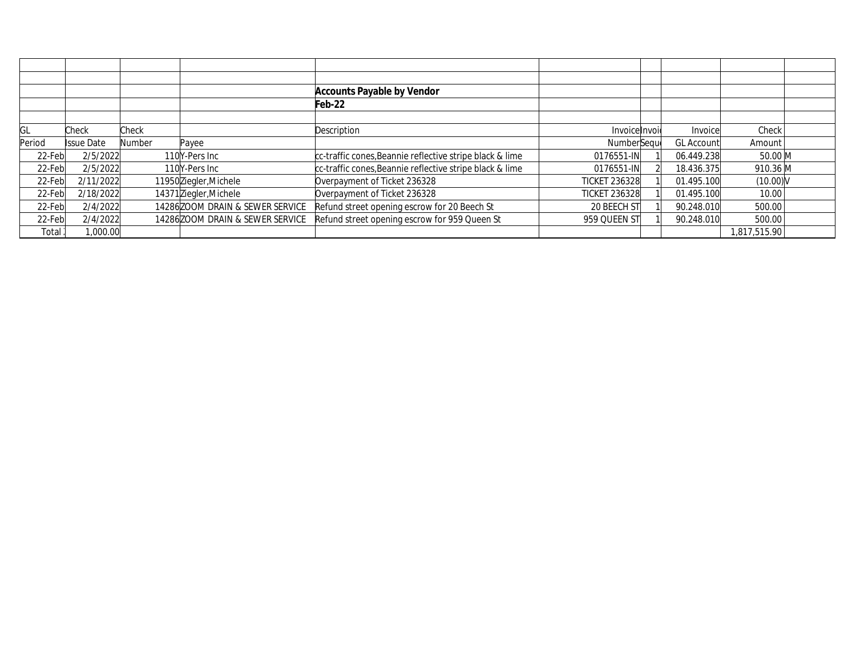|        |            |        |                                  | <b>Accounts Payable by Vendor</b>                        |                      |             |                        |  |
|--------|------------|--------|----------------------------------|----------------------------------------------------------|----------------------|-------------|------------------------|--|
|        |            |        |                                  | Feb-22                                                   |                      |             |                        |  |
|        |            |        |                                  |                                                          |                      |             |                        |  |
| GL     | Check      | Check  |                                  | Description                                              | Invoicelnvoid        | Invoicel    | Check                  |  |
| Period | Issue Date | Number | Payee                            |                                                          | NumberSequ           | GL Account' | Amount                 |  |
| 22-Feb | 2/5/2022   |        | 110Y-Pers Inc                    | cc-traffic cones, Beannie reflective stripe black & lime | 0176551-IN           | 06.449.238  | 50.00 M                |  |
| 22-Feb | 2/5/2022   |        | 110Y-Pers Inc                    | cc-traffic cones, Beannie reflective stripe black & lime | 0176551-IN           | 18.436.375  | 910.36 M               |  |
| 22-Feb | 2/11/2022  |        | 11950 Ziegler, Michele           | Overpayment of Ticket 236328                             | <b>TICKET 236328</b> | 01.495.100  | $(10.00)$ <sub>N</sub> |  |
| 22-Feb | 2/18/2022  |        | 14371 Ziegler, Michele           | Overpayment of Ticket 236328                             | <b>TICKET 236328</b> | 01.495.100  | 10.00                  |  |
| 22-Feb | 2/4/2022   |        | 14286 ZOOM DRAIN & SEWER SERVICE | Refund street opening escrow for 20 Beech St             | 20 BEECH ST          | 90.248.010  | 500.00                 |  |
| 22-Feb | 2/4/2022   |        | 14286 ZOOM DRAIN & SEWER SERVICE | Refund street opening escrow for 959 Queen St            | 959 QUEEN ST         | 90.248.010  | 500.00                 |  |
| Total  | 1,000.00   |        |                                  |                                                          |                      |             | 1.817.515.90           |  |